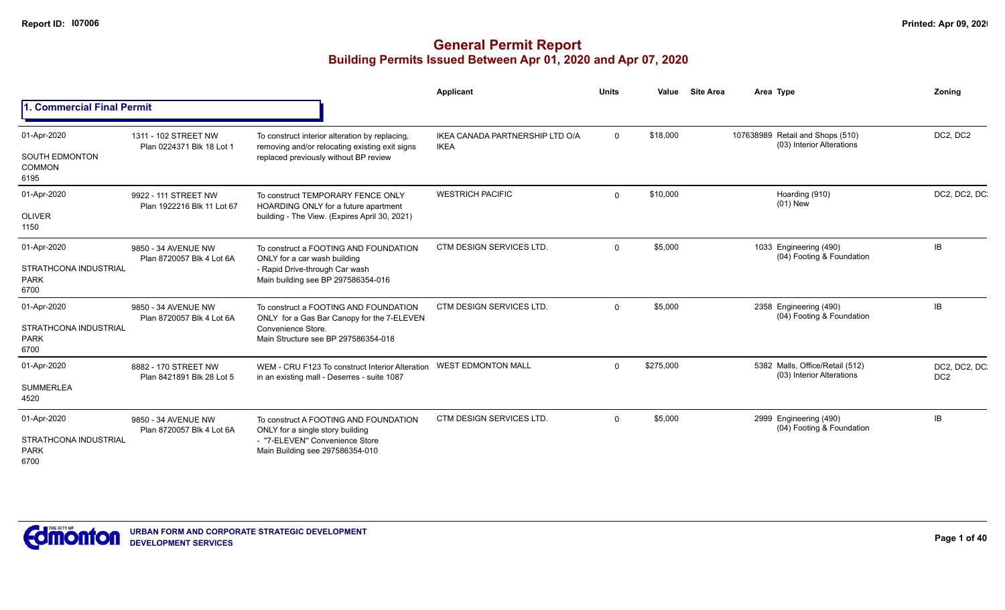|                                                            |                                                    |                                                                                                                                                  | Applicant                                      | <b>Units</b> | Value     | <b>Site Area</b> |  | Area Type                                                     | Zonina                           |
|------------------------------------------------------------|----------------------------------------------------|--------------------------------------------------------------------------------------------------------------------------------------------------|------------------------------------------------|--------------|-----------|------------------|--|---------------------------------------------------------------|----------------------------------|
| 1. Commercial Final Permit                                 |                                                    |                                                                                                                                                  |                                                |              |           |                  |  |                                                               |                                  |
| 01-Apr-2020<br><b>SOUTH EDMONTON</b>                       | 1311 - 102 STREET NW<br>Plan 0224371 Blk 18 Lot 1  | To construct interior alteration by replacing,<br>removing and/or relocating existing exit signs<br>replaced previously without BP review        | IKEA CANADA PARTNERSHIP LTD O/A<br><b>IKEA</b> | $\mathbf 0$  | \$18,000  |                  |  | 107638989 Retail and Shops (510)<br>(03) Interior Alterations | DC2, DC2                         |
| <b>COMMON</b><br>6195                                      |                                                    |                                                                                                                                                  |                                                |              |           |                  |  |                                                               |                                  |
| 01-Apr-2020<br><b>OLIVER</b>                               | 9922 - 111 STREET NW<br>Plan 1922216 Blk 11 Lot 67 | To construct TEMPORARY FENCE ONLY<br>HOARDING ONLY for a future apartment<br>building - The View. (Expires April 30, 2021)                       | <b>WESTRICH PACIFIC</b>                        | $\Omega$     | \$10,000  |                  |  | Hoarding (910)<br>$(01)$ New                                  | DC2, DC2, DC.                    |
| 1150                                                       |                                                    |                                                                                                                                                  |                                                |              |           |                  |  |                                                               |                                  |
| 01-Apr-2020                                                | 9850 - 34 AVENUE NW<br>Plan 8720057 Blk 4 Lot 6A   | To construct a FOOTING AND FOUNDATION<br>ONLY for a car wash building                                                                            | <b>CTM DESIGN SERVICES LTD.</b>                | $\Omega$     | \$5,000   |                  |  | 1033 Engineering (490)<br>(04) Footing & Foundation           | IB                               |
| <b>STRATHCONA INDUSTRIAL</b><br><b>PARK</b><br>6700        |                                                    | - Rapid Drive-through Car wash<br>Main building see BP 297586354-016                                                                             |                                                |              |           |                  |  |                                                               |                                  |
| 01-Apr-2020<br><b>STRATHCONA INDUSTRIAL</b><br><b>PARK</b> | 9850 - 34 AVENUE NW<br>Plan 8720057 Blk 4 Lot 6A   | To construct a FOOTING AND FOUNDATION<br>ONLY for a Gas Bar Canopy for the 7-ELEVEN<br>Convenience Store.<br>Main Structure see BP 297586354-018 | CTM DESIGN SERVICES LTD.                       | $\Omega$     | \$5,000   |                  |  | 2358 Engineering (490)<br>(04) Footing & Foundation           | IB                               |
| 6700                                                       |                                                    |                                                                                                                                                  |                                                |              |           |                  |  |                                                               |                                  |
| 01-Apr-2020                                                | 8882 - 170 STREET NW<br>Plan 8421891 Blk 28 Lot 5  | WEM - CRU F123 To construct Interior Alteration<br>in an existing mall - Deserres - suite 1087                                                   | <b>WEST EDMONTON MALL</b>                      | $\Omega$     | \$275,000 |                  |  | 5382 Malls, Office/Retail (512)<br>(03) Interior Alterations  | DC2, DC2, DC.<br>DC <sub>2</sub> |
| <b>SUMMERLEA</b><br>4520                                   |                                                    |                                                                                                                                                  |                                                |              |           |                  |  |                                                               |                                  |
| 01-Apr-2020                                                | 9850 - 34 AVENUE NW<br>Plan 8720057 Blk 4 Lot 6A   | To construct A FOOTING AND FOUNDATION<br>ONLY for a single story building                                                                        | CTM DESIGN SERVICES LTD.                       | $\Omega$     | \$5,000   |                  |  | 2999 Engineering (490)<br>(04) Footing & Foundation           | IB                               |
| <b>STRATHCONA INDUSTRIAL</b><br><b>PARK</b><br>6700        |                                                    | - "7-ELEVEN" Convenience Store<br>Main Building see 297586354-010                                                                                |                                                |              |           |                  |  |                                                               |                                  |

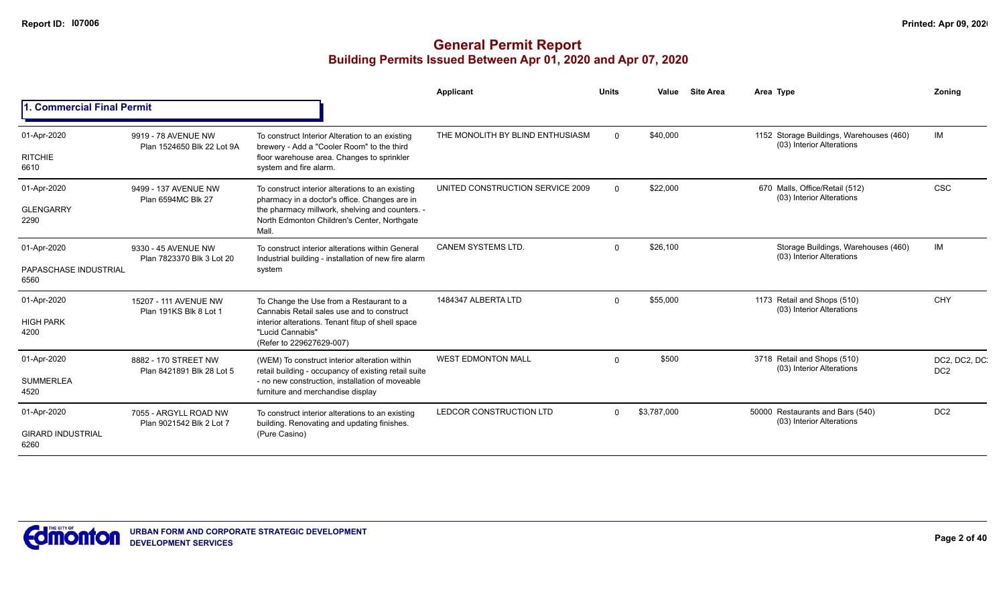|                                  |                                                   |                                                                                                          | Applicant                        | <b>Units</b> | Value       | <b>Site Area</b> | Area Type                                                             | Zoning                          |
|----------------------------------|---------------------------------------------------|----------------------------------------------------------------------------------------------------------|----------------------------------|--------------|-------------|------------------|-----------------------------------------------------------------------|---------------------------------|
| <b>Commercial Final Permit</b>   |                                                   |                                                                                                          |                                  |              |             |                  |                                                                       |                                 |
| 01-Apr-2020                      | 9919 - 78 AVENUE NW<br>Plan 1524650 Blk 22 Lot 9A | To construct Interior Alteration to an existing<br>brewery - Add a "Cooler Room" to the third            | THE MONOLITH BY BLIND ENTHUSIASM | $\Omega$     | \$40,000    |                  | 1152 Storage Buildings, Warehouses (460)<br>(03) Interior Alterations | IM                              |
| <b>RITCHIE</b><br>6610           |                                                   | floor warehouse area. Changes to sprinkler<br>system and fire alarm.                                     |                                  |              |             |                  |                                                                       |                                 |
| 01-Apr-2020                      | 9499 - 137 AVENUE NW<br>Plan 6594MC Blk 27        | To construct interior alterations to an existing<br>pharmacy in a doctor's office. Changes are in        | UNITED CONSTRUCTION SERVICE 2009 | $\Omega$     | \$22,000    |                  | 670 Malls, Office/Retail (512)<br>(03) Interior Alterations           | CSC                             |
| <b>GLENGARRY</b><br>2290         |                                                   | the pharmacy millwork, shelving and counters. -<br>North Edmonton Children's Center, Northgate<br>Mall.  |                                  |              |             |                  |                                                                       |                                 |
| 01-Apr-2020                      | 9330 - 45 AVENUE NW<br>Plan 7823370 Blk 3 Lot 20  | To construct interior alterations within General<br>Industrial building - installation of new fire alarm | <b>CANEM SYSTEMS LTD.</b>        | $\Omega$     | \$26,100    |                  | Storage Buildings, Warehouses (460)<br>(03) Interior Alterations      | IM                              |
| PAPASCHASE INDUSTRIAL<br>6560    |                                                   | system                                                                                                   |                                  |              |             |                  |                                                                       |                                 |
| 01-Apr-2020                      | 15207 - 111 AVENUE NW<br>Plan 191KS Blk 8 Lot 1   | To Change the Use from a Restaurant to a<br>Cannabis Retail sales use and to construct                   | 1484347 ALBERTA LTD              | $\Omega$     | \$55,000    |                  | 1173 Retail and Shops (510)<br>(03) Interior Alterations              | CHY                             |
| <b>HIGH PARK</b><br>4200         |                                                   | interior alterations. Tenant fitup of shell space<br>"Lucid Cannabis"<br>(Refer to 229627629-007)        |                                  |              |             |                  |                                                                       |                                 |
| 01-Apr-2020                      | 8882 - 170 STREET NW                              | (WEM) To construct interior alteration within<br>retail building - occupancy of existing retail suite    | <b>WEST EDMONTON MALL</b>        | $\Omega$     | \$500       |                  | 3718 Retail and Shops (510)<br>(03) Interior Alterations              | DC2, DC2, DC<br>DC <sub>2</sub> |
| <b>SUMMERLEA</b><br>4520         | Plan 8421891 Blk 28 Lot 5                         | - no new construction, installation of moveable<br>furniture and merchandise display                     |                                  |              |             |                  |                                                                       |                                 |
| 01-Apr-2020                      | 7055 - ARGYLL ROAD NW                             | To construct interior alterations to an existing<br>building. Renovating and updating finishes.          | LEDCOR CONSTRUCTION LTD          | $\Omega$     | \$3,787,000 |                  | 50000 Restaurants and Bars (540)<br>(03) Interior Alterations         | DC <sub>2</sub>                 |
| <b>GIRARD INDUSTRIAL</b><br>6260 | Plan 9021542 Blk 2 Lot 7                          | (Pure Casino)                                                                                            |                                  |              |             |                  |                                                                       |                                 |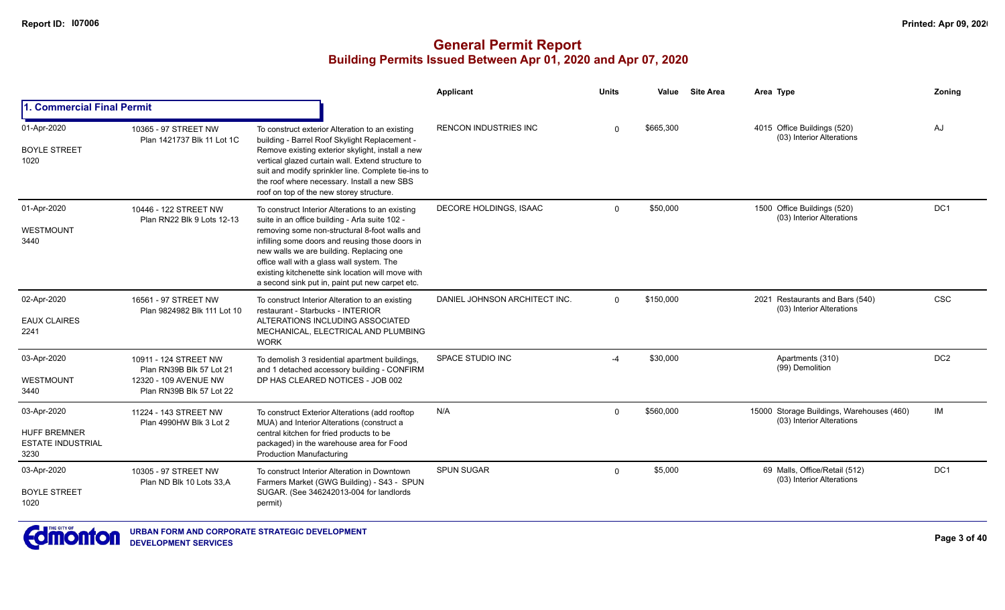|                                                                        |                                                                                                        |                                                                                                                                                                                                                                                                                                                                                                                                         | Applicant                     | <b>Units</b> | Value     | <b>Site Area</b> | Area Type                                                              | Zoning          |
|------------------------------------------------------------------------|--------------------------------------------------------------------------------------------------------|---------------------------------------------------------------------------------------------------------------------------------------------------------------------------------------------------------------------------------------------------------------------------------------------------------------------------------------------------------------------------------------------------------|-------------------------------|--------------|-----------|------------------|------------------------------------------------------------------------|-----------------|
| 1. Commercial Final Permit                                             |                                                                                                        |                                                                                                                                                                                                                                                                                                                                                                                                         |                               |              |           |                  |                                                                        |                 |
| 01-Apr-2020<br><b>BOYLE STREET</b><br>1020                             | 10365 - 97 STREET NW<br>Plan 1421737 Blk 11 Lot 1C                                                     | To construct exterior Alteration to an existing<br>building - Barrel Roof Skylight Replacement -<br>Remove existing exterior skylight, install a new<br>vertical glazed curtain wall. Extend structure to<br>suit and modify sprinkler line. Complete tie-ins to<br>the roof where necessary. Install a new SBS<br>roof on top of the new storey structure.                                             | <b>RENCON INDUSTRIES INC</b>  | $\Omega$     | \$665,300 |                  | 4015 Office Buildings (520)<br>(03) Interior Alterations               | AJ              |
| 01-Apr-2020<br><b>WESTMOUNT</b><br>3440                                | 10446 - 122 STREET NW<br>Plan RN22 Blk 9 Lots 12-13                                                    | To construct Interior Alterations to an existing<br>suite in an office building - Arla suite 102 -<br>removing some non-structural 8-foot walls and<br>infilling some doors and reusing those doors in<br>new walls we are building. Replacing one<br>office wall with a glass wall system. The<br>existing kitchenette sink location will move with<br>a second sink put in, paint put new carpet etc. | DECORE HOLDINGS, ISAAC        | $\Omega$     | \$50,000  |                  | 1500 Office Buildings (520)<br>(03) Interior Alterations               | DC <sub>1</sub> |
| 02-Apr-2020<br><b>EAUX CLAIRES</b><br>2241                             | 16561 - 97 STREET NW<br>Plan 9824982 Blk 111 Lot 10                                                    | To construct Interior Alteration to an existing<br>restaurant - Starbucks - INTERIOR<br>ALTERATIONS INCLUDING ASSOCIATED<br>MECHANICAL, ELECTRICAL AND PLUMBING<br><b>WORK</b>                                                                                                                                                                                                                          | DANIEL JOHNSON ARCHITECT INC. | $\Omega$     | \$150,000 |                  | 2021 Restaurants and Bars (540)<br>(03) Interior Alterations           | <b>CSC</b>      |
| 03-Apr-2020<br><b>WESTMOUNT</b><br>3440                                | 10911 - 124 STREET NW<br>Plan RN39B Blk 57 Lot 21<br>12320 - 109 AVENUE NW<br>Plan RN39B Blk 57 Lot 22 | To demolish 3 residential apartment buildings,<br>and 1 detached accessory building - CONFIRM<br>DP HAS CLEARED NOTICES - JOB 002                                                                                                                                                                                                                                                                       | SPACE STUDIO INC              | -4           | \$30,000  |                  | Apartments (310)<br>(99) Demolition                                    | DC <sub>2</sub> |
| 03-Apr-2020<br><b>HUFF BREMNER</b><br><b>ESTATE INDUSTRIAL</b><br>3230 | 11224 - 143 STREET NW<br>Plan 4990HW Blk 3 Lot 2                                                       | To construct Exterior Alterations (add rooftop<br>MUA) and Interior Alterations (construct a<br>central kitchen for fried products to be<br>packaged) in the warehouse area for Food<br><b>Production Manufacturing</b>                                                                                                                                                                                 | N/A                           | $\Omega$     | \$560,000 |                  | 15000 Storage Buildings, Warehouses (460)<br>(03) Interior Alterations | IM              |
| 03-Apr-2020<br><b>BOYLE STREET</b><br>1020                             | 10305 - 97 STREET NW<br>Plan ND Blk 10 Lots 33,A                                                       | To construct Interior Alteration in Downtown<br>Farmers Market (GWG Building) - S43 - SPUN<br>SUGAR. (See 346242013-004 for landlords<br>permit)                                                                                                                                                                                                                                                        | <b>SPUN SUGAR</b>             | $\Omega$     | \$5,000   |                  | 69 Malls, Office/Retail (512)<br>(03) Interior Alterations             | DC <sub>1</sub> |

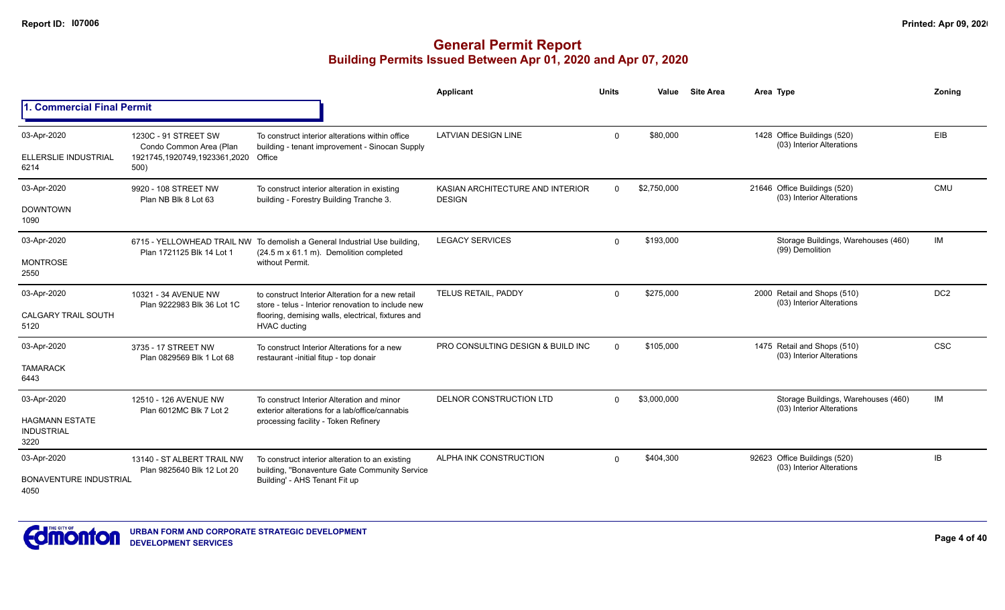|                                                                   |                                                                                         |                                                                                                                                                                                      | Applicant                                         | <b>Units</b> | Value       | <b>Site Area</b> | Area Type                                                        | Zoning          |
|-------------------------------------------------------------------|-----------------------------------------------------------------------------------------|--------------------------------------------------------------------------------------------------------------------------------------------------------------------------------------|---------------------------------------------------|--------------|-------------|------------------|------------------------------------------------------------------|-----------------|
| 1. Commercial Final Permit                                        |                                                                                         |                                                                                                                                                                                      |                                                   |              |             |                  |                                                                  |                 |
| 03-Apr-2020<br><b>ELLERSLIE INDUSTRIAL</b><br>6214                | 1230C - 91 STREET SW<br>Condo Common Area (Plan<br>1921745,1920749,1923361,2020<br>500) | To construct interior alterations within office<br>building - tenant improvement - Sinocan Supply<br>Office                                                                          | <b>LATVIAN DESIGN LINE</b>                        | $\Omega$     | \$80,000    |                  | 1428 Office Buildings (520)<br>(03) Interior Alterations         | EIB             |
| 03-Apr-2020<br><b>DOWNTOWN</b><br>1090                            | 9920 - 108 STREET NW<br>Plan NB Blk 8 Lot 63                                            | To construct interior alteration in existing<br>building - Forestry Building Tranche 3.                                                                                              | KASIAN ARCHITECTURE AND INTERIOR<br><b>DESIGN</b> | $\Omega$     | \$2,750,000 |                  | 21646 Office Buildings (520)<br>(03) Interior Alterations        | CMU             |
| 03-Apr-2020<br><b>MONTROSE</b><br>2550                            | Plan 1721125 Blk 14 Lot 1                                                               | 6715 - YELLOWHEAD TRAIL NW To demolish a General Industrial Use building,<br>(24.5 m x 61.1 m). Demolition completed<br>without Permit.                                              | <b>LEGACY SERVICES</b>                            | $\Omega$     | \$193,000   |                  | Storage Buildings, Warehouses (460)<br>(99) Demolition           | <b>IM</b>       |
| 03-Apr-2020<br><b>CALGARY TRAIL SOUTH</b><br>5120                 | 10321 - 34 AVENUE NW<br>Plan 9222983 Blk 36 Lot 1C                                      | to construct Interior Alteration for a new retail<br>store - telus - Interior renovation to include new<br>flooring, demising walls, electrical, fixtures and<br><b>HVAC ducting</b> | TELUS RETAIL, PADDY                               | $\Omega$     | \$275,000   |                  | 2000 Retail and Shops (510)<br>(03) Interior Alterations         | DC <sub>2</sub> |
| 03-Apr-2020<br><b>TAMARACK</b><br>6443                            | 3735 - 17 STREET NW<br>Plan 0829569 Blk 1 Lot 68                                        | To construct Interior Alterations for a new<br>restaurant -initial fitup - top donair                                                                                                | PRO CONSULTING DESIGN & BUILD INC                 | $\Omega$     | \$105,000   |                  | 1475 Retail and Shops (510)<br>(03) Interior Alterations         | <b>CSC</b>      |
| 03-Apr-2020<br><b>HAGMANN ESTATE</b><br><b>INDUSTRIAL</b><br>3220 | 12510 - 126 AVENUE NW<br>Plan 6012MC Blk 7 Lot 2                                        | To construct Interior Alteration and minor<br>exterior alterations for a lab/office/cannabis<br>processing facility - Token Refinery                                                 | <b>DELNOR CONSTRUCTION LTD</b>                    | $\Omega$     | \$3,000,000 |                  | Storage Buildings, Warehouses (460)<br>(03) Interior Alterations | <b>IM</b>       |
| 03-Apr-2020<br><b>BONAVENTURE INDUSTRIAL</b><br>4050              | 13140 - ST ALBERT TRAIL NW<br>Plan 9825640 Blk 12 Lot 20                                | To construct interior alteration to an existing<br>building, "Bonaventure Gate Community Service<br>Building' - AHS Tenant Fit up                                                    | ALPHA INK CONSTRUCTION                            | $\Omega$     | \$404,300   |                  | 92623 Office Buildings (520)<br>(03) Interior Alterations        | IB              |

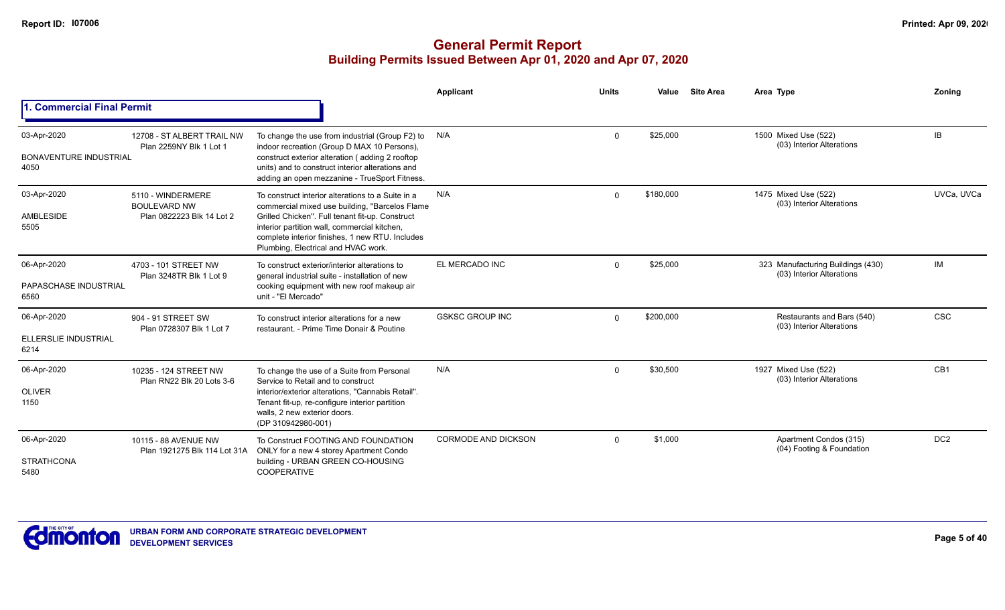|                                                      |                                                                       |                                                                                                                                                                                                                                                                                                  | Applicant                  | <b>Units</b> | Value     | <b>Site Area</b> | Area Type                                                      | Zoning          |
|------------------------------------------------------|-----------------------------------------------------------------------|--------------------------------------------------------------------------------------------------------------------------------------------------------------------------------------------------------------------------------------------------------------------------------------------------|----------------------------|--------------|-----------|------------------|----------------------------------------------------------------|-----------------|
| 1. Commercial Final Permit                           |                                                                       |                                                                                                                                                                                                                                                                                                  |                            |              |           |                  |                                                                |                 |
| 03-Apr-2020<br><b>BONAVENTURE INDUSTRIAL</b><br>4050 | 12708 - ST ALBERT TRAIL NW<br>Plan 2259NY Blk 1 Lot 1                 | To change the use from industrial (Group F2) to<br>indoor recreation (Group D MAX 10 Persons),<br>construct exterior alteration (adding 2 rooftop<br>units) and to construct interior alterations and<br>adding an open mezzanine - TrueSport Fitness.                                           | N/A                        | $\mathbf 0$  | \$25,000  |                  | 1500 Mixed Use (522)<br>(03) Interior Alterations              | IB              |
| 03-Apr-2020<br>AMBLESIDE<br>5505                     | 5110 - WINDERMERE<br><b>BOULEVARD NW</b><br>Plan 0822223 Blk 14 Lot 2 | To construct interior alterations to a Suite in a<br>commercial mixed use building, "Barcelos Flame<br>Grilled Chicken". Full tenant fit-up. Construct<br>interior partition wall, commercial kitchen,<br>complete interior finishes, 1 new RTU. Includes<br>Plumbing, Electrical and HVAC work. | N/A                        | $\Omega$     | \$180,000 |                  | 1475 Mixed Use (522)<br>(03) Interior Alterations              | UVCa, UVCa      |
| 06-Apr-2020<br>PAPASCHASE INDUSTRIAL<br>6560         | 4703 - 101 STREET NW<br>Plan 3248TR Blk 1 Lot 9                       | To construct exterior/interior alterations to<br>general industrial suite - installation of new<br>cooking equipment with new roof makeup air<br>unit - "El Mercado"                                                                                                                             | EL MERCADO INC             | $\mathbf 0$  | \$25,000  |                  | 323 Manufacturing Buildings (430)<br>(03) Interior Alterations | IM              |
| 06-Apr-2020<br>ELLERSLIE INDUSTRIAL<br>6214          | 904 - 91 STREET SW<br>Plan 0728307 Blk 1 Lot 7                        | To construct interior alterations for a new<br>restaurant. - Prime Time Donair & Poutine                                                                                                                                                                                                         | <b>GSKSC GROUP INC</b>     | $\Omega$     | \$200,000 |                  | Restaurants and Bars (540)<br>(03) Interior Alterations        | <b>CSC</b>      |
| 06-Apr-2020<br><b>OLIVER</b><br>1150                 | 10235 - 124 STREET NW<br>Plan RN22 Blk 20 Lots 3-6                    | To change the use of a Suite from Personal<br>Service to Retail and to construct<br>interior/exterior alterations, "Cannabis Retail".<br>Tenant fit-up, re-configure interior partition<br>walls. 2 new exterior doors.<br>(DP 310942980-001)                                                    | N/A                        | $\mathbf 0$  | \$30,500  |                  | 1927 Mixed Use (522)<br>(03) Interior Alterations              | CB <sub>1</sub> |
| 06-Apr-2020<br><b>STRATHCONA</b><br>5480             | 10115 - 88 AVENUE NW<br>Plan 1921275 Blk 114 Lot 31A                  | To Construct FOOTING AND FOUNDATION<br>ONLY for a new 4 storey Apartment Condo<br>building - URBAN GREEN CO-HOUSING<br><b>COOPERATIVE</b>                                                                                                                                                        | <b>CORMODE AND DICKSON</b> | $\Omega$     | \$1,000   |                  | Apartment Condos (315)<br>(04) Footing & Foundation            | DC <sub>2</sub> |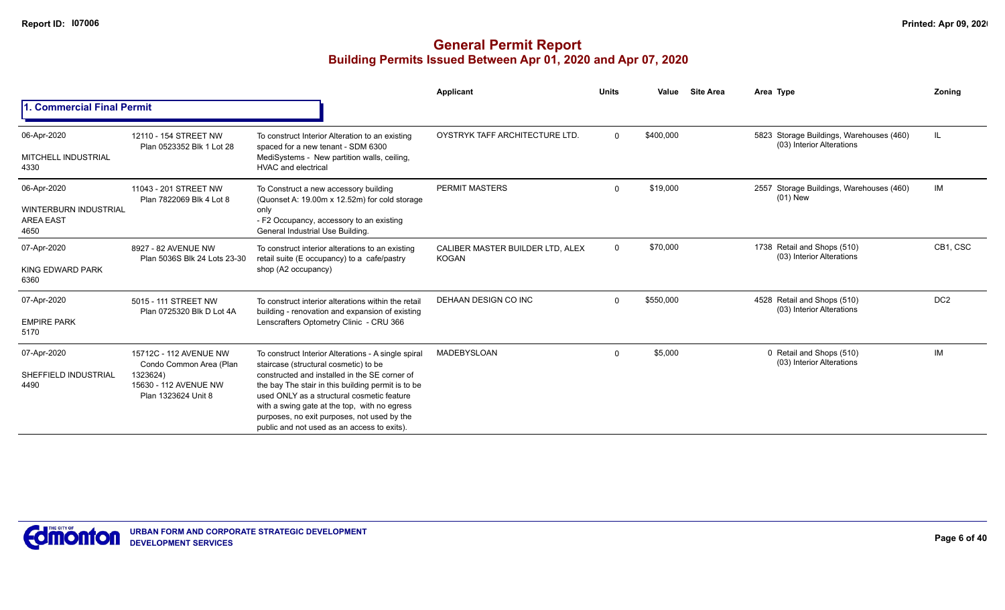|                                                                         |                                                                                                               |                                                                                                                                                                                                                                                                                                                                                                                                 | Applicant                                        | <b>Units</b> | Value     | <b>Site Area</b> | Area Type                                                             | Zonina          |
|-------------------------------------------------------------------------|---------------------------------------------------------------------------------------------------------------|-------------------------------------------------------------------------------------------------------------------------------------------------------------------------------------------------------------------------------------------------------------------------------------------------------------------------------------------------------------------------------------------------|--------------------------------------------------|--------------|-----------|------------------|-----------------------------------------------------------------------|-----------------|
| . Commercial Final Permit                                               |                                                                                                               |                                                                                                                                                                                                                                                                                                                                                                                                 |                                                  |              |           |                  |                                                                       |                 |
| 06-Apr-2020<br><b>MITCHELL INDUSTRIAL</b><br>4330                       | 12110 - 154 STREET NW<br>Plan 0523352 Blk 1 Lot 28                                                            | To construct Interior Alteration to an existing<br>spaced for a new tenant - SDM 6300<br>MediSystems - New partition walls, ceiling,<br><b>HVAC and electrical</b>                                                                                                                                                                                                                              | OYSTRYK TAFF ARCHITECTURE LTD.                   | $\mathbf{0}$ | \$400,000 |                  | 5823 Storage Buildings, Warehouses (460)<br>(03) Interior Alterations | IL              |
| 06-Apr-2020<br><b>WINTERBURN INDUSTRIAL</b><br><b>AREA EAST</b><br>4650 | 11043 - 201 STREET NW<br>Plan 7822069 Blk 4 Lot 8                                                             | To Construct a new accessory building<br>(Quonset A: 19.00m x 12.52m) for cold storage<br>only<br>- F2 Occupancy, accessory to an existing<br>General Industrial Use Building.                                                                                                                                                                                                                  | <b>PERMIT MASTERS</b>                            | $\mathbf 0$  | \$19,000  |                  | 2557 Storage Buildings, Warehouses (460)<br>$(01)$ New                | IM              |
| 07-Apr-2020<br>KING EDWARD PARK<br>6360                                 | 8927 - 82 AVENUE NW<br>Plan 5036S Blk 24 Lots 23-30                                                           | To construct interior alterations to an existing<br>retail suite (E occupancy) to a cafe/pastry<br>shop (A2 occupancy)                                                                                                                                                                                                                                                                          | CALIBER MASTER BUILDER LTD, ALEX<br><b>KOGAN</b> | $\mathbf 0$  | \$70,000  |                  | 1738 Retail and Shops (510)<br>(03) Interior Alterations              | CB1, CSC        |
| 07-Apr-2020<br><b>EMPIRE PARK</b><br>5170                               | 5015 - 111 STREET NW<br>Plan 0725320 Blk D Lot 4A                                                             | To construct interior alterations within the retail<br>building - renovation and expansion of existing<br>Lenscrafters Optometry Clinic - CRU 366                                                                                                                                                                                                                                               | DEHAAN DESIGN CO INC                             | $\Omega$     | \$550,000 |                  | 4528 Retail and Shops (510)<br>(03) Interior Alterations              | DC <sub>2</sub> |
| 07-Apr-2020<br>SHEFFIELD INDUSTRIAL<br>4490                             | 15712C - 112 AVENUE NW<br>Condo Common Area (Plan<br>1323624)<br>15630 - 112 AVENUE NW<br>Plan 1323624 Unit 8 | To construct Interior Alterations - A single spiral<br>staircase (structural cosmetic) to be<br>constructed and installed in the SE corner of<br>the bay The stair in this building permit is to be<br>used ONLY as a structural cosmetic feature<br>with a swing gate at the top, with no egress<br>purposes, no exit purposes, not used by the<br>public and not used as an access to exits). | <b>MADEBYSLOAN</b>                               | $\Omega$     | \$5,000   |                  | 0 Retail and Shops (510)<br>(03) Interior Alterations                 | IM              |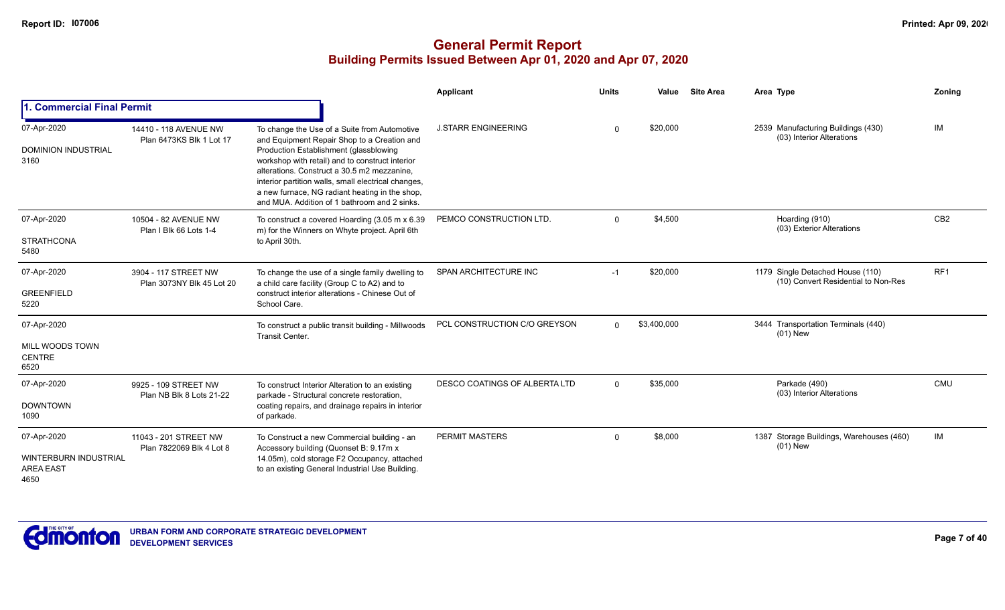|                                                                  |                                                   |                                                                                                                                                                                                                                                                                                                                                                                                  | Applicant                     | <b>Units</b> | Value       | <b>Site Area</b> | Area Type                                                               | Zoning          |
|------------------------------------------------------------------|---------------------------------------------------|--------------------------------------------------------------------------------------------------------------------------------------------------------------------------------------------------------------------------------------------------------------------------------------------------------------------------------------------------------------------------------------------------|-------------------------------|--------------|-------------|------------------|-------------------------------------------------------------------------|-----------------|
| 1. Commercial Final Permit                                       |                                                   |                                                                                                                                                                                                                                                                                                                                                                                                  |                               |              |             |                  |                                                                         |                 |
| 07-Apr-2020<br><b>DOMINION INDUSTRIAL</b><br>3160                | 14410 - 118 AVENUE NW<br>Plan 6473KS Blk 1 Lot 17 | To change the Use of a Suite from Automotive<br>and Equipment Repair Shop to a Creation and<br>Production Establishment (glassblowing<br>workshop with retail) and to construct interior<br>alterations. Construct a 30.5 m2 mezzanine.<br>interior partition walls, small electrical changes,<br>a new furnace, NG radiant heating in the shop,<br>and MUA. Addition of 1 bathroom and 2 sinks. | <b>J.STARR ENGINEERING</b>    | $\Omega$     | \$20,000    |                  | 2539 Manufacturing Buildings (430)<br>(03) Interior Alterations         | IM              |
| 07-Apr-2020<br><b>STRATHCONA</b><br>5480                         | 10504 - 82 AVENUE NW<br>Plan I Blk 66 Lots 1-4    | To construct a covered Hoarding (3.05 m x 6.39)<br>m) for the Winners on Whyte project. April 6th<br>to April 30th.                                                                                                                                                                                                                                                                              | PEMCO CONSTRUCTION LTD.       | $\mathbf 0$  | \$4,500     |                  | Hoarding (910)<br>(03) Exterior Alterations                             | CB <sub>2</sub> |
| 07-Apr-2020<br><b>GREENFIELD</b><br>5220                         | 3904 - 117 STREET NW<br>Plan 3073NY Blk 45 Lot 20 | To change the use of a single family dwelling to<br>a child care facility (Group C to A2) and to<br>construct interior alterations - Chinese Out of<br>School Care.                                                                                                                                                                                                                              | SPAN ARCHITECTURE INC         | $-1$         | \$20,000    |                  | 1179 Single Detached House (110)<br>(10) Convert Residential to Non-Res | RF <sub>1</sub> |
| 07-Apr-2020<br>MILL WOODS TOWN<br><b>CENTRE</b><br>6520          |                                                   | To construct a public transit building - Millwoods<br><b>Transit Center.</b>                                                                                                                                                                                                                                                                                                                     | PCL CONSTRUCTION C/O GREYSON  | $\Omega$     | \$3,400,000 |                  | 3444 Transportation Terminals (440)<br>$(01)$ New                       |                 |
| 07-Apr-2020<br><b>DOWNTOWN</b><br>1090                           | 9925 - 109 STREET NW<br>Plan NB Blk 8 Lots 21-22  | To construct Interior Alteration to an existing<br>parkade - Structural concrete restoration,<br>coating repairs, and drainage repairs in interior<br>of parkade.                                                                                                                                                                                                                                | DESCO COATINGS OF ALBERTA LTD | $\Omega$     | \$35,000    |                  | Parkade (490)<br>(03) Interior Alterations                              | CMU             |
| 07-Apr-2020<br>WINTERBURN INDUSTRIAL<br><b>AREA EAST</b><br>4650 | 11043 - 201 STREET NW<br>Plan 7822069 Blk 4 Lot 8 | To Construct a new Commercial building - an<br>Accessory building (Quonset B: 9.17m x<br>14.05m), cold storage F2 Occupancy, attached<br>to an existing General Industrial Use Building.                                                                                                                                                                                                         | <b>PERMIT MASTERS</b>         | $\mathbf 0$  | \$8,000     |                  | 1387 Storage Buildings, Warehouses (460)<br>$(01)$ New                  | IM              |

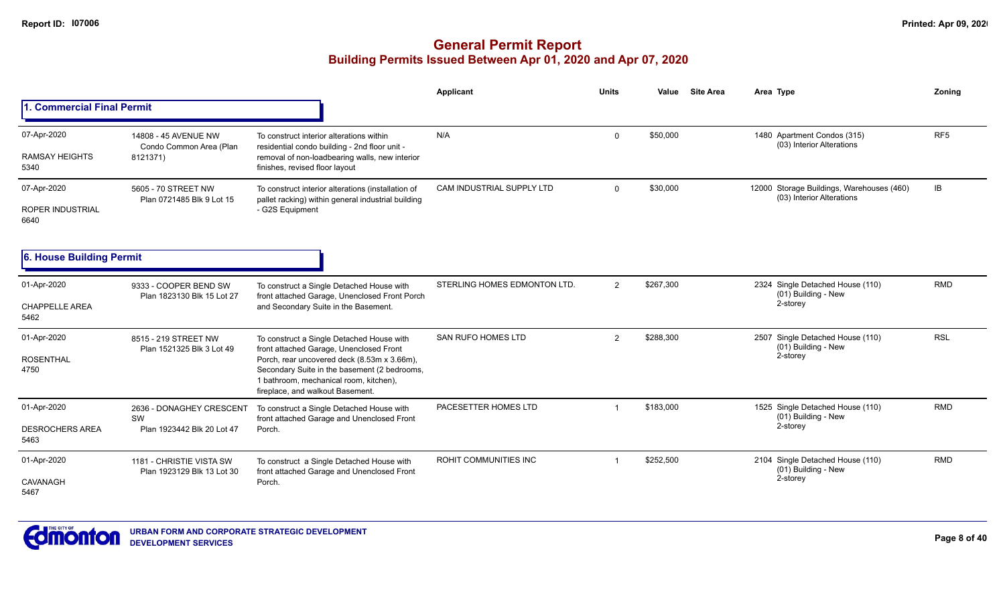|                                                |                                                              |                                                                                                                                                                                                                                                                   | Applicant                    | <b>Units</b> | Value     | <b>Site Area</b> | Area Type                                                              | Zoning          |
|------------------------------------------------|--------------------------------------------------------------|-------------------------------------------------------------------------------------------------------------------------------------------------------------------------------------------------------------------------------------------------------------------|------------------------------|--------------|-----------|------------------|------------------------------------------------------------------------|-----------------|
| . Commercial Final Permit                      |                                                              |                                                                                                                                                                                                                                                                   |                              |              |           |                  |                                                                        |                 |
| 07-Apr-2020<br><b>RAMSAY HEIGHTS</b><br>5340   | 14808 - 45 AVENUE NW<br>Condo Common Area (Plan<br>8121371)  | To construct interior alterations within<br>residential condo building - 2nd floor unit -<br>removal of non-loadbearing walls, new interior<br>finishes, revised floor layout                                                                                     | N/A                          | $\Omega$     | \$50,000  |                  | 1480 Apartment Condos (315)<br>(03) Interior Alterations               | RF <sub>5</sub> |
| 07-Apr-2020<br><b>ROPER INDUSTRIAL</b><br>6640 | 5605 - 70 STREET NW<br>Plan 0721485 Blk 9 Lot 15             | To construct interior alterations (installation of<br>pallet racking) within general industrial building<br>- G2S Equipment                                                                                                                                       | CAM INDUSTRIAL SUPPLY LTD    | $\Omega$     | \$30,000  |                  | 12000 Storage Buildings, Warehouses (460)<br>(03) Interior Alterations | IB.             |
| 6. House Building Permit                       |                                                              |                                                                                                                                                                                                                                                                   |                              |              |           |                  |                                                                        |                 |
| 01-Apr-2020<br><b>CHAPPELLE AREA</b><br>5462   | 9333 - COOPER BEND SW<br>Plan 1823130 Blk 15 Lot 27          | To construct a Single Detached House with<br>front attached Garage, Unenclosed Front Porch<br>and Secondary Suite in the Basement.                                                                                                                                | STERLING HOMES EDMONTON LTD. | 2            | \$267,300 |                  | 2324 Single Detached House (110)<br>(01) Building - New<br>2-storey    | <b>RMD</b>      |
| 01-Apr-2020<br><b>ROSENTHAL</b><br>4750        | 8515 - 219 STREET NW<br>Plan 1521325 Blk 3 Lot 49            | To construct a Single Detached House with<br>front attached Garage, Unenclosed Front<br>Porch, rear uncovered deck (8.53m x 3.66m),<br>Secondary Suite in the basement (2 bedrooms,<br>1 bathroom, mechanical room, kitchen),<br>fireplace, and walkout Basement. | <b>SAN RUFO HOMES LTD</b>    | 2            | \$288,300 |                  | 2507 Single Detached House (110)<br>$(01)$ Building - New<br>2-storey  | <b>RSL</b>      |
| 01-Apr-2020<br><b>DESROCHERS AREA</b><br>5463  | 2636 - DONAGHEY CRESCENT<br>SW<br>Plan 1923442 Blk 20 Lot 47 | To construct a Single Detached House with<br>front attached Garage and Unenclosed Front<br>Porch.                                                                                                                                                                 | PACESETTER HOMES LTD         |              | \$183,000 |                  | 1525 Single Detached House (110)<br>(01) Building - New<br>2-storey    | <b>RMD</b>      |
| 01-Apr-2020<br>CAVANAGH<br>5467                | 1181 - CHRISTIE VISTA SW<br>Plan 1923129 Blk 13 Lot 30       | To construct a Single Detached House with<br>front attached Garage and Unenclosed Front<br>Porch.                                                                                                                                                                 | ROHIT COMMUNITIES INC        |              | \$252,500 |                  | 2104 Single Detached House (110)<br>(01) Building - New<br>2-storey    | <b>RMD</b>      |

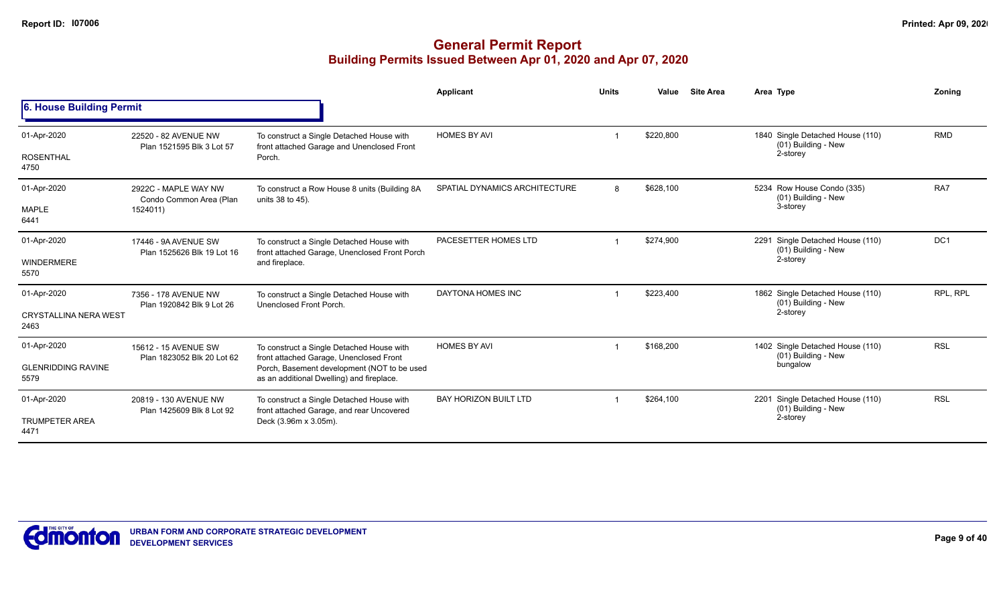|                                      |                                                    |                                                                                            | Applicant                     | <b>Units</b> | Value     | <b>Site Area</b> | Area Type                                                  | Zonina          |
|--------------------------------------|----------------------------------------------------|--------------------------------------------------------------------------------------------|-------------------------------|--------------|-----------|------------------|------------------------------------------------------------|-----------------|
| 6. House Building Permit             |                                                    |                                                                                            |                               |              |           |                  |                                                            |                 |
| 01-Apr-2020                          | 22520 - 82 AVENUE NW<br>Plan 1521595 Blk 3 Lot 57  | To construct a Single Detached House with<br>front attached Garage and Unenclosed Front    | <b>HOMES BY AVI</b>           |              | \$220,800 |                  | 1840 Single Detached House (110)<br>(01) Building - New    | <b>RMD</b>      |
| <b>ROSENTHAL</b><br>4750             |                                                    | Porch.                                                                                     |                               |              |           |                  | 2-storey                                                   |                 |
| 01-Apr-2020                          | 2922C - MAPLE WAY NW<br>Condo Common Area (Plan    | To construct a Row House 8 units (Building 8A<br>units 38 to 45).                          | SPATIAL DYNAMICS ARCHITECTURE | 8            | \$628,100 |                  | 5234 Row House Condo (335)<br>(01) Building - New          | RA7             |
| MAPLE<br>6441                        | 1524011)                                           |                                                                                            |                               |              |           |                  | 3-storey                                                   |                 |
| 01-Apr-2020                          | 17446 - 9A AVENUE SW<br>Plan 1525626 Blk 19 Lot 16 | To construct a Single Detached House with<br>front attached Garage, Unenclosed Front Porch | PACESETTER HOMES LTD          |              | \$274.900 |                  | 2291 Single Detached House (110)<br>(01) Building - New    | DC <sub>1</sub> |
| <b>WINDERMERE</b><br>5570            |                                                    | and fireplace.                                                                             |                               |              |           |                  | 2-storey                                                   |                 |
| 01-Apr-2020                          | 7356 - 178 AVENUE NW<br>Plan 1920842 Blk 9 Lot 26  | To construct a Single Detached House with<br>Unenclosed Front Porch.                       | DAYTONA HOMES INC             |              | \$223,400 |                  | 1862 Single Detached House (110)<br>(01) Building - New    | RPL, RPL        |
| <b>CRYSTALLINA NERA WEST</b><br>2463 |                                                    |                                                                                            |                               |              |           |                  | 2-storey                                                   |                 |
| 01-Apr-2020                          | 15612 - 15 AVENUE SW                               | To construct a Single Detached House with<br>front attached Garage, Unenclosed Front       | <b>HOMES BY AVI</b>           |              | \$168,200 |                  | 1402 Single Detached House (110)<br>(01) Building - New    | <b>RSL</b>      |
| <b>GLENRIDDING RAVINE</b><br>5579    | Plan 1823052 Blk 20 Lot 62                         | Porch, Basement development (NOT to be used<br>as an additional Dwelling) and fireplace.   |                               |              |           |                  | bungalow                                                   |                 |
| 01-Apr-2020                          | 20819 - 130 AVENUE NW                              | To construct a Single Detached House with<br>front attached Garage, and rear Uncovered     | <b>BAY HORIZON BUILT LTD</b>  |              | \$264,100 |                  | Single Detached House (110)<br>2201<br>(01) Building - New | <b>RSL</b>      |
| <b>TRUMPETER AREA</b><br>4471        | Plan 1425609 Blk 8 Lot 92                          | Deck (3.96m x 3.05m).                                                                      |                               |              |           |                  | 2-storey                                                   |                 |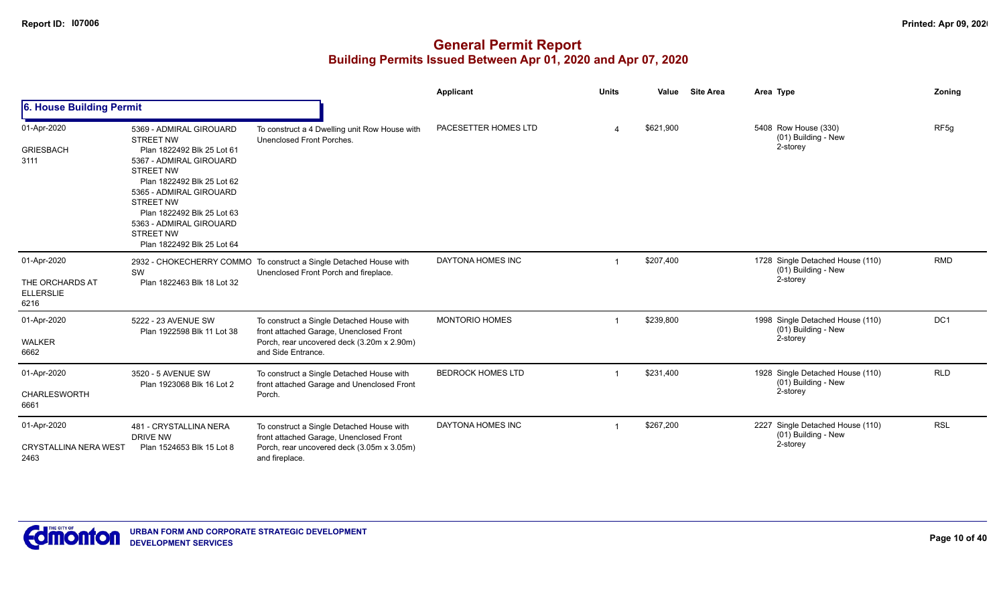|                                                            |                                                                                                                                                                                                                                                                                                                  |                                                                                                                                                          | <b>Applicant</b>         | <b>Units</b> | Value     | <b>Site Area</b> | Area Type                                                           | Zoning           |
|------------------------------------------------------------|------------------------------------------------------------------------------------------------------------------------------------------------------------------------------------------------------------------------------------------------------------------------------------------------------------------|----------------------------------------------------------------------------------------------------------------------------------------------------------|--------------------------|--------------|-----------|------------------|---------------------------------------------------------------------|------------------|
| 6. House Building Permit                                   |                                                                                                                                                                                                                                                                                                                  |                                                                                                                                                          |                          |              |           |                  |                                                                     |                  |
| 01-Apr-2020<br><b>GRIESBACH</b><br>3111                    | 5369 - ADMIRAL GIROUARD<br><b>STREET NW</b><br>Plan 1822492 Blk 25 Lot 61<br>5367 - ADMIRAL GIROUARD<br><b>STREET NW</b><br>Plan 1822492 Blk 25 Lot 62<br>5365 - ADMIRAL GIROUARD<br><b>STREET NW</b><br>Plan 1822492 Blk 25 Lot 63<br>5363 - ADMIRAL GIROUARD<br><b>STREET NW</b><br>Plan 1822492 Blk 25 Lot 64 | To construct a 4 Dwelling unit Row House with<br>Unenclosed Front Porches.                                                                               | PACESETTER HOMES LTD     |              | \$621,900 |                  | 5408 Row House (330)<br>(01) Building - New<br>2-storey             | RF <sub>5g</sub> |
| 01-Apr-2020<br>THE ORCHARDS AT<br><b>ELLERSLIE</b><br>6216 | SW<br>Plan 1822463 Blk 18 Lot 32                                                                                                                                                                                                                                                                                 | 2932 - CHOKECHERRY COMMO To construct a Single Detached House with<br>Unenclosed Front Porch and fireplace.                                              | DAYTONA HOMES INC        |              | \$207,400 |                  | 1728 Single Detached House (110)<br>(01) Building - New<br>2-storey | <b>RMD</b>       |
| 01-Apr-2020<br>WALKER<br>6662                              | 5222 - 23 AVENUE SW<br>Plan 1922598 Blk 11 Lot 38                                                                                                                                                                                                                                                                | To construct a Single Detached House with<br>front attached Garage, Unenclosed Front<br>Porch, rear uncovered deck (3.20m x 2.90m)<br>and Side Entrance. | MONTORIO HOMES           |              | \$239,800 |                  | 1998 Single Detached House (110)<br>(01) Building - New<br>2-storey | DC1              |
| 01-Apr-2020<br><b>CHARLESWORTH</b><br>6661                 | 3520 - 5 AVENUE SW<br>Plan 1923068 Blk 16 Lot 2                                                                                                                                                                                                                                                                  | To construct a Single Detached House with<br>front attached Garage and Unenclosed Front<br>Porch.                                                        | <b>BEDROCK HOMES LTD</b> |              | \$231,400 |                  | 1928 Single Detached House (110)<br>(01) Building - New<br>2-storey | <b>RLD</b>       |
| 01-Apr-2020<br><b>CRYSTALLINA NERA WEST</b><br>2463        | 481 - CRYSTALLINA NERA<br>DRIVE NW<br>Plan 1524653 Blk 15 Lot 8                                                                                                                                                                                                                                                  | To construct a Single Detached House with<br>front attached Garage, Unenclosed Front<br>Porch, rear uncovered deck (3.05m x 3.05m)<br>and fireplace.     | DAYTONA HOMES INC        |              | \$267,200 |                  | 2227 Single Detached House (110)<br>(01) Building - New<br>2-storey | <b>RSL</b>       |

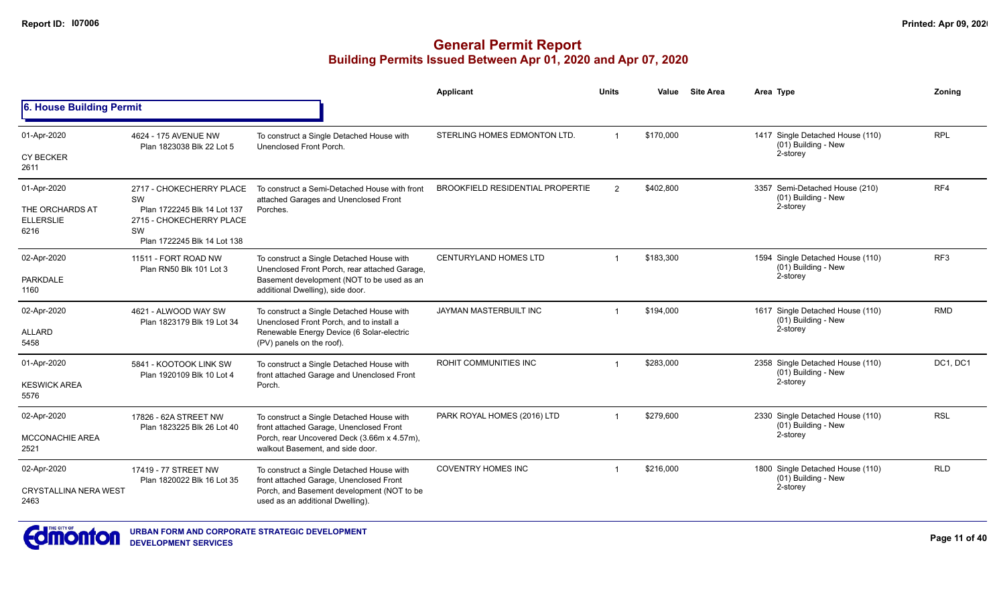|                                             |                                                                                              |                                                                                                                                                                 | Applicant                               | <b>Units</b>   | Value     | <b>Site Area</b> | Area Type                                                           | Zoning     |
|---------------------------------------------|----------------------------------------------------------------------------------------------|-----------------------------------------------------------------------------------------------------------------------------------------------------------------|-----------------------------------------|----------------|-----------|------------------|---------------------------------------------------------------------|------------|
| 6. House Building Permit                    |                                                                                              |                                                                                                                                                                 |                                         |                |           |                  |                                                                     |            |
| 01-Apr-2020                                 | 4624 - 175 AVENUE NW<br>Plan 1823038 Blk 22 Lot 5                                            | To construct a Single Detached House with<br>Unenclosed Front Porch.                                                                                            | STERLING HOMES EDMONTON LTD.            |                | \$170,000 |                  | 1417 Single Detached House (110)<br>(01) Building - New             | <b>RPL</b> |
| <b>CY BECKER</b><br>2611                    |                                                                                              |                                                                                                                                                                 |                                         |                |           |                  | 2-storey                                                            |            |
| 01-Apr-2020                                 | 2717 - CHOKECHERRY PLACE<br>SW                                                               | To construct a Semi-Detached House with front<br>attached Garages and Unenclosed Front                                                                          | <b>BROOKFIELD RESIDENTIAL PROPERTIE</b> | $\mathfrak{p}$ | \$402,800 |                  | 3357 Semi-Detached House (210)<br>(01) Building - New               | RF4        |
| THE ORCHARDS AT<br><b>ELLERSLIE</b><br>6216 | Plan 1722245 Blk 14 Lot 137<br>2715 - CHOKECHERRY PLACE<br>SW<br>Plan 1722245 Blk 14 Lot 138 | Porches.                                                                                                                                                        |                                         |                |           |                  | 2-storey                                                            |            |
| 02-Apr-2020                                 | 11511 - FORT ROAD NW<br>Plan RN50 Blk 101 Lot 3                                              | To construct a Single Detached House with<br>Unenclosed Front Porch, rear attached Garage,                                                                      | <b>CENTURYLAND HOMES LTD</b>            |                | \$183,300 |                  | 1594 Single Detached House (110)<br>(01) Building - New             | RF3        |
| PARKDALE<br>1160                            |                                                                                              | Basement development (NOT to be used as an<br>additional Dwelling), side door.                                                                                  |                                         |                |           |                  | 2-storey                                                            |            |
| 02-Apr-2020<br><b>ALLARD</b><br>5458        | 4621 - ALWOOD WAY SW<br>Plan 1823179 Blk 19 Lot 34                                           | To construct a Single Detached House with<br>Unenclosed Front Porch, and to install a<br>Renewable Energy Device (6 Solar-electric<br>(PV) panels on the roof). | JAYMAN MASTERBUILT INC                  |                | \$194,000 |                  | 1617 Single Detached House (110)<br>(01) Building - New<br>2-storey | <b>RMD</b> |
| 01-Apr-2020                                 | 5841 - KOOTOOK LINK SW                                                                       | To construct a Single Detached House with                                                                                                                       | ROHIT COMMUNITIES INC                   |                | \$283,000 |                  | 2358 Single Detached House (110)                                    | DC1, DC1   |
| <b>KESWICK AREA</b><br>5576                 | Plan 1920109 Blk 10 Lot 4                                                                    | front attached Garage and Unenclosed Front<br>Porch.                                                                                                            |                                         |                |           |                  | (01) Building - New<br>2-storey                                     |            |
| 02-Apr-2020                                 | 17826 - 62A STREET NW                                                                        | To construct a Single Detached House with                                                                                                                       | PARK ROYAL HOMES (2016) LTD             | -1             | \$279,600 |                  | 2330 Single Detached House (110)<br>(01) Building - New             | <b>RSL</b> |
| <b>MCCONACHIE AREA</b><br>2521              | Plan 1823225 Blk 26 Lot 40                                                                   | front attached Garage, Unenclosed Front<br>Porch, rear Uncovered Deck (3.66m x 4.57m),<br>walkout Basement, and side door.                                      |                                         |                |           |                  | 2-storey                                                            |            |
| 02-Apr-2020                                 | 17419 - 77 STREET NW                                                                         | To construct a Single Detached House with                                                                                                                       | <b>COVENTRY HOMES INC</b>               |                | \$216.000 |                  | 1800 Single Detached House (110)<br>(01) Building - New             | <b>RLD</b> |
| <b>CRYSTALLINA NERA WEST</b><br>2463        | Plan 1820022 Blk 16 Lot 35                                                                   | front attached Garage, Unenclosed Front<br>Porch, and Basement development (NOT to be<br>used as an additional Dwelling).                                       |                                         |                |           |                  | 2-storey                                                            |            |

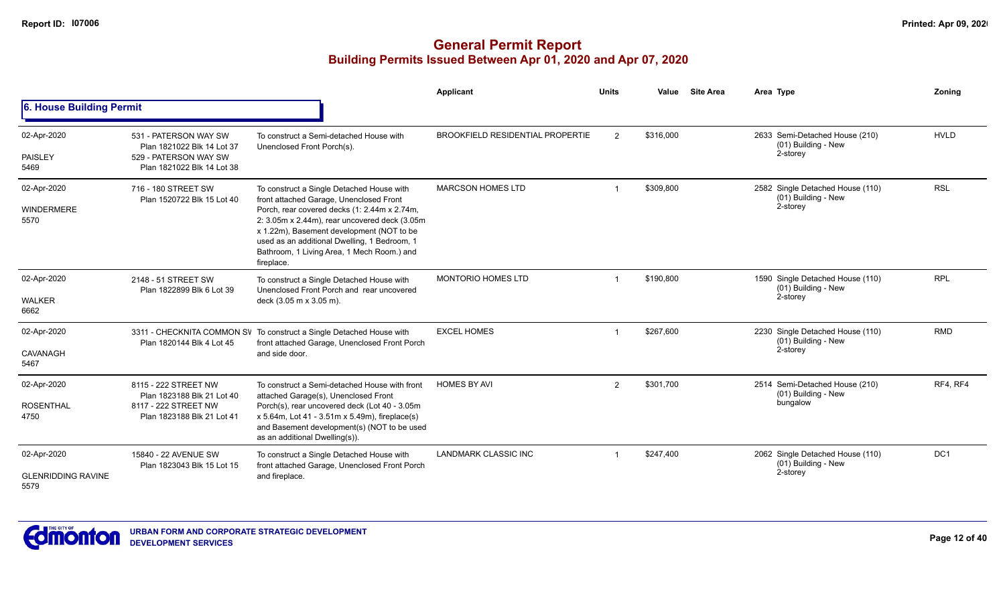|                                                  |                                                                                                            |                                                                                                                                                                                                                                                                                                                                                | Applicant                               | <b>Units</b>   | Value     | <b>Site Area</b> | Area Type                                                           | Zoning          |
|--------------------------------------------------|------------------------------------------------------------------------------------------------------------|------------------------------------------------------------------------------------------------------------------------------------------------------------------------------------------------------------------------------------------------------------------------------------------------------------------------------------------------|-----------------------------------------|----------------|-----------|------------------|---------------------------------------------------------------------|-----------------|
| <b>6. House Building Permit</b>                  |                                                                                                            |                                                                                                                                                                                                                                                                                                                                                |                                         |                |           |                  |                                                                     |                 |
| 02-Apr-2020<br><b>PAISLEY</b><br>5469            | 531 - PATERSON WAY SW<br>Plan 1821022 Blk 14 Lot 37<br>529 - PATERSON WAY SW<br>Plan 1821022 Blk 14 Lot 38 | To construct a Semi-detached House with<br>Unenclosed Front Porch(s).                                                                                                                                                                                                                                                                          | <b>BROOKFIELD RESIDENTIAL PROPERTIE</b> | $\overline{2}$ | \$316,000 |                  | 2633 Semi-Detached House (210)<br>(01) Building - New<br>2-storey   | <b>HVLD</b>     |
| 02-Apr-2020<br><b>WINDERMERE</b><br>5570         | 716 - 180 STREET SW<br>Plan 1520722 Blk 15 Lot 40                                                          | To construct a Single Detached House with<br>front attached Garage, Unenclosed Front<br>Porch, rear covered decks (1: 2.44m x 2.74m,<br>2: 3.05m x 2.44m), rear uncovered deck (3.05m<br>x 1.22m), Basement development (NOT to be<br>used as an additional Dwelling, 1 Bedroom, 1<br>Bathroom, 1 Living Area, 1 Mech Room.) and<br>fireplace. | <b>MARCSON HOMES LTD</b>                |                | \$309,800 |                  | 2582 Single Detached House (110)<br>(01) Building - New<br>2-storey | <b>RSL</b>      |
| 02-Apr-2020<br><b>WALKER</b><br>6662             | 2148 - 51 STREET SW<br>Plan 1822899 Blk 6 Lot 39                                                           | To construct a Single Detached House with<br>Unenclosed Front Porch and rear uncovered<br>deck (3.05 m x 3.05 m).                                                                                                                                                                                                                              | <b>MONTORIO HOMES LTD</b>               |                | \$190,800 |                  | 1590 Single Detached House (110)<br>(01) Building - New<br>2-storey | <b>RPL</b>      |
| 02-Apr-2020<br>CAVANAGH<br>5467                  | Plan 1820144 Blk 4 Lot 45                                                                                  | 3311 - CHECKNITA COMMON SV To construct a Single Detached House with<br>front attached Garage, Unenclosed Front Porch<br>and side door.                                                                                                                                                                                                        | <b>EXCEL HOMES</b>                      |                | \$267,600 |                  | 2230 Single Detached House (110)<br>(01) Building - New<br>2-storey | <b>RMD</b>      |
| 02-Apr-2020<br><b>ROSENTHAL</b><br>4750          | 8115 - 222 STREET NW<br>Plan 1823188 Blk 21 Lot 40<br>8117 - 222 STREET NW<br>Plan 1823188 Blk 21 Lot 41   | To construct a Semi-detached House with front<br>attached Garage(s), Unenclosed Front<br>Porch(s), rear uncovered deck (Lot 40 - 3.05m<br>$x 5.64m$ , Lot 41 - 3.51m $x 5.49m$ ), fireplace(s)<br>and Basement development(s) (NOT to be used<br>as an additional Dwelling(s)).                                                                | <b>HOMES BY AVI</b>                     | 2              | \$301,700 |                  | 2514 Semi-Detached House (210)<br>(01) Building - New<br>bungalow   | RF4, RF4        |
| 02-Apr-2020<br><b>GLENRIDDING RAVINE</b><br>5579 | 15840 - 22 AVENUE SW<br>Plan 1823043 Blk 15 Lot 15                                                         | To construct a Single Detached House with<br>front attached Garage, Unenclosed Front Porch<br>and fireplace.                                                                                                                                                                                                                                   | LANDMARK CLASSIC INC                    |                | \$247,400 |                  | 2062 Single Detached House (110)<br>(01) Building - New<br>2-storey | DC <sub>1</sub> |

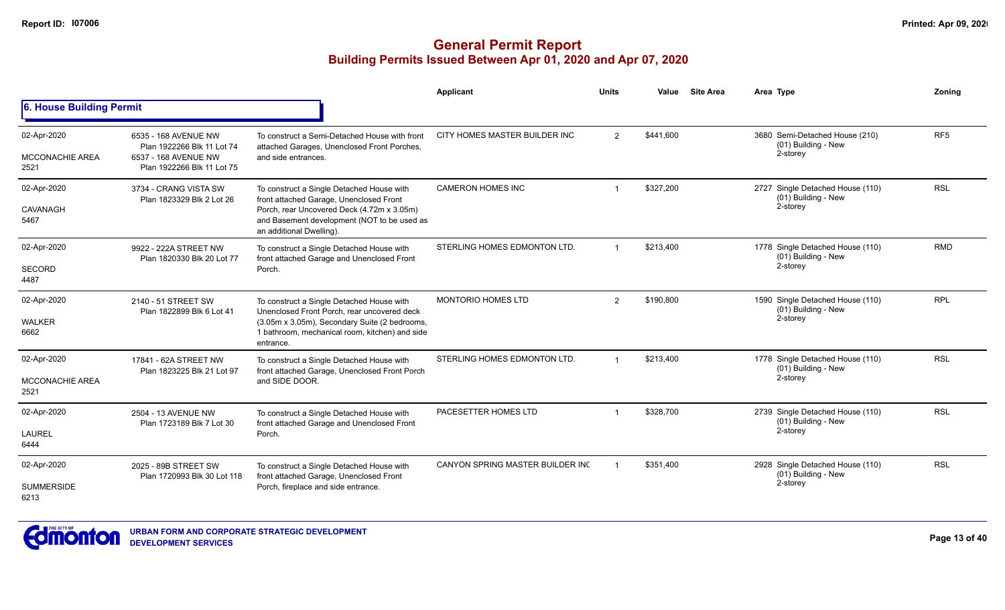|                                               |                                                                                                          |                                                                                                                                                                                                               | Applicant                        | <b>Units</b>   | Value     | <b>Site Area</b> | Area Type                                                           | Zonina          |
|-----------------------------------------------|----------------------------------------------------------------------------------------------------------|---------------------------------------------------------------------------------------------------------------------------------------------------------------------------------------------------------------|----------------------------------|----------------|-----------|------------------|---------------------------------------------------------------------|-----------------|
| <b>6. House Building Permit</b>               |                                                                                                          |                                                                                                                                                                                                               |                                  |                |           |                  |                                                                     |                 |
| 02-Apr-2020<br><b>MCCONACHIE AREA</b><br>2521 | 6535 - 168 AVENUE NW<br>Plan 1922266 Blk 11 Lot 74<br>6537 - 168 AVENUE NW<br>Plan 1922266 Blk 11 Lot 75 | To construct a Semi-Detached House with front<br>attached Garages, Unenclosed Front Porches,<br>and side entrances.                                                                                           | CITY HOMES MASTER BUILDER INC    | $\overline{2}$ | \$441.600 |                  | 3680 Semi-Detached House (210)<br>(01) Building - New<br>2-storey   | RF <sub>5</sub> |
| 02-Apr-2020<br>CAVANAGH<br>5467               | 3734 - CRANG VISTA SW<br>Plan 1823329 Blk 2 Lot 26                                                       | To construct a Single Detached House with<br>front attached Garage, Unenclosed Front<br>Porch, rear Uncovered Deck (4.72m x 3.05m)<br>and Basement development (NOT to be used as<br>an additional Dwelling). | <b>CAMERON HOMES INC</b>         | $\overline{1}$ | \$327.200 |                  | 2727 Single Detached House (110)<br>(01) Building - New<br>2-storey | <b>RSL</b>      |
| 02-Apr-2020<br><b>SECORD</b><br>4487          | 9922 - 222A STREET NW<br>Plan 1820330 Blk 20 Lot 77                                                      | To construct a Single Detached House with<br>front attached Garage and Unenclosed Front<br>Porch.                                                                                                             | STERLING HOMES EDMONTON LTD.     |                | \$213,400 |                  | 1778 Single Detached House (110)<br>(01) Building - New<br>2-storey | <b>RMD</b>      |
| 02-Apr-2020<br><b>WALKER</b><br>6662          | 2140 - 51 STREET SW<br>Plan 1822899 Blk 6 Lot 41                                                         | To construct a Single Detached House with<br>Unenclosed Front Porch, rear uncovered deck<br>(3.05m x 3.05m), Secondary Suite (2 bedrooms,<br>1 bathroom, mechanical room, kitchen) and side<br>entrance.      | <b>MONTORIO HOMES LTD</b>        | $\overline{2}$ | \$190,800 |                  | 1590 Single Detached House (110)<br>(01) Building - New<br>2-storey | <b>RPL</b>      |
| 02-Apr-2020<br><b>MCCONACHIE AREA</b><br>2521 | 17841 - 62A STREET NW<br>Plan 1823225 Blk 21 Lot 97                                                      | To construct a Single Detached House with<br>front attached Garage, Unenclosed Front Porch<br>and SIDE DOOR.                                                                                                  | STERLING HOMES EDMONTON LTD.     |                | \$213,400 |                  | 1778 Single Detached House (110)<br>(01) Building - New<br>2-storey | <b>RSL</b>      |
| 02-Apr-2020<br>LAUREL<br>6444                 | 2504 - 13 AVENUE NW<br>Plan 1723189 Blk 7 Lot 30                                                         | To construct a Single Detached House with<br>front attached Garage and Unenclosed Front<br>Porch.                                                                                                             | PACESETTER HOMES LTD             |                | \$328,700 |                  | 2739 Single Detached House (110)<br>(01) Building - New<br>2-storey | <b>RSL</b>      |
| 02-Apr-2020<br><b>SUMMERSIDE</b><br>6213      | 2025 - 89B STREET SW<br>Plan 1720993 Blk 30 Lot 118                                                      | To construct a Single Detached House with<br>front attached Garage, Unenclosed Front<br>Porch, fireplace and side entrance.                                                                                   | CANYON SPRING MASTER BUILDER INC |                | \$351,400 |                  | 2928 Single Detached House (110)<br>(01) Building - New<br>2-storey | <b>RSL</b>      |

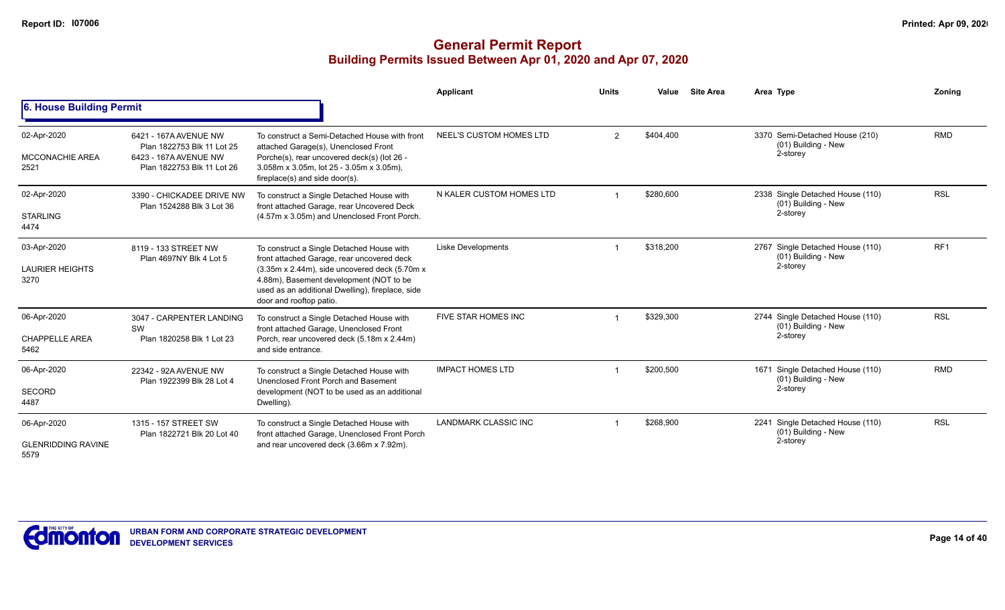|                                                  |                                                                                                            |                                                                                                                                                                                                                                                                    | Applicant                 | <b>Units</b> | Value     | <b>Site Area</b> | Area Type                                                           | Zoning          |
|--------------------------------------------------|------------------------------------------------------------------------------------------------------------|--------------------------------------------------------------------------------------------------------------------------------------------------------------------------------------------------------------------------------------------------------------------|---------------------------|--------------|-----------|------------------|---------------------------------------------------------------------|-----------------|
| 6. House Building Permit                         |                                                                                                            |                                                                                                                                                                                                                                                                    |                           |              |           |                  |                                                                     |                 |
| 02-Apr-2020<br><b>MCCONACHIE AREA</b><br>2521    | 6421 - 167A AVENUE NW<br>Plan 1822753 Blk 11 Lot 25<br>6423 - 167A AVENUE NW<br>Plan 1822753 Blk 11 Lot 26 | To construct a Semi-Detached House with front<br>attached Garage(s), Unenclosed Front<br>Porche(s), rear uncovered deck(s) (lot 26 -<br>3.058m x 3.05m, lot 25 - 3.05m x 3.05m),<br>fireplace(s) and side door(s).                                                 | NEEL'S CUSTOM HOMES LTD   | 2            | \$404,400 |                  | 3370 Semi-Detached House (210)<br>(01) Building - New<br>2-storey   | <b>RMD</b>      |
| 02-Apr-2020<br><b>STARLING</b><br>4474           | 3390 - CHICKADEE DRIVE NW<br>Plan 1524288 Blk 3 Lot 36                                                     | To construct a Single Detached House with<br>front attached Garage, rear Uncovered Deck<br>(4.57m x 3.05m) and Unenclosed Front Porch.                                                                                                                             | N KALER CUSTOM HOMES LTD  |              | \$280,600 |                  | 2338 Single Detached House (110)<br>(01) Building - New<br>2-storey | <b>RSL</b>      |
| 03-Apr-2020<br><b>LAURIER HEIGHTS</b><br>3270    | 8119 - 133 STREET NW<br>Plan 4697NY Blk 4 Lot 5                                                            | To construct a Single Detached House with<br>front attached Garage, rear uncovered deck<br>(3.35m x 2.44m), side uncovered deck (5.70m x<br>4.88m), Basement development (NOT to be<br>used as an additional Dwelling), fireplace, side<br>door and rooftop patio. | <b>Liske Developments</b> |              | \$318,200 |                  | 2767 Single Detached House (110)<br>(01) Building - New<br>2-storey | RF <sub>1</sub> |
| 06-Apr-2020<br><b>CHAPPELLE AREA</b><br>5462     | 3047 - CARPENTER LANDING<br>SW<br>Plan 1820258 Blk 1 Lot 23                                                | To construct a Single Detached House with<br>front attached Garage, Unenclosed Front<br>Porch, rear uncovered deck (5.18m x 2.44m)<br>and side entrance.                                                                                                           | FIVE STAR HOMES INC       |              | \$329,300 |                  | 2744 Single Detached House (110)<br>(01) Building - New<br>2-storey | <b>RSL</b>      |
| 06-Apr-2020<br><b>SECORD</b><br>4487             | 22342 - 92A AVENUE NW<br>Plan 1922399 Blk 28 Lot 4                                                         | To construct a Single Detached House with<br>Unenclosed Front Porch and Basement<br>development (NOT to be used as an additional<br>Dwelling).                                                                                                                     | <b>IMPACT HOMES LTD</b>   |              | \$200,500 |                  | 1671 Single Detached House (110)<br>(01) Building - New<br>2-storey | <b>RMD</b>      |
| 06-Apr-2020<br><b>GLENRIDDING RAVINE</b><br>5579 | 1315 - 157 STREET SW<br>Plan 1822721 Blk 20 Lot 40                                                         | To construct a Single Detached House with<br>front attached Garage, Unenclosed Front Porch<br>and rear uncovered deck (3.66m x 7.92m).                                                                                                                             | LANDMARK CLASSIC INC      |              | \$268,900 |                  | 2241 Single Detached House (110)<br>(01) Building - New<br>2-storey | <b>RSL</b>      |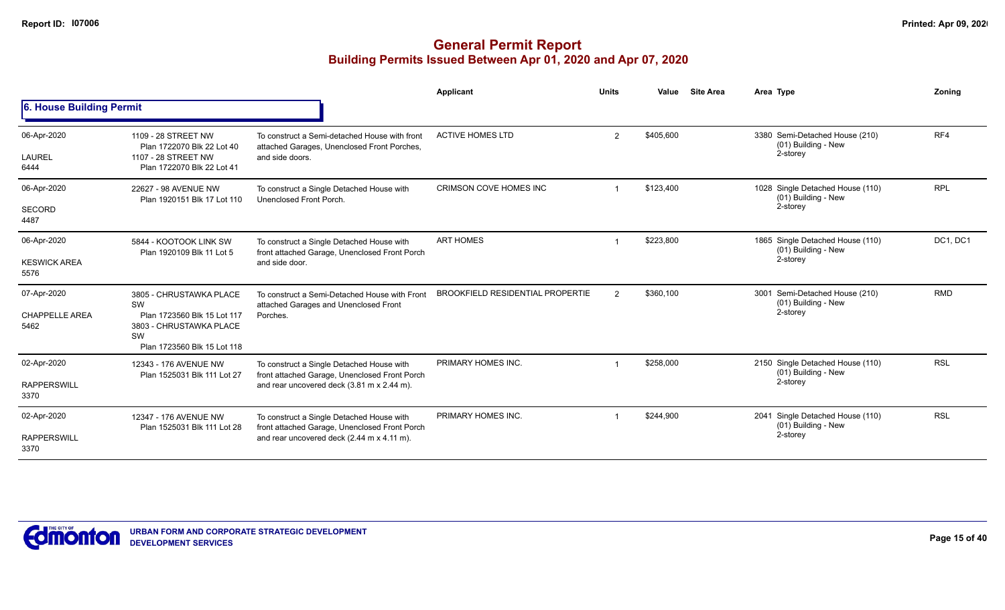|                                              |                                                                                                                              |                                                                                                                                          | Applicant                               | <b>Units</b>   | Value     | <b>Site Area</b> | Area Type                                                           | Zonina     |
|----------------------------------------------|------------------------------------------------------------------------------------------------------------------------------|------------------------------------------------------------------------------------------------------------------------------------------|-----------------------------------------|----------------|-----------|------------------|---------------------------------------------------------------------|------------|
| 6. House Building Permit                     |                                                                                                                              |                                                                                                                                          |                                         |                |           |                  |                                                                     |            |
| 06-Apr-2020<br><b>LAUREL</b>                 | 1109 - 28 STREET NW<br>Plan 1722070 Blk 22 Lot 40<br>1107 - 28 STREET NW                                                     | To construct a Semi-detached House with front<br>attached Garages, Unenclosed Front Porches,<br>and side doors.                          | <b>ACTIVE HOMES LTD</b>                 | $\overline{2}$ | \$405,600 |                  | 3380 Semi-Detached House (210)<br>(01) Building - New<br>2-storey   | RF4        |
| 6444                                         | Plan 1722070 Blk 22 Lot 41                                                                                                   |                                                                                                                                          |                                         |                |           |                  |                                                                     |            |
| 06-Apr-2020                                  | 22627 - 98 AVENUE NW<br>Plan 1920151 Blk 17 Lot 110                                                                          | To construct a Single Detached House with<br>Unenclosed Front Porch.                                                                     | <b>CRIMSON COVE HOMES INC</b>           |                | \$123,400 |                  | 1028 Single Detached House (110)<br>(01) Building - New             | <b>RPL</b> |
| <b>SECORD</b><br>4487                        |                                                                                                                              |                                                                                                                                          |                                         |                |           |                  | 2-storey                                                            |            |
| 06-Apr-2020                                  | 5844 - KOOTOOK LINK SW<br>Plan 1920109 Blk 11 Lot 5                                                                          | To construct a Single Detached House with<br>front attached Garage, Unenclosed Front Porch                                               | <b>ART HOMES</b>                        |                | \$223,800 |                  | 1865 Single Detached House (110)<br>(01) Building - New             | DC1, DC1   |
| <b>KESWICK AREA</b><br>5576                  |                                                                                                                              | and side door.                                                                                                                           |                                         |                |           |                  | 2-storey                                                            |            |
| 07-Apr-2020<br><b>CHAPPELLE AREA</b><br>5462 | 3805 - CHRUSTAWKA PLACE<br>SW<br>Plan 1723560 Blk 15 Lot 117<br>3803 - CHRUSTAWKA PLACE<br>SW<br>Plan 1723560 Blk 15 Lot 118 | To construct a Semi-Detached House with Front<br>attached Garages and Unenclosed Front<br>Porches.                                       | <b>BROOKFIELD RESIDENTIAL PROPERTIE</b> | $\overline{2}$ | \$360,100 |                  | 3001 Semi-Detached House (210)<br>(01) Building - New<br>2-storey   | <b>RMD</b> |
| 02-Apr-2020<br><b>RAPPERSWILL</b><br>3370    | 12343 - 176 AVENUE NW<br>Plan 1525031 Blk 111 Lot 27                                                                         | To construct a Single Detached House with<br>front attached Garage, Unenclosed Front Porch<br>and rear uncovered deck (3.81 m x 2.44 m). | PRIMARY HOMES INC.                      |                | \$258,000 |                  | 2150 Single Detached House (110)<br>(01) Building - New<br>2-storey | <b>RSL</b> |
| 02-Apr-2020                                  | 12347 - 176 AVENUE NW<br>Plan 1525031 Blk 111 Lot 28                                                                         | To construct a Single Detached House with<br>front attached Garage, Unenclosed Front Porch                                               | PRIMARY HOMES INC.                      |                | \$244,900 |                  | 2041 Single Detached House (110)<br>(01) Building - New             | <b>RSL</b> |
| <b>RAPPERSWILL</b><br>3370                   |                                                                                                                              | and rear uncovered deck (2.44 m x 4.11 m).                                                                                               |                                         |                |           |                  | 2-storey                                                            |            |

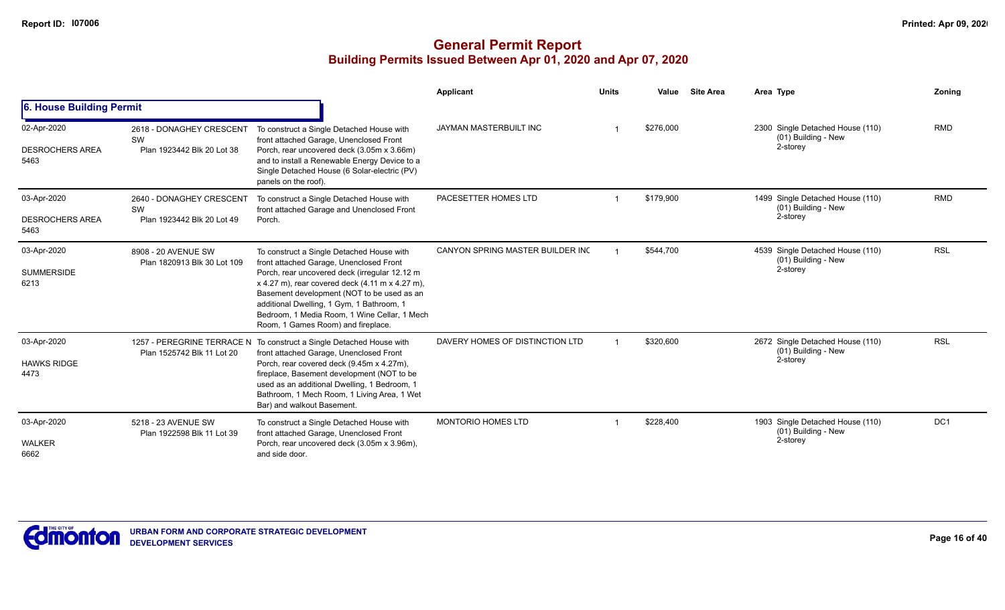|                                               |                                                              |                                                                                                                                                                                                                                                                                                                                                                           | Applicant                        | <b>Units</b> | Value     | <b>Site Area</b> | Area Type                                                           | Zoning     |
|-----------------------------------------------|--------------------------------------------------------------|---------------------------------------------------------------------------------------------------------------------------------------------------------------------------------------------------------------------------------------------------------------------------------------------------------------------------------------------------------------------------|----------------------------------|--------------|-----------|------------------|---------------------------------------------------------------------|------------|
| 6. House Building Permit                      |                                                              |                                                                                                                                                                                                                                                                                                                                                                           |                                  |              |           |                  |                                                                     |            |
| 02-Apr-2020<br><b>DESROCHERS AREA</b><br>5463 | 2618 - DONAGHEY CRESCENT<br>SW<br>Plan 1923442 Blk 20 Lot 38 | To construct a Single Detached House with<br>front attached Garage, Unenclosed Front<br>Porch, rear uncovered deck (3.05m x 3.66m)<br>and to install a Renewable Energy Device to a<br>Single Detached House (6 Solar-electric (PV)<br>panels on the roof).                                                                                                               | JAYMAN MASTERBUILT INC           |              | \$276,000 |                  | 2300 Single Detached House (110)<br>(01) Building - New<br>2-storey | <b>RMD</b> |
| 03-Apr-2020<br><b>DESROCHERS AREA</b><br>5463 | 2640 - DONAGHEY CRESCENT<br>SW<br>Plan 1923442 Blk 20 Lot 49 | To construct a Single Detached House with<br>front attached Garage and Unenclosed Front<br>Porch.                                                                                                                                                                                                                                                                         | PACESETTER HOMES LTD             |              | \$179,900 |                  | 1499 Single Detached House (110)<br>(01) Building - New<br>2-storey | <b>RMD</b> |
| 03-Apr-2020<br><b>SUMMERSIDE</b><br>6213      | 8908 - 20 AVENUE SW<br>Plan 1820913 Blk 30 Lot 109           | To construct a Single Detached House with<br>front attached Garage, Unenclosed Front<br>Porch, rear uncovered deck (irregular 12.12 m<br>x 4.27 m), rear covered deck (4.11 m x 4.27 m),<br>Basement development (NOT to be used as an<br>additional Dwelling, 1 Gym, 1 Bathroom, 1<br>Bedroom, 1 Media Room, 1 Wine Cellar, 1 Mech<br>Room, 1 Games Room) and fireplace. | CANYON SPRING MASTER BUILDER INC |              | \$544.700 |                  | 4539 Single Detached House (110)<br>(01) Building - New<br>2-storey | <b>RSL</b> |
| 03-Apr-2020<br><b>HAWKS RIDGE</b><br>4473     | Plan 1525742 Blk 11 Lot 20                                   | 1257 - PEREGRINE TERRACE N To construct a Single Detached House with<br>front attached Garage, Unenclosed Front<br>Porch, rear covered deck (9.45m x 4.27m),<br>fireplace, Basement development (NOT to be<br>used as an additional Dwelling, 1 Bedroom, 1<br>Bathroom, 1 Mech Room, 1 Living Area, 1 Wet<br>Bar) and walkout Basement.                                   | DAVERY HOMES OF DISTINCTION LTD  |              | \$320,600 |                  | 2672 Single Detached House (110)<br>(01) Building - New<br>2-storey | <b>RSL</b> |
| 03-Apr-2020<br><b>WALKER</b><br>6662          | 5218 - 23 AVENUE SW<br>Plan 1922598 Blk 11 Lot 39            | To construct a Single Detached House with<br>front attached Garage, Unenclosed Front<br>Porch, rear uncovered deck (3.05m x 3.96m),<br>and side door.                                                                                                                                                                                                                     | <b>MONTORIO HOMES LTD</b>        |              | \$228,400 |                  | 1903 Single Detached House (110)<br>(01) Building - New<br>2-storey | DC1        |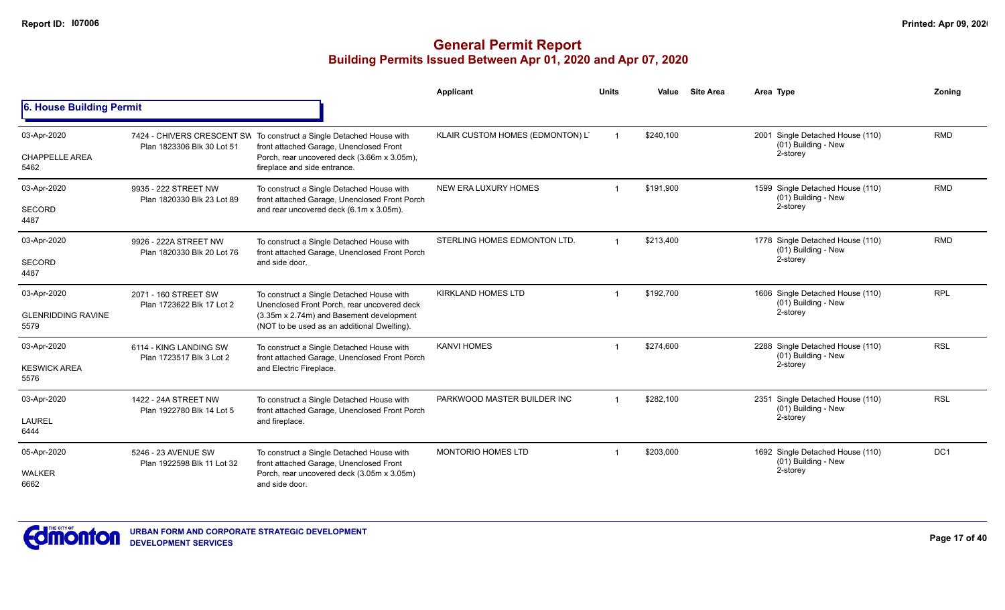|                                                  |                                                     |                                                                                                                                                                                                | <b>Applicant</b>                 | <b>Units</b>   | Value     | <b>Site Area</b> | Area Type                                                           | Zonina          |
|--------------------------------------------------|-----------------------------------------------------|------------------------------------------------------------------------------------------------------------------------------------------------------------------------------------------------|----------------------------------|----------------|-----------|------------------|---------------------------------------------------------------------|-----------------|
| 6. House Building Permit                         |                                                     |                                                                                                                                                                                                |                                  |                |           |                  |                                                                     |                 |
| 03-Apr-2020<br><b>CHAPPELLE AREA</b><br>5462     | Plan 1823306 Blk 30 Lot 51                          | 7424 - CHIVERS CRESCENT SW To construct a Single Detached House with<br>front attached Garage, Unenclosed Front<br>Porch, rear uncovered deck (3.66m x 3.05m),<br>fireplace and side entrance. | KLAIR CUSTOM HOMES (EDMONTON) L' |                | \$240.100 |                  | 2001 Single Detached House (110)<br>(01) Building - New<br>2-storey | <b>RMD</b>      |
| 03-Apr-2020<br><b>SECORD</b><br>4487             | 9935 - 222 STREET NW<br>Plan 1820330 Blk 23 Lot 89  | To construct a Single Detached House with<br>front attached Garage, Unenclosed Front Porch<br>and rear uncovered deck (6.1m x 3.05m).                                                          | NEW ERA LUXURY HOMES             |                | \$191,900 |                  | 1599 Single Detached House (110)<br>(01) Building - New<br>2-storey | <b>RMD</b>      |
| 03-Apr-2020<br><b>SECORD</b><br>4487             | 9926 - 222A STREET NW<br>Plan 1820330 Blk 20 Lot 76 | To construct a Single Detached House with<br>front attached Garage, Unenclosed Front Porch<br>and side door.                                                                                   | STERLING HOMES EDMONTON LTD.     | $\overline{1}$ | \$213,400 |                  | 1778 Single Detached House (110)<br>(01) Building - New<br>2-storey | <b>RMD</b>      |
| 03-Apr-2020<br><b>GLENRIDDING RAVINE</b><br>5579 | 2071 - 160 STREET SW<br>Plan 1723622 Blk 17 Lot 2   | To construct a Single Detached House with<br>Unenclosed Front Porch, rear uncovered deck<br>(3.35m x 2.74m) and Basement development<br>(NOT to be used as an additional Dwelling).            | <b>KIRKLAND HOMES LTD</b>        |                | \$192.700 |                  | 1606 Single Detached House (110)<br>(01) Building - New<br>2-storey | <b>RPL</b>      |
| 03-Apr-2020<br><b>KESWICK AREA</b><br>5576       | 6114 - KING LANDING SW<br>Plan 1723517 Blk 3 Lot 2  | To construct a Single Detached House with<br>front attached Garage, Unenclosed Front Porch<br>and Electric Fireplace.                                                                          | <b>KANVI HOMES</b>               |                | \$274,600 |                  | 2288 Single Detached House (110)<br>(01) Building - New<br>2-storey | <b>RSL</b>      |
| 03-Apr-2020<br><b>LAUREL</b><br>6444             | 1422 - 24A STREET NW<br>Plan 1922780 Blk 14 Lot 5   | To construct a Single Detached House with<br>front attached Garage, Unenclosed Front Porch<br>and fireplace.                                                                                   | PARKWOOD MASTER BUILDER INC      | $\overline{1}$ | \$282,100 |                  | 2351 Single Detached House (110)<br>(01) Building - New<br>2-storey | <b>RSL</b>      |
| 05-Apr-2020<br><b>WALKER</b><br>6662             | 5246 - 23 AVENUE SW<br>Plan 1922598 Blk 11 Lot 32   | To construct a Single Detached House with<br>front attached Garage, Unenclosed Front<br>Porch, rear uncovered deck (3.05m x 3.05m)<br>and side door.                                           | <b>MONTORIO HOMES LTD</b>        |                | \$203,000 |                  | 1692 Single Detached House (110)<br>(01) Building - New<br>2-storey | DC <sub>1</sub> |

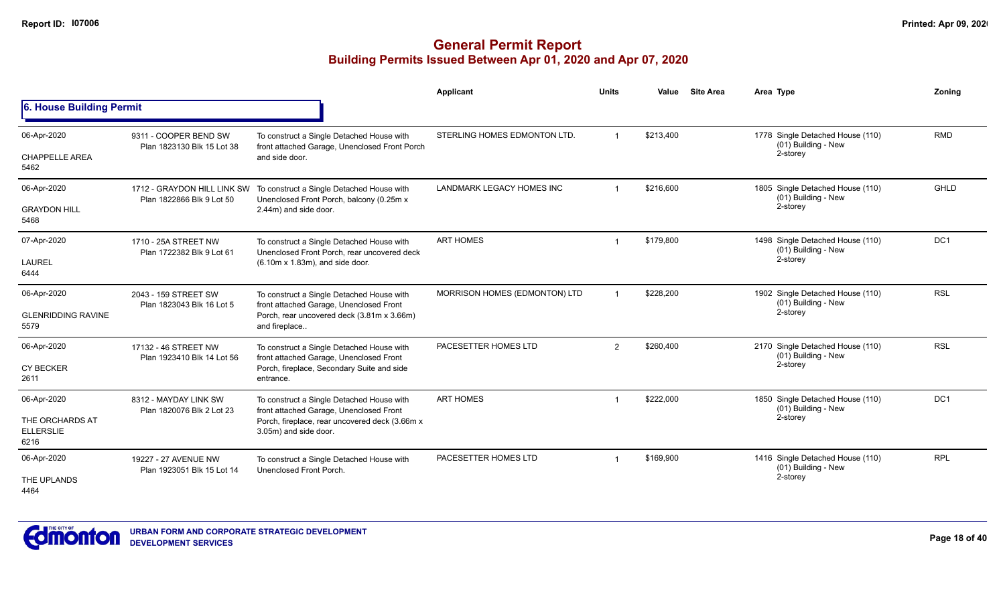|                                                            |                                                          |                                                                                                                                                                 | <b>Applicant</b>              | <b>Units</b>            | Value     | <b>Site Area</b> | Area Type                                                           | Zoning          |
|------------------------------------------------------------|----------------------------------------------------------|-----------------------------------------------------------------------------------------------------------------------------------------------------------------|-------------------------------|-------------------------|-----------|------------------|---------------------------------------------------------------------|-----------------|
| 6. House Building Permit                                   |                                                          |                                                                                                                                                                 |                               |                         |           |                  |                                                                     |                 |
| 06-Apr-2020<br><b>CHAPPELLE AREA</b><br>5462               | 9311 - COOPER BEND SW<br>Plan 1823130 Blk 15 Lot 38      | To construct a Single Detached House with<br>front attached Garage, Unenclosed Front Porch<br>and side door.                                                    | STERLING HOMES EDMONTON LTD.  |                         | \$213,400 |                  | 1778 Single Detached House (110)<br>(01) Building - New<br>2-storey | <b>RMD</b>      |
| 06-Apr-2020<br><b>GRAYDON HILL</b><br>5468                 | 1712 - GRAYDON HILL LINK SW<br>Plan 1822866 Blk 9 Lot 50 | To construct a Single Detached House with<br>Unenclosed Front Porch, balcony (0.25m x<br>2.44m) and side door.                                                  | LANDMARK LEGACY HOMES INC     | $\overline{\mathbf{1}}$ | \$216,600 |                  | 1805 Single Detached House (110)<br>(01) Building - New<br>2-storey | <b>GHLD</b>     |
| 07-Apr-2020<br><b>LAUREL</b><br>6444                       | 1710 - 25A STREET NW<br>Plan 1722382 Blk 9 Lot 61        | To construct a Single Detached House with<br>Unenclosed Front Porch, rear uncovered deck<br>$(6.10m \times 1.83m)$ , and side door.                             | <b>ART HOMES</b>              | -1                      | \$179.800 |                  | 1498 Single Detached House (110)<br>(01) Building - New<br>2-storey | DC <sub>1</sub> |
| 06-Apr-2020<br><b>GLENRIDDING RAVINE</b><br>5579           | 2043 - 159 STREET SW<br>Plan 1823043 Blk 16 Lot 5        | To construct a Single Detached House with<br>front attached Garage, Unenclosed Front<br>Porch, rear uncovered deck (3.81m x 3.66m)<br>and fireplace             | MORRISON HOMES (EDMONTON) LTD | $\overline{ }$          | \$228,200 |                  | 1902 Single Detached House (110)<br>(01) Building - New<br>2-storey | <b>RSL</b>      |
| 06-Apr-2020<br><b>CY BECKER</b><br>2611                    | 17132 - 46 STREET NW<br>Plan 1923410 Blk 14 Lot 56       | To construct a Single Detached House with<br>front attached Garage, Unenclosed Front<br>Porch, fireplace, Secondary Suite and side<br>entrance.                 | PACESETTER HOMES LTD          | $\overline{2}$          | \$260,400 |                  | 2170 Single Detached House (110)<br>(01) Building - New<br>2-storey | <b>RSL</b>      |
| 06-Apr-2020<br>THE ORCHARDS AT<br><b>ELLERSLIE</b><br>6216 | 8312 - MAYDAY LINK SW<br>Plan 1820076 Blk 2 Lot 23       | To construct a Single Detached House with<br>front attached Garage, Unenclosed Front<br>Porch, fireplace, rear uncovered deck (3.66m x<br>3.05m) and side door. | <b>ART HOMES</b>              |                         | \$222,000 |                  | 1850 Single Detached House (110)<br>(01) Building - New<br>2-storey | DC <sub>1</sub> |
| 06-Apr-2020<br>THE UPLANDS<br>4464                         | 19227 - 27 AVENUE NW<br>Plan 1923051 Blk 15 Lot 14       | To construct a Single Detached House with<br>Unenclosed Front Porch.                                                                                            | PACESETTER HOMES LTD          |                         | \$169,900 |                  | 1416 Single Detached House (110)<br>(01) Building - New<br>2-storey | <b>RPL</b>      |

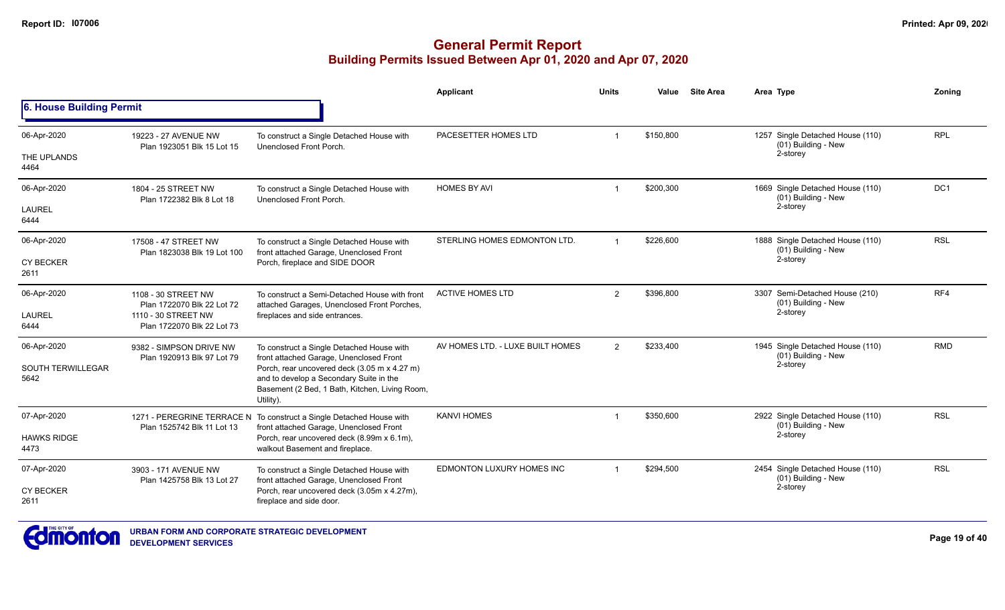|                                  |                                                          |                                                                                                                                                        | <b>Applicant</b>                 | <b>Units</b>            | Value     | <b>Site Area</b> | Area Type                                               | Zonina          |
|----------------------------------|----------------------------------------------------------|--------------------------------------------------------------------------------------------------------------------------------------------------------|----------------------------------|-------------------------|-----------|------------------|---------------------------------------------------------|-----------------|
| 6. House Building Permit         |                                                          |                                                                                                                                                        |                                  |                         |           |                  |                                                         |                 |
| 06-Apr-2020                      | 19223 - 27 AVENUE NW<br>Plan 1923051 Blk 15 Lot 15       | To construct a Single Detached House with<br>Unenclosed Front Porch.                                                                                   | PACESETTER HOMES LTD             | -1                      | \$150,800 |                  | 1257 Single Detached House (110)<br>(01) Building - New | <b>RPL</b>      |
| THE UPLANDS<br>4464              |                                                          |                                                                                                                                                        |                                  |                         |           |                  | 2-storey                                                |                 |
| 06-Apr-2020                      | 1804 - 25 STREET NW<br>Plan 1722382 Blk 8 Lot 18         | To construct a Single Detached House with<br>Unenclosed Front Porch.                                                                                   | <b>HOMES BY AVI</b>              | $\overline{1}$          | \$200,300 |                  | 1669 Single Detached House (110)<br>(01) Building - New | DC <sub>1</sub> |
| <b>LAUREL</b><br>6444            |                                                          |                                                                                                                                                        |                                  |                         |           |                  | 2-storey                                                |                 |
| 06-Apr-2020                      | 17508 - 47 STREET NW<br>Plan 1823038 Blk 19 Lot 100      | To construct a Single Detached House with<br>front attached Garage, Unenclosed Front                                                                   | STERLING HOMES EDMONTON LTD.     | $\overline{1}$          | \$226,600 |                  | 1888 Single Detached House (110)<br>(01) Building - New | <b>RSL</b>      |
| <b>CY BECKER</b><br>2611         |                                                          | Porch, fireplace and SIDE DOOR                                                                                                                         |                                  |                         |           |                  | 2-storey                                                |                 |
| 06-Apr-2020                      | 1108 - 30 STREET NW<br>Plan 1722070 Blk 22 Lot 72        | To construct a Semi-Detached House with front<br>attached Garages, Unenclosed Front Porches,                                                           | <b>ACTIVE HOMES LTD</b>          | $\overline{2}$          | \$396,800 |                  | 3307 Semi-Detached House (210)<br>(01) Building - New   | RF4             |
| <b>LAUREL</b><br>6444            | 1110 - 30 STREET NW<br>Plan 1722070 Blk 22 Lot 73        | fireplaces and side entrances.                                                                                                                         |                                  |                         |           |                  | 2-storey                                                |                 |
| 06-Apr-2020                      | 9382 - SIMPSON DRIVE NW<br>Plan 1920913 Blk 97 Lot 79    | To construct a Single Detached House with<br>front attached Garage, Unenclosed Front                                                                   | AV HOMES LTD. - LUXE BUILT HOMES | $\overline{2}$          | \$233,400 |                  | 1945 Single Detached House (110)<br>(01) Building - New | <b>RMD</b>      |
| <b>SOUTH TERWILLEGAR</b><br>5642 |                                                          | Porch, rear uncovered deck (3.05 m x 4.27 m)<br>and to develop a Secondary Suite in the<br>Basement (2 Bed, 1 Bath, Kitchen, Living Room,<br>Utility). |                                  |                         |           |                  | 2-storey                                                |                 |
| 07-Apr-2020                      | 1271 - PEREGRINE TERRACE N<br>Plan 1525742 Blk 11 Lot 13 | To construct a Single Detached House with<br>front attached Garage, Unenclosed Front                                                                   | <b>KANVI HOMES</b>               |                         | \$350,600 |                  | 2922 Single Detached House (110)<br>(01) Building - New | <b>RSL</b>      |
| <b>HAWKS RIDGE</b><br>4473       |                                                          | Porch, rear uncovered deck (8.99m x 6.1m),<br>walkout Basement and fireplace.                                                                          |                                  |                         |           |                  | 2-storey                                                |                 |
| 07-Apr-2020                      | 3903 - 171 AVENUE NW<br>Plan 1425758 Blk 13 Lot 27       | To construct a Single Detached House with<br>front attached Garage, Unenclosed Front                                                                   | EDMONTON LUXURY HOMES INC        | $\overline{\mathbf{1}}$ | \$294,500 |                  | 2454 Single Detached House (110)<br>(01) Building - New | <b>RSL</b>      |
| <b>CY BECKER</b><br>2611         |                                                          | Porch, rear uncovered deck (3.05m x 4.27m),<br>fireplace and side door.                                                                                |                                  |                         |           |                  | 2-storey                                                |                 |

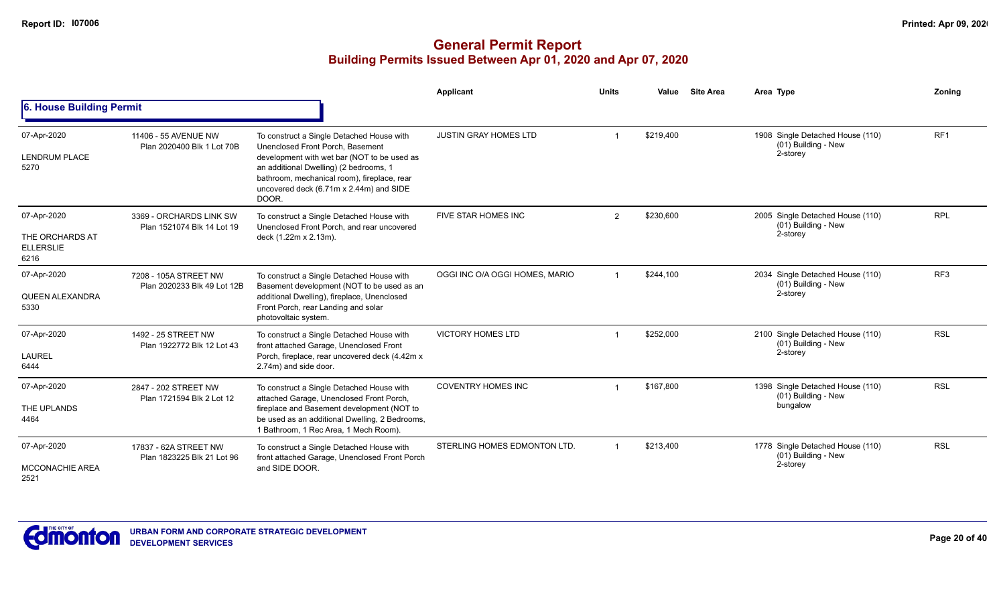|                                                            |                                                       |                                                                                                                                                                                                                                                                           | <b>Applicant</b>               | <b>Units</b>   | Value     | <b>Site Area</b> | Area Type                                                           | Zoning          |
|------------------------------------------------------------|-------------------------------------------------------|---------------------------------------------------------------------------------------------------------------------------------------------------------------------------------------------------------------------------------------------------------------------------|--------------------------------|----------------|-----------|------------------|---------------------------------------------------------------------|-----------------|
| 6. House Building Permit                                   |                                                       |                                                                                                                                                                                                                                                                           |                                |                |           |                  |                                                                     |                 |
| 07-Apr-2020<br><b>LENDRUM PLACE</b><br>5270                | 11406 - 55 AVENUE NW<br>Plan 2020400 Blk 1 Lot 70B    | To construct a Single Detached House with<br>Unenclosed Front Porch, Basement<br>development with wet bar (NOT to be used as<br>an additional Dwelling) (2 bedrooms, 1<br>bathroom, mechanical room), fireplace, rear<br>uncovered deck (6.71m x 2.44m) and SIDE<br>DOOR. | <b>JUSTIN GRAY HOMES LTD</b>   |                | \$219,400 |                  | 1908 Single Detached House (110)<br>(01) Building - New<br>2-storey | RF <sub>1</sub> |
| 07-Apr-2020<br>THE ORCHARDS AT<br><b>ELLERSLIE</b><br>6216 | 3369 - ORCHARDS LINK SW<br>Plan 1521074 Blk 14 Lot 19 | To construct a Single Detached House with<br>Unenclosed Front Porch, and rear uncovered<br>deck (1.22m x 2.13m).                                                                                                                                                          | FIVE STAR HOMES INC            | $\overline{2}$ | \$230,600 |                  | 2005 Single Detached House (110)<br>(01) Building - New<br>2-storey | <b>RPL</b>      |
| 07-Apr-2020<br>QUEEN ALEXANDRA<br>5330                     | 7208 - 105A STREET NW<br>Plan 2020233 Blk 49 Lot 12B  | To construct a Single Detached House with<br>Basement development (NOT to be used as an<br>additional Dwelling), fireplace, Unenclosed<br>Front Porch, rear Landing and solar<br>photovoltaic system.                                                                     | OGGI INC O/A OGGI HOMES, MARIO |                | \$244,100 |                  | 2034 Single Detached House (110)<br>(01) Building - New<br>2-storey | RF <sub>3</sub> |
| 07-Apr-2020<br><b>LAUREL</b><br>6444                       | 1492 - 25 STREET NW<br>Plan 1922772 Blk 12 Lot 43     | To construct a Single Detached House with<br>front attached Garage, Unenclosed Front<br>Porch, fireplace, rear uncovered deck (4.42m x)<br>2.74m) and side door.                                                                                                          | <b>VICTORY HOMES LTD</b>       |                | \$252,000 |                  | 2100 Single Detached House (110)<br>(01) Building - New<br>2-storey | <b>RSL</b>      |
| 07-Apr-2020<br>THE UPLANDS<br>4464                         | 2847 - 202 STREET NW<br>Plan 1721594 Blk 2 Lot 12     | To construct a Single Detached House with<br>attached Garage, Unenclosed Front Porch,<br>fireplace and Basement development (NOT to<br>be used as an additional Dwelling, 2 Bedrooms,<br>1 Bathroom, 1 Rec Area, 1 Mech Room).                                            | <b>COVENTRY HOMES INC</b>      |                | \$167.800 |                  | 1398 Single Detached House (110)<br>(01) Building - New<br>bungalow | <b>RSL</b>      |
| 07-Apr-2020<br><b>MCCONACHIE AREA</b><br>2521              | 17837 - 62A STREET NW<br>Plan 1823225 Blk 21 Lot 96   | To construct a Single Detached House with<br>front attached Garage, Unenclosed Front Porch<br>and SIDE DOOR.                                                                                                                                                              | STERLING HOMES EDMONTON LTD.   |                | \$213,400 |                  | 1778 Single Detached House (110)<br>(01) Building - New<br>2-storey | <b>RSL</b>      |

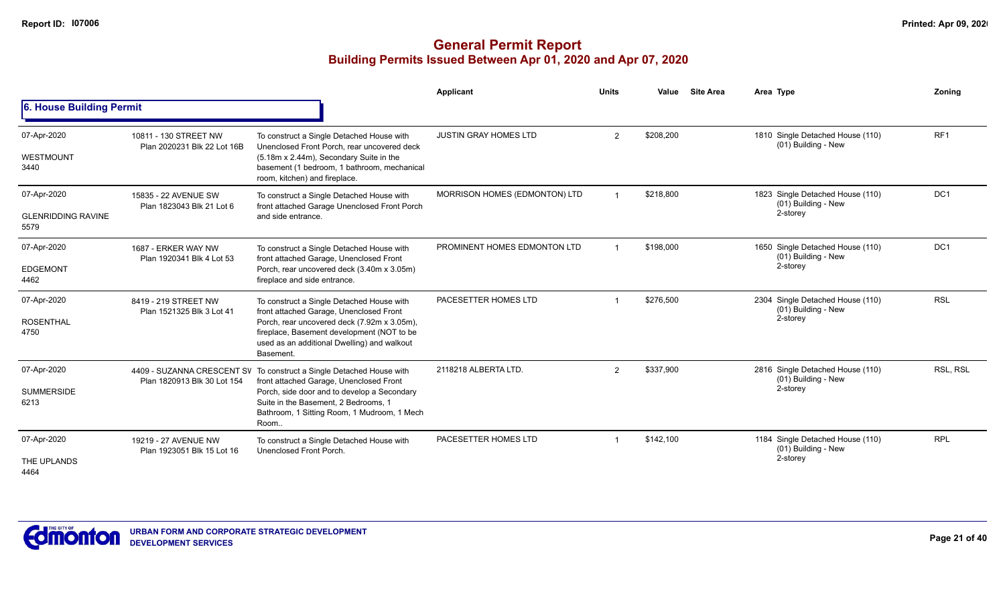|                                                  |                                                           |                                                                                                                                                                                                                                               | <b>Applicant</b>              | <b>Units</b> | Value     | <b>Site Area</b> | Area Type                                                           | Zonina          |
|--------------------------------------------------|-----------------------------------------------------------|-----------------------------------------------------------------------------------------------------------------------------------------------------------------------------------------------------------------------------------------------|-------------------------------|--------------|-----------|------------------|---------------------------------------------------------------------|-----------------|
| 6. House Building Permit                         |                                                           |                                                                                                                                                                                                                                               |                               |              |           |                  |                                                                     |                 |
| 07-Apr-2020<br>WESTMOUNT<br>3440                 | 10811 - 130 STREET NW<br>Plan 2020231 Blk 22 Lot 16B      | To construct a Single Detached House with<br>Unenclosed Front Porch, rear uncovered deck<br>(5.18m x 2.44m), Secondary Suite in the<br>basement (1 bedroom, 1 bathroom, mechanical<br>room, kitchen) and fireplace.                           | <b>JUSTIN GRAY HOMES LTD</b>  | 2            | \$208,200 |                  | 1810 Single Detached House (110)<br>(01) Building - New             | RF <sub>1</sub> |
| 07-Apr-2020<br><b>GLENRIDDING RAVINE</b><br>5579 | 15835 - 22 AVENUE SW<br>Plan 1823043 Blk 21 Lot 6         | To construct a Single Detached House with<br>front attached Garage Unenclosed Front Porch<br>and side entrance.                                                                                                                               | MORRISON HOMES (EDMONTON) LTD |              | \$218,800 |                  | 1823 Single Detached House (110)<br>(01) Building - New<br>2-storey | DC <sub>1</sub> |
| 07-Apr-2020<br><b>EDGEMONT</b><br>4462           | 1687 - ERKER WAY NW<br>Plan 1920341 Blk 4 Lot 53          | To construct a Single Detached House with<br>front attached Garage, Unenclosed Front<br>Porch, rear uncovered deck (3.40m x 3.05m)<br>fireplace and side entrance.                                                                            | PROMINENT HOMES EDMONTON LTD  |              | \$198,000 |                  | 1650 Single Detached House (110)<br>(01) Building - New<br>2-storey | DC <sub>1</sub> |
| 07-Apr-2020<br><b>ROSENTHAL</b><br>4750          | 8419 - 219 STREET NW<br>Plan 1521325 Blk 3 Lot 41         | To construct a Single Detached House with<br>front attached Garage, Unenclosed Front<br>Porch, rear uncovered deck (7.92m x 3.05m),<br>fireplace, Basement development (NOT to be<br>used as an additional Dwelling) and walkout<br>Basement. | PACESETTER HOMES LTD          |              | \$276,500 |                  | 2304 Single Detached House (110)<br>(01) Building - New<br>2-storey | <b>RSL</b>      |
| 07-Apr-2020<br><b>SUMMERSIDE</b><br>6213         | 4409 - SUZANNA CRESCENT SV<br>Plan 1820913 Blk 30 Lot 154 | To construct a Single Detached House with<br>front attached Garage, Unenclosed Front<br>Porch, side door and to develop a Secondary<br>Suite in the Basement, 2 Bedrooms, 1<br>Bathroom, 1 Sitting Room, 1 Mudroom, 1 Mech<br>Room.           | 2118218 ALBERTA LTD.          | 2            | \$337,900 |                  | 2816 Single Detached House (110)<br>(01) Building - New<br>2-storey | <b>RSL. RSL</b> |
| 07-Apr-2020<br>THE UPLANDS<br>4464               | 19219 - 27 AVENUE NW<br>Plan 1923051 Blk 15 Lot 16        | To construct a Single Detached House with<br>Unenclosed Front Porch.                                                                                                                                                                          | PACESETTER HOMES LTD          |              | \$142,100 |                  | 1184 Single Detached House (110)<br>(01) Building - New<br>2-storey | <b>RPL</b>      |

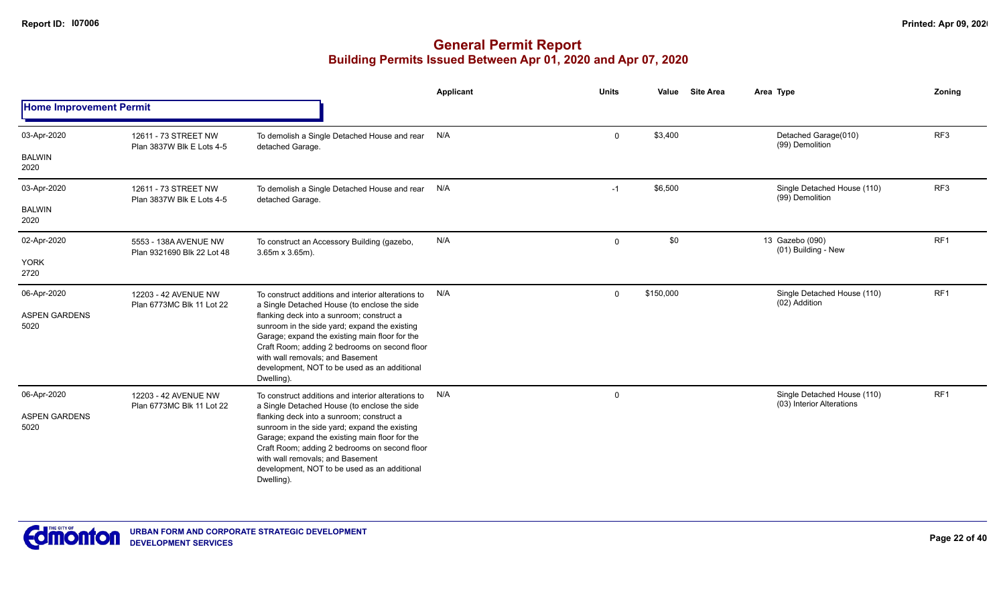|                                |                                                     |                                                                                                                                                                                                                                                                                   | Applicant | <b>Units</b> | Value     | <b>Site Area</b> | Area Type                                                | Zoning          |
|--------------------------------|-----------------------------------------------------|-----------------------------------------------------------------------------------------------------------------------------------------------------------------------------------------------------------------------------------------------------------------------------------|-----------|--------------|-----------|------------------|----------------------------------------------------------|-----------------|
| <b>Home Improvement Permit</b> |                                                     |                                                                                                                                                                                                                                                                                   |           |              |           |                  |                                                          |                 |
| 03-Apr-2020                    | 12611 - 73 STREET NW<br>Plan 3837W Blk E Lots 4-5   | To demolish a Single Detached House and rear<br>detached Garage.                                                                                                                                                                                                                  | N/A       | $\mathbf{0}$ | \$3,400   |                  | Detached Garage(010)<br>(99) Demolition                  | RF <sub>3</sub> |
| <b>BALWIN</b><br>2020          |                                                     |                                                                                                                                                                                                                                                                                   |           |              |           |                  |                                                          |                 |
| 03-Apr-2020                    | 12611 - 73 STREET NW<br>Plan 3837W Blk E Lots 4-5   | To demolish a Single Detached House and rear<br>detached Garage.                                                                                                                                                                                                                  | N/A       | $-1$         | \$6,500   |                  | Single Detached House (110)<br>(99) Demolition           | RF3             |
| <b>BALWIN</b><br>2020          |                                                     |                                                                                                                                                                                                                                                                                   |           |              |           |                  |                                                          |                 |
| 02-Apr-2020                    | 5553 - 138A AVENUE NW<br>Plan 9321690 Blk 22 Lot 48 | To construct an Accessory Building (gazebo,<br>$3.65m \times 3.65m$ ).                                                                                                                                                                                                            | N/A       | $\mathbf 0$  | \$0       |                  | 13 Gazebo (090)<br>(01) Building - New                   | RF1             |
| <b>YORK</b><br>2720            |                                                     |                                                                                                                                                                                                                                                                                   |           |              |           |                  |                                                          |                 |
| 06-Apr-2020                    | 12203 - 42 AVENUE NW<br>Plan 6773MC Blk 11 Lot 22   | To construct additions and interior alterations to<br>a Single Detached House (to enclose the side                                                                                                                                                                                | N/A       | $\Omega$     | \$150,000 |                  | Single Detached House (110)<br>(02) Addition             | RF1             |
| <b>ASPEN GARDENS</b><br>5020   |                                                     | flanking deck into a sunroom; construct a<br>sunroom in the side yard; expand the existing<br>Garage; expand the existing main floor for the                                                                                                                                      |           |              |           |                  |                                                          |                 |
|                                |                                                     | Craft Room; adding 2 bedrooms on second floor<br>with wall removals; and Basement<br>development, NOT to be used as an additional<br>Dwelling).                                                                                                                                   |           |              |           |                  |                                                          |                 |
| 06-Apr-2020                    | 12203 - 42 AVENUE NW<br>Plan 6773MC Blk 11 Lot 22   | To construct additions and interior alterations to<br>a Single Detached House (to enclose the side                                                                                                                                                                                | N/A       | $\mathbf 0$  |           |                  | Single Detached House (110)<br>(03) Interior Alterations | RF <sub>1</sub> |
| <b>ASPEN GARDENS</b><br>5020   |                                                     | flanking deck into a sunroom; construct a<br>sunroom in the side yard; expand the existing<br>Garage; expand the existing main floor for the<br>Craft Room; adding 2 bedrooms on second floor<br>with wall removals: and Basement<br>development, NOT to be used as an additional |           |              |           |                  |                                                          |                 |
|                                |                                                     | Dwelling).                                                                                                                                                                                                                                                                        |           |              |           |                  |                                                          |                 |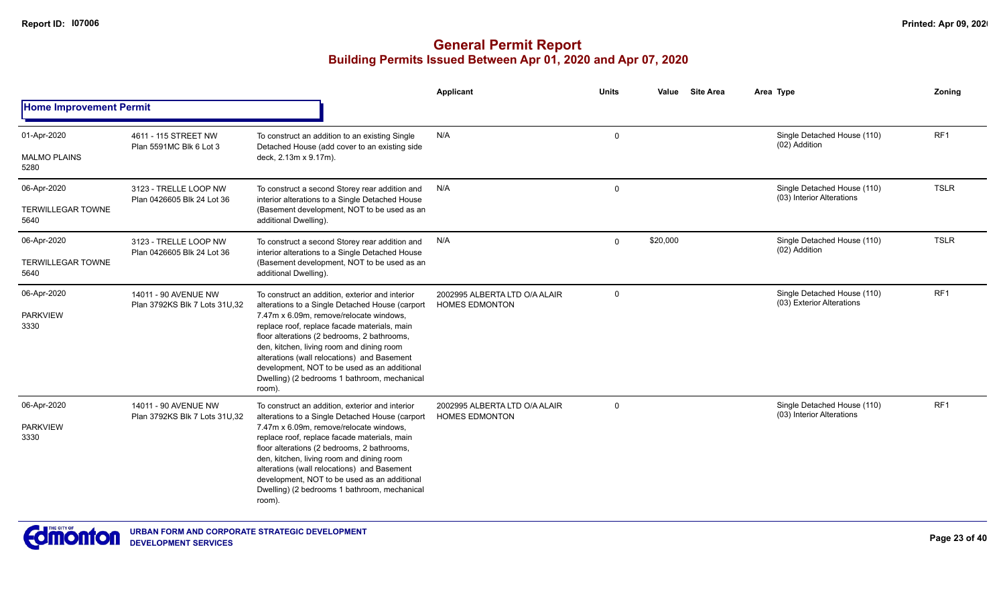|                                        |                                                        |                                                                                                                                                                                                                                                                                                                                                                                                                                                    | Applicant                                              | Units        | <b>Site Area</b><br>Value | Area Type                                                | Zoning          |
|----------------------------------------|--------------------------------------------------------|----------------------------------------------------------------------------------------------------------------------------------------------------------------------------------------------------------------------------------------------------------------------------------------------------------------------------------------------------------------------------------------------------------------------------------------------------|--------------------------------------------------------|--------------|---------------------------|----------------------------------------------------------|-----------------|
| <b>Home Improvement Permit</b>         |                                                        |                                                                                                                                                                                                                                                                                                                                                                                                                                                    |                                                        |              |                           |                                                          |                 |
| 01-Apr-2020                            | 4611 - 115 STREET NW<br>Plan 5591MC Blk 6 Lot 3        | To construct an addition to an existing Single<br>Detached House (add cover to an existing side                                                                                                                                                                                                                                                                                                                                                    | N/A                                                    | $\Omega$     |                           | Single Detached House (110)<br>(02) Addition             | RF <sub>1</sub> |
| <b>MALMO PLAINS</b><br>5280            |                                                        | deck, 2.13m x 9.17m).                                                                                                                                                                                                                                                                                                                                                                                                                              |                                                        |              |                           |                                                          |                 |
| 06-Apr-2020                            | 3123 - TRELLE LOOP NW<br>Plan 0426605 Blk 24 Lot 36    | To construct a second Storey rear addition and<br>interior alterations to a Single Detached House                                                                                                                                                                                                                                                                                                                                                  | N/A                                                    | $\mathbf 0$  |                           | Single Detached House (110)<br>(03) Interior Alterations | <b>TSLR</b>     |
| <b>TERWILLEGAR TOWNE</b><br>5640       |                                                        | (Basement development, NOT to be used as an<br>additional Dwelling).                                                                                                                                                                                                                                                                                                                                                                               |                                                        |              |                           |                                                          |                 |
| 06-Apr-2020                            | 3123 - TRELLE LOOP NW<br>Plan 0426605 Blk 24 Lot 36    | To construct a second Storey rear addition and<br>interior alterations to a Single Detached House                                                                                                                                                                                                                                                                                                                                                  | N/A                                                    | $\mathbf{0}$ | \$20,000                  | Single Detached House (110)<br>(02) Addition             | <b>TSLR</b>     |
| <b>TERWILLEGAR TOWNE</b><br>5640       |                                                        | (Basement development, NOT to be used as an<br>additional Dwelling).                                                                                                                                                                                                                                                                                                                                                                               |                                                        |              |                           |                                                          |                 |
| 06-Apr-2020<br><b>PARKVIEW</b><br>3330 | 14011 - 90 AVENUE NW<br>Plan 3792KS Blk 7 Lots 31U, 32 | To construct an addition, exterior and interior<br>alterations to a Single Detached House (carport<br>7.47m x 6.09m, remove/relocate windows,<br>replace roof, replace facade materials, main<br>floor alterations (2 bedrooms, 2 bathrooms,<br>den, kitchen, living room and dining room<br>alterations (wall relocations) and Basement<br>development, NOT to be used as an additional<br>Dwelling) (2 bedrooms 1 bathroom, mechanical<br>room). | 2002995 ALBERTA LTD O/A ALAIR<br><b>HOMES EDMONTON</b> | 0            |                           | Single Detached House (110)<br>(03) Exterior Alterations | RF <sub>1</sub> |
| 06-Apr-2020<br><b>PARKVIEW</b><br>3330 | 14011 - 90 AVENUE NW<br>Plan 3792KS Blk 7 Lots 31U, 32 | To construct an addition, exterior and interior<br>alterations to a Single Detached House (carport<br>7.47m x 6.09m, remove/relocate windows,<br>replace roof, replace facade materials, main<br>floor alterations (2 bedrooms, 2 bathrooms,<br>den, kitchen, living room and dining room<br>alterations (wall relocations) and Basement<br>development, NOT to be used as an additional<br>Dwelling) (2 bedrooms 1 bathroom, mechanical<br>room). | 2002995 ALBERTA LTD O/A ALAIR<br><b>HOMES EDMONTON</b> | $\Omega$     |                           | Single Detached House (110)<br>(03) Interior Alterations | RF <sub>1</sub> |

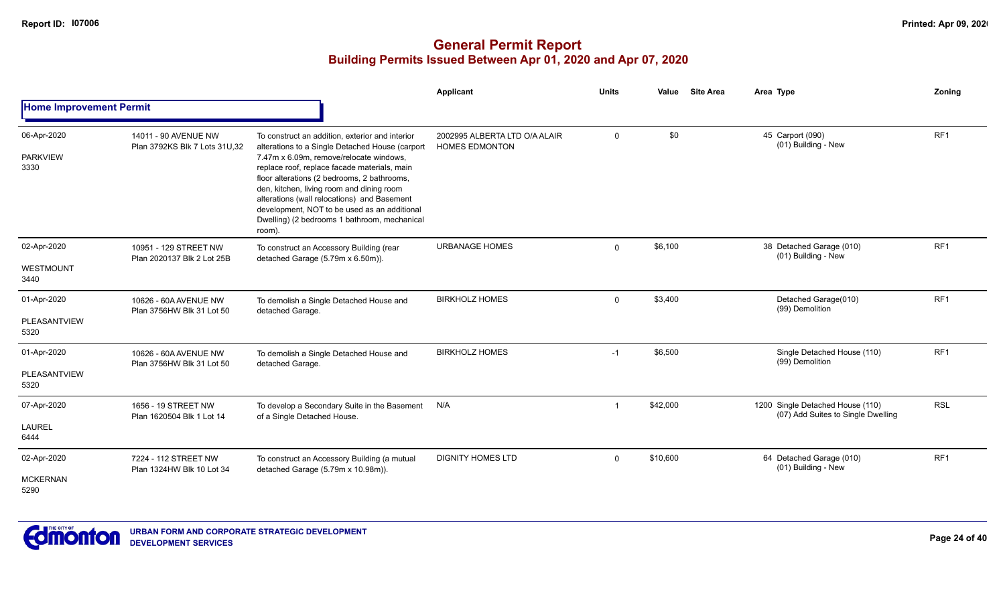|                                        |                                                       |                                                                                                                                                                                                                                                                                                                                                                                                                                                    | Applicant                                              | <b>Units</b> | Value    | <b>Site Area</b> | Area Type                                                              | Zoning          |
|----------------------------------------|-------------------------------------------------------|----------------------------------------------------------------------------------------------------------------------------------------------------------------------------------------------------------------------------------------------------------------------------------------------------------------------------------------------------------------------------------------------------------------------------------------------------|--------------------------------------------------------|--------------|----------|------------------|------------------------------------------------------------------------|-----------------|
| <b>Home Improvement Permit</b>         |                                                       |                                                                                                                                                                                                                                                                                                                                                                                                                                                    |                                                        |              |          |                  |                                                                        |                 |
| 06-Apr-2020<br><b>PARKVIEW</b><br>3330 | 14011 - 90 AVENUE NW<br>Plan 3792KS Blk 7 Lots 31U,32 | To construct an addition, exterior and interior<br>alterations to a Single Detached House (carport<br>7.47m x 6.09m, remove/relocate windows,<br>replace roof, replace facade materials, main<br>floor alterations (2 bedrooms, 2 bathrooms,<br>den, kitchen, living room and dining room<br>alterations (wall relocations) and Basement<br>development, NOT to be used as an additional<br>Dwelling) (2 bedrooms 1 bathroom, mechanical<br>room). | 2002995 ALBERTA LTD O/A ALAIR<br><b>HOMES EDMONTON</b> | $\mathbf 0$  | \$0      |                  | 45 Carport (090)<br>(01) Building - New                                | RF1             |
| 02-Apr-2020<br>WESTMOUNT<br>3440       | 10951 - 129 STREET NW<br>Plan 2020137 Blk 2 Lot 25B   | To construct an Accessory Building (rear<br>detached Garage (5.79m x 6.50m)).                                                                                                                                                                                                                                                                                                                                                                      | <b>URBANAGE HOMES</b>                                  | $\Omega$     | \$6,100  |                  | 38 Detached Garage (010)<br>(01) Building - New                        | RF1             |
| 01-Apr-2020<br>PLEASANTVIEW<br>5320    | 10626 - 60A AVENUE NW<br>Plan 3756HW Blk 31 Lot 50    | To demolish a Single Detached House and<br>detached Garage.                                                                                                                                                                                                                                                                                                                                                                                        | <b>BIRKHOLZ HOMES</b>                                  | $\Omega$     | \$3,400  |                  | Detached Garage(010)<br>(99) Demolition                                | RF1             |
| 01-Apr-2020<br>PLEASANTVIEW<br>5320    | 10626 - 60A AVENUE NW<br>Plan 3756HW Blk 31 Lot 50    | To demolish a Single Detached House and<br>detached Garage.                                                                                                                                                                                                                                                                                                                                                                                        | <b>BIRKHOLZ HOMES</b>                                  | $-1$         | \$6,500  |                  | Single Detached House (110)<br>(99) Demolition                         | RF <sub>1</sub> |
| 07-Apr-2020<br><b>LAUREL</b><br>6444   | 1656 - 19 STREET NW<br>Plan 1620504 Blk 1 Lot 14      | To develop a Secondary Suite in the Basement<br>of a Single Detached House.                                                                                                                                                                                                                                                                                                                                                                        | N/A                                                    |              | \$42,000 |                  | 1200 Single Detached House (110)<br>(07) Add Suites to Single Dwelling | <b>RSL</b>      |
| 02-Apr-2020<br><b>MCKERNAN</b><br>5290 | 7224 - 112 STREET NW<br>Plan 1324HW Blk 10 Lot 34     | To construct an Accessory Building (a mutual<br>detached Garage (5.79m x 10.98m)).                                                                                                                                                                                                                                                                                                                                                                 | <b>DIGNITY HOMES LTD</b>                               | $\Omega$     | \$10,600 |                  | 64 Detached Garage (010)<br>(01) Building - New                        | RF1             |

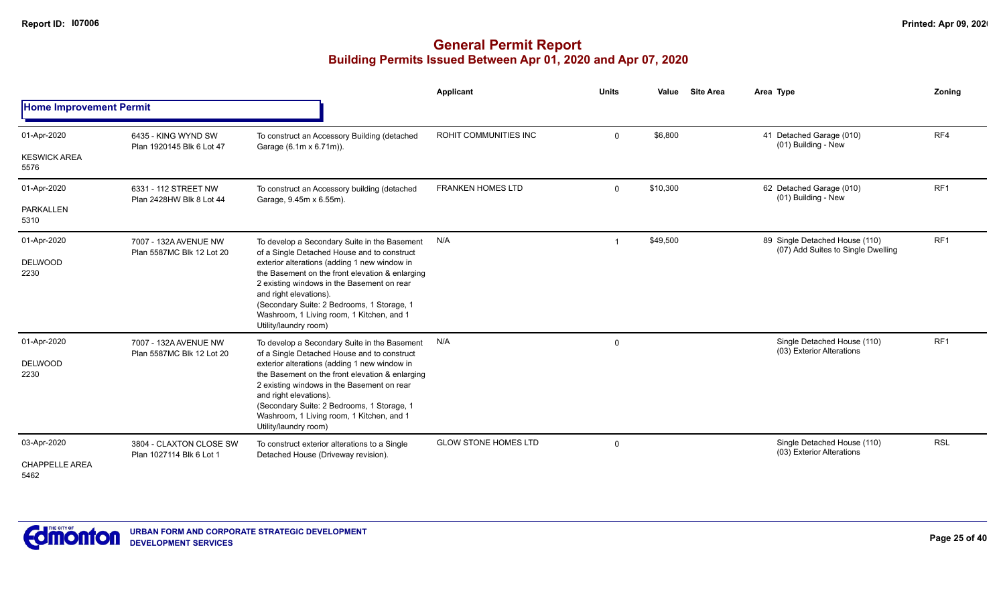|                                    |                                                     |                                                                                                                                                                                                                                                                                             | Applicant                   | <b>Units</b> | Value    | <b>Site Area</b> | Area Type                                                            | Zoning          |
|------------------------------------|-----------------------------------------------------|---------------------------------------------------------------------------------------------------------------------------------------------------------------------------------------------------------------------------------------------------------------------------------------------|-----------------------------|--------------|----------|------------------|----------------------------------------------------------------------|-----------------|
| <b>Home Improvement Permit</b>     |                                                     |                                                                                                                                                                                                                                                                                             |                             |              |          |                  |                                                                      |                 |
| 01-Apr-2020<br><b>KESWICK AREA</b> | 6435 - KING WYND SW<br>Plan 1920145 Blk 6 Lot 47    | To construct an Accessory Building (detached<br>Garage (6.1m x 6.71m)).                                                                                                                                                                                                                     | ROHIT COMMUNITIES INC       | $\mathbf 0$  | \$6,800  |                  | 41 Detached Garage (010)<br>(01) Building - New                      | RF4             |
| 5576                               |                                                     |                                                                                                                                                                                                                                                                                             |                             |              |          |                  |                                                                      |                 |
| 01-Apr-2020                        | 6331 - 112 STREET NW<br>Plan 2428HW Blk 8 Lot 44    | To construct an Accessory building (detached<br>Garage, 9.45m x 6.55m).                                                                                                                                                                                                                     | <b>FRANKEN HOMES LTD</b>    | $\mathbf 0$  | \$10,300 |                  | 62 Detached Garage (010)<br>(01) Building - New                      | RF <sub>1</sub> |
| <b>PARKALLEN</b><br>5310           |                                                     |                                                                                                                                                                                                                                                                                             |                             |              |          |                  |                                                                      |                 |
| 01-Apr-2020                        | 7007 - 132A AVENUE NW<br>Plan 5587MC Blk 12 Lot 20  | To develop a Secondary Suite in the Basement<br>of a Single Detached House and to construct                                                                                                                                                                                                 | N/A                         |              | \$49,500 |                  | 89 Single Detached House (110)<br>(07) Add Suites to Single Dwelling | RF <sub>1</sub> |
| <b>DELWOOD</b><br>2230             |                                                     | exterior alterations (adding 1 new window in<br>the Basement on the front elevation & enlarging<br>2 existing windows in the Basement on rear<br>and right elevations).<br>(Secondary Suite: 2 Bedrooms, 1 Storage, 1<br>Washroom, 1 Living room, 1 Kitchen, and 1<br>Utility/laundry room) |                             |              |          |                  |                                                                      |                 |
| 01-Apr-2020                        | 7007 - 132A AVENUE NW<br>Plan 5587MC Blk 12 Lot 20  | To develop a Secondary Suite in the Basement<br>of a Single Detached House and to construct                                                                                                                                                                                                 | N/A                         | 0            |          |                  | Single Detached House (110)<br>(03) Exterior Alterations             | RF <sub>1</sub> |
| <b>DELWOOD</b><br>2230             |                                                     | exterior alterations (adding 1 new window in<br>the Basement on the front elevation & enlarging<br>2 existing windows in the Basement on rear<br>and right elevations).<br>(Secondary Suite: 2 Bedrooms, 1 Storage, 1<br>Washroom, 1 Living room, 1 Kitchen, and 1<br>Utility/laundry room) |                             |              |          |                  |                                                                      |                 |
| 03-Apr-2020                        | 3804 - CLAXTON CLOSE SW<br>Plan 1027114 Blk 6 Lot 1 | To construct exterior alterations to a Single<br>Detached House (Driveway revision).                                                                                                                                                                                                        | <b>GLOW STONE HOMES LTD</b> | 0            |          |                  | Single Detached House (110)<br>(03) Exterior Alterations             | <b>RSL</b>      |
| <b>CHAPPELLE AREA</b><br>5462      |                                                     |                                                                                                                                                                                                                                                                                             |                             |              |          |                  |                                                                      |                 |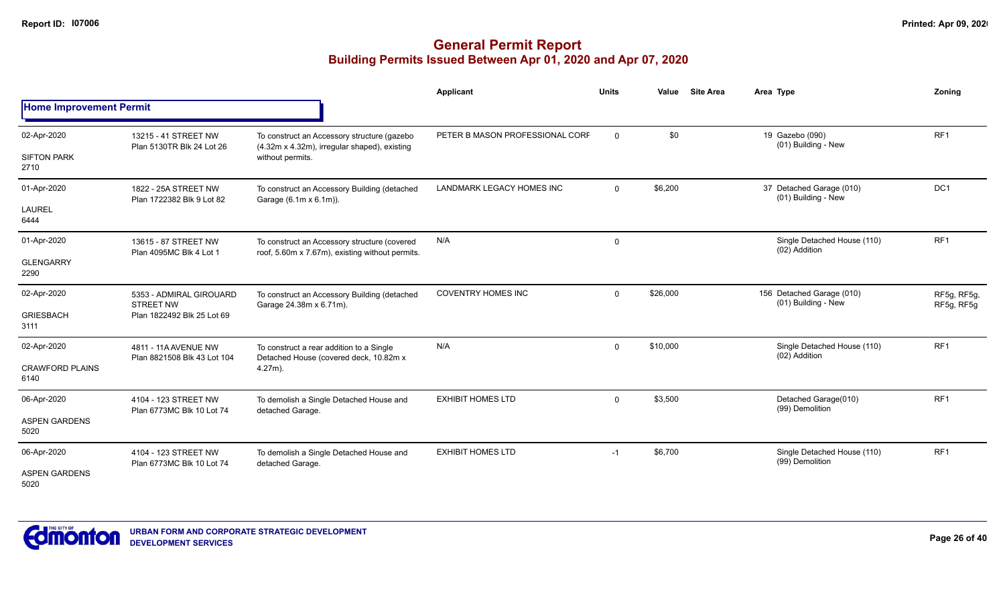|                                   |                                                     |                                                                                                                 | <b>Applicant</b>                 | <b>Units</b> | Value    | <b>Site Area</b> | Area Type                                        | Zoning                    |
|-----------------------------------|-----------------------------------------------------|-----------------------------------------------------------------------------------------------------------------|----------------------------------|--------------|----------|------------------|--------------------------------------------------|---------------------------|
| <b>Home Improvement Permit</b>    |                                                     |                                                                                                                 |                                  |              |          |                  |                                                  |                           |
| 02-Apr-2020<br><b>SIFTON PARK</b> | 13215 - 41 STREET NW<br>Plan 5130TR Blk 24 Lot 26   | To construct an Accessory structure (gazebo<br>(4.32m x 4.32m), irregular shaped), existing<br>without permits. | PETER B MASON PROFESSIONAL CORF  | 0            | \$0      |                  | 19 Gazebo (090)<br>(01) Building - New           | RF <sub>1</sub>           |
| 2710                              |                                                     |                                                                                                                 |                                  |              |          |                  |                                                  |                           |
| 01-Apr-2020                       | 1822 - 25A STREET NW<br>Plan 1722382 Blk 9 Lot 82   | To construct an Accessory Building (detached<br>Garage (6.1m x 6.1m)).                                          | <b>LANDMARK LEGACY HOMES INC</b> | $\mathbf{0}$ | \$6,200  |                  | 37 Detached Garage (010)<br>(01) Building - New  | DC <sub>1</sub>           |
| <b>LAUREL</b><br>6444             |                                                     |                                                                                                                 |                                  |              |          |                  |                                                  |                           |
| 01-Apr-2020                       | 13615 - 87 STREET NW<br>Plan 4095MC Blk 4 Lot 1     | To construct an Accessory structure (covered<br>roof, 5.60m x 7.67m), existing without permits.                 | N/A                              | 0            |          |                  | Single Detached House (110)<br>(02) Addition     | RF <sub>1</sub>           |
| <b>GLENGARRY</b><br>2290          |                                                     |                                                                                                                 |                                  |              |          |                  |                                                  |                           |
| 02-Apr-2020                       | 5353 - ADMIRAL GIROUARD<br><b>STREET NW</b>         | To construct an Accessory Building (detached<br>Garage 24.38m x 6.71m).                                         | <b>COVENTRY HOMES INC</b>        | $\mathbf 0$  | \$26,000 |                  | 156 Detached Garage (010)<br>(01) Building - New | RF5g, RF5g,<br>RF5g, RF5g |
| <b>GRIESBACH</b><br>3111          | Plan 1822492 Blk 25 Lot 69                          |                                                                                                                 |                                  |              |          |                  |                                                  |                           |
| 02-Apr-2020                       | 4811 - 11A AVENUE NW<br>Plan 8821508 Blk 43 Lot 104 | To construct a rear addition to a Single<br>Detached House (covered deck, 10.82m x                              | N/A                              | $\mathbf 0$  | \$10,000 |                  | Single Detached House (110)<br>(02) Addition     | RF <sub>1</sub>           |
| <b>CRAWFORD PLAINS</b><br>6140    |                                                     | $4.27m$ ).                                                                                                      |                                  |              |          |                  |                                                  |                           |
| 06-Apr-2020                       | 4104 - 123 STREET NW<br>Plan 6773MC Blk 10 Lot 74   | To demolish a Single Detached House and<br>detached Garage.                                                     | <b>EXHIBIT HOMES LTD</b>         | 0            | \$3,500  |                  | Detached Garage(010)<br>(99) Demolition          | RF <sub>1</sub>           |
| <b>ASPEN GARDENS</b><br>5020      |                                                     |                                                                                                                 |                                  |              |          |                  |                                                  |                           |
| 06-Apr-2020                       | 4104 - 123 STREET NW<br>Plan 6773MC Blk 10 Lot 74   | To demolish a Single Detached House and<br>detached Garage.                                                     | <b>EXHIBIT HOMES LTD</b>         | $-1$         | \$6,700  |                  | Single Detached House (110)<br>(99) Demolition   | RF <sub>1</sub>           |
| <b>ASPEN GARDENS</b><br>5020      |                                                     |                                                                                                                 |                                  |              |          |                  |                                                  |                           |

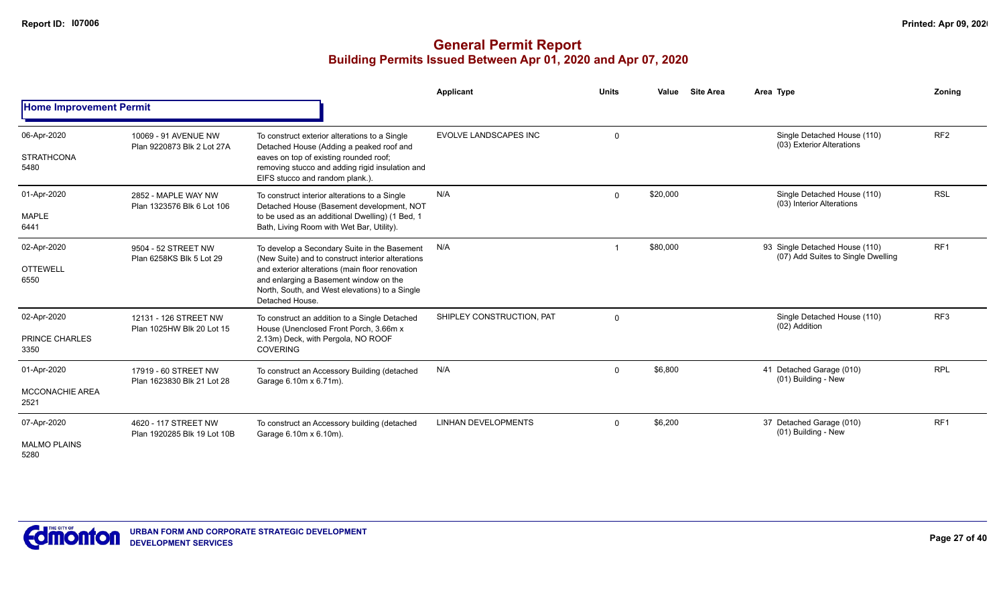|                                               |                                                     |                                                                                                                                                                                                                                                                     | Applicant                    | <b>Units</b> | Value    | <b>Site Area</b> | Area Type                                                            | Zoning          |
|-----------------------------------------------|-----------------------------------------------------|---------------------------------------------------------------------------------------------------------------------------------------------------------------------------------------------------------------------------------------------------------------------|------------------------------|--------------|----------|------------------|----------------------------------------------------------------------|-----------------|
| <b>Home Improvement Permit</b>                |                                                     |                                                                                                                                                                                                                                                                     |                              |              |          |                  |                                                                      |                 |
| 06-Apr-2020<br><b>STRATHCONA</b><br>5480      | 10069 - 91 AVENUE NW<br>Plan 9220873 Blk 2 Lot 27A  | To construct exterior alterations to a Single<br>Detached House (Adding a peaked roof and<br>eaves on top of existing rounded roof;<br>removing stucco and adding rigid insulation and<br>EIFS stucco and random plank.).                                           | <b>EVOLVE LANDSCAPES INC</b> | $\mathbf 0$  |          |                  | Single Detached House (110)<br>(03) Exterior Alterations             | RF <sub>2</sub> |
| 01-Apr-2020<br><b>MAPLE</b><br>6441           | 2852 - MAPLE WAY NW<br>Plan 1323576 Blk 6 Lot 106   | To construct interior alterations to a Single<br>Detached House (Basement development, NOT<br>to be used as an additional Dwelling) (1 Bed, 1<br>Bath, Living Room with Wet Bar, Utility).                                                                          | N/A                          | $\mathbf 0$  | \$20,000 |                  | Single Detached House (110)<br>(03) Interior Alterations             | <b>RSL</b>      |
| 02-Apr-2020<br><b>OTTEWELL</b><br>6550        | 9504 - 52 STREET NW<br>Plan 6258KS Blk 5 Lot 29     | To develop a Secondary Suite in the Basement<br>(New Suite) and to construct interior alterations<br>and exterior alterations (main floor renovation<br>and enlarging a Basement window on the<br>North, South, and West elevations) to a Single<br>Detached House. | N/A                          |              | \$80,000 |                  | 93 Single Detached House (110)<br>(07) Add Suites to Single Dwelling | RF <sub>1</sub> |
| 02-Apr-2020<br>PRINCE CHARLES<br>3350         | 12131 - 126 STREET NW<br>Plan 1025HW Blk 20 Lot 15  | To construct an addition to a Single Detached<br>House (Unenclosed Front Porch, 3.66m x<br>2.13m) Deck, with Pergola, NO ROOF<br><b>COVERING</b>                                                                                                                    | SHIPLEY CONSTRUCTION, PAT    | $\mathbf 0$  |          |                  | Single Detached House (110)<br>(02) Addition                         | RF <sub>3</sub> |
| 01-Apr-2020<br><b>MCCONACHIE AREA</b><br>2521 | 17919 - 60 STREET NW<br>Plan 1623830 Blk 21 Lot 28  | To construct an Accessory Building (detached<br>Garage 6.10m x 6.71m).                                                                                                                                                                                              | N/A                          | $\mathbf 0$  | \$6,800  |                  | 41 Detached Garage (010)<br>(01) Building - New                      | <b>RPL</b>      |
| 07-Apr-2020<br><b>MALMO PLAINS</b><br>5280    | 4620 - 117 STREET NW<br>Plan 1920285 Blk 19 Lot 10B | To construct an Accessory building (detached<br>Garage 6.10m x 6.10m).                                                                                                                                                                                              | <b>LINHAN DEVELOPMENTS</b>   | $\mathbf 0$  | \$6,200  |                  | 37 Detached Garage (010)<br>(01) Building - New                      | RF <sub>1</sub> |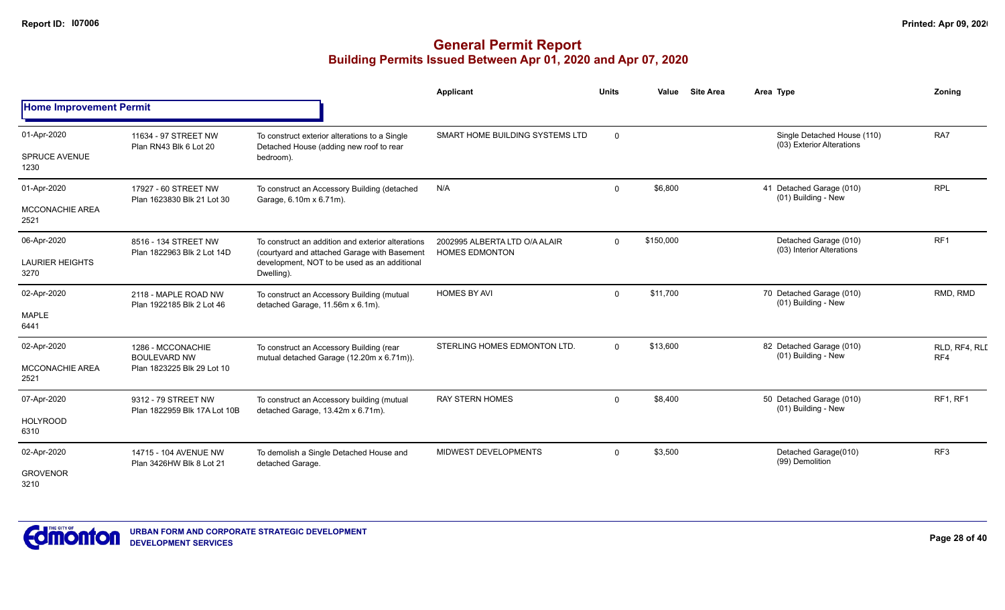|                                               |                                                                        |                                                                                                                                                                 | <b>Applicant</b>                                       | <b>Units</b> | Value     | <b>Site Area</b> | Area Type                                                | Zoning               |
|-----------------------------------------------|------------------------------------------------------------------------|-----------------------------------------------------------------------------------------------------------------------------------------------------------------|--------------------------------------------------------|--------------|-----------|------------------|----------------------------------------------------------|----------------------|
| <b>Home Improvement Permit</b>                |                                                                        |                                                                                                                                                                 |                                                        |              |           |                  |                                                          |                      |
| 01-Apr-2020<br><b>SPRUCE AVENUE</b><br>1230   | 11634 - 97 STREET NW<br>Plan RN43 Blk 6 Lot 20                         | To construct exterior alterations to a Single<br>Detached House (adding new roof to rear<br>bedroom).                                                           | SMART HOME BUILDING SYSTEMS LTD                        | $\mathbf 0$  |           |                  | Single Detached House (110)<br>(03) Exterior Alterations | RA7                  |
| 01-Apr-2020<br><b>MCCONACHIE AREA</b><br>2521 | 17927 - 60 STREET NW<br>Plan 1623830 Blk 21 Lot 30                     | To construct an Accessory Building (detached<br>Garage, 6.10m x 6.71m).                                                                                         | N/A                                                    | $\Omega$     | \$6,800   |                  | 41 Detached Garage (010)<br>(01) Building - New          | <b>RPL</b>           |
| 06-Apr-2020<br><b>LAURIER HEIGHTS</b><br>3270 | 8516 - 134 STREET NW<br>Plan 1822963 Blk 2 Lot 14D                     | To construct an addition and exterior alterations<br>(courtyard and attached Garage with Basement<br>development, NOT to be used as an additional<br>Dwelling). | 2002995 ALBERTA LTD O/A ALAIR<br><b>HOMES EDMONTON</b> | $\Omega$     | \$150,000 |                  | Detached Garage (010)<br>(03) Interior Alterations       | RF <sub>1</sub>      |
| 02-Apr-2020<br>MAPLE<br>6441                  | 2118 - MAPLE ROAD NW<br>Plan 1922185 Blk 2 Lot 46                      | To construct an Accessory Building (mutual<br>detached Garage, 11.56m x 6.1m).                                                                                  | <b>HOMES BY AVI</b>                                    | $\Omega$     | \$11,700  |                  | 70 Detached Garage (010)<br>(01) Building - New          | RMD, RMD             |
| 02-Apr-2020<br>MCCONACHIE AREA<br>2521        | 1286 - MCCONACHIE<br><b>BOULEVARD NW</b><br>Plan 1823225 Blk 29 Lot 10 | To construct an Accessory Building (rear<br>mutual detached Garage (12.20m x 6.71m)).                                                                           | STERLING HOMES EDMONTON LTD.                           | $\Omega$     | \$13,600  |                  | 82 Detached Garage (010)<br>(01) Building - New          | RLD, RF4, RLI<br>RF4 |
| 07-Apr-2020<br><b>HOLYROOD</b><br>6310        | 9312 - 79 STREET NW<br>Plan 1822959 Blk 17A Lot 10B                    | To construct an Accessory building (mutual<br>detached Garage, 13.42m x 6.71m).                                                                                 | <b>RAY STERN HOMES</b>                                 | $\Omega$     | \$8,400   |                  | 50 Detached Garage (010)<br>(01) Building - New          | RF1, RF1             |
| 02-Apr-2020<br><b>GROVENOR</b><br>3210        | 14715 - 104 AVENUE NW<br>Plan 3426HW Blk 8 Lot 21                      | To demolish a Single Detached House and<br>detached Garage.                                                                                                     | MIDWEST DEVELOPMENTS                                   | $\Omega$     | \$3,500   |                  | Detached Garage(010)<br>(99) Demolition                  | RF <sub>3</sub>      |

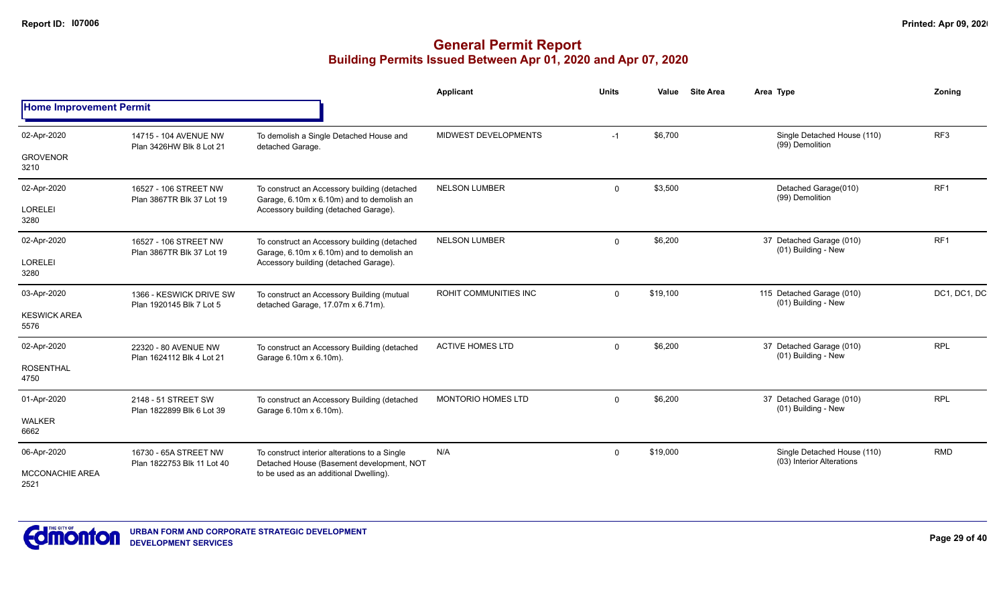|                                |                                                     |                                                                                            | Applicant                 | <b>Units</b> | <b>Site Area</b><br>Value | Area Type                                                | Zoning          |
|--------------------------------|-----------------------------------------------------|--------------------------------------------------------------------------------------------|---------------------------|--------------|---------------------------|----------------------------------------------------------|-----------------|
| <b>Home Improvement Permit</b> |                                                     |                                                                                            |                           |              |                           |                                                          |                 |
| 02-Apr-2020                    | 14715 - 104 AVENUE NW<br>Plan 3426HW Blk 8 Lot 21   | To demolish a Single Detached House and<br>detached Garage.                                | MIDWEST DEVELOPMENTS      | $-1$         | \$6,700                   | Single Detached House (110)<br>(99) Demolition           | RF <sub>3</sub> |
| <b>GROVENOR</b><br>3210        |                                                     |                                                                                            |                           |              |                           |                                                          |                 |
| 02-Apr-2020                    | 16527 - 106 STREET NW<br>Plan 3867TR Blk 37 Lot 19  | To construct an Accessory building (detached<br>Garage, 6.10m x 6.10m) and to demolish an  | <b>NELSON LUMBER</b>      | $\Omega$     | \$3,500                   | Detached Garage(010)<br>(99) Demolition                  | RF1             |
| <b>LORELEI</b><br>3280         |                                                     | Accessory building (detached Garage).                                                      |                           |              |                           |                                                          |                 |
| 02-Apr-2020                    | 16527 - 106 STREET NW<br>Plan 3867TR Blk 37 Lot 19  | To construct an Accessory building (detached<br>Garage, 6.10m x 6.10m) and to demolish an  | <b>NELSON LUMBER</b>      | $\mathbf 0$  | \$6,200                   | 37 Detached Garage (010)<br>(01) Building - New          | RF1             |
| <b>LORELEI</b><br>3280         |                                                     | Accessory building (detached Garage).                                                      |                           |              |                           |                                                          |                 |
| 03-Apr-2020                    | 1366 - KESWICK DRIVE SW<br>Plan 1920145 Blk 7 Lot 5 | To construct an Accessory Building (mutual<br>detached Garage, 17.07m x 6.71m).            | ROHIT COMMUNITIES INC     | $\Omega$     | \$19,100                  | 115 Detached Garage (010)<br>(01) Building - New         | DC1, DC1, DC    |
| <b>KESWICK AREA</b><br>5576    |                                                     |                                                                                            |                           |              |                           |                                                          |                 |
| 02-Apr-2020                    | 22320 - 80 AVENUE NW<br>Plan 1624112 Blk 4 Lot 21   | To construct an Accessory Building (detached<br>Garage 6.10m x 6.10m).                     | <b>ACTIVE HOMES LTD</b>   | $\Omega$     | \$6,200                   | 37 Detached Garage (010)<br>(01) Building - New          | <b>RPL</b>      |
| <b>ROSENTHAL</b><br>4750       |                                                     |                                                                                            |                           |              |                           |                                                          |                 |
| 01-Apr-2020                    | 2148 - 51 STREET SW<br>Plan 1822899 Blk 6 Lot 39    | To construct an Accessory Building (detached                                               | <b>MONTORIO HOMES LTD</b> | $\Omega$     | \$6,200                   | 37 Detached Garage (010)<br>(01) Building - New          | <b>RPL</b>      |
| <b>WALKER</b><br>6662          |                                                     | Garage 6.10m x 6.10m).                                                                     |                           |              |                           |                                                          |                 |
| 06-Apr-2020                    | 16730 - 65A STREET NW<br>Plan 1822753 Blk 11 Lot 40 | To construct interior alterations to a Single<br>Detached House (Basement development, NOT | N/A                       | $\Omega$     | \$19,000                  | Single Detached House (110)<br>(03) Interior Alterations | <b>RMD</b>      |
| <b>MCCONACHIE AREA</b><br>2521 |                                                     | to be used as an additional Dwelling).                                                     |                           |              |                           |                                                          |                 |

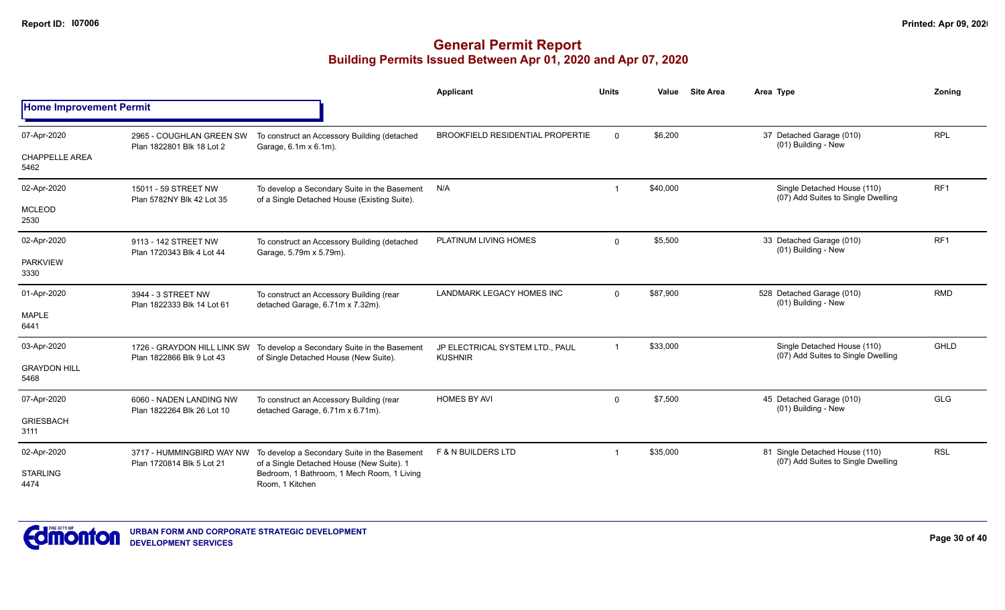|                                |                                                          |                                                                                              | Applicant                                         | <b>Units</b>            | Value    | <b>Site Area</b> | Area Type                                                            | Zoning          |
|--------------------------------|----------------------------------------------------------|----------------------------------------------------------------------------------------------|---------------------------------------------------|-------------------------|----------|------------------|----------------------------------------------------------------------|-----------------|
| <b>Home Improvement Permit</b> |                                                          |                                                                                              |                                                   |                         |          |                  |                                                                      |                 |
| 07-Apr-2020                    | 2965 - COUGHLAN GREEN SW<br>Plan 1822801 Blk 18 Lot 2    | To construct an Accessory Building (detached<br>Garage, 6.1m x 6.1m).                        | <b>BROOKFIELD RESIDENTIAL PROPERTIE</b>           | $\Omega$                | \$6,200  |                  | 37 Detached Garage (010)<br>(01) Building - New                      | <b>RPL</b>      |
| <b>CHAPPELLE AREA</b><br>5462  |                                                          |                                                                                              |                                                   |                         |          |                  |                                                                      |                 |
| 02-Apr-2020                    | 15011 - 59 STREET NW<br>Plan 5782NY Blk 42 Lot 35        | To develop a Secondary Suite in the Basement<br>of a Single Detached House (Existing Suite). | N/A                                               |                         | \$40,000 |                  | Single Detached House (110)<br>(07) Add Suites to Single Dwelling    | RF <sub>1</sub> |
| <b>MCLEOD</b><br>2530          |                                                          |                                                                                              |                                                   |                         |          |                  |                                                                      |                 |
| 02-Apr-2020                    | 9113 - 142 STREET NW<br>Plan 1720343 Blk 4 Lot 44        | To construct an Accessory Building (detached<br>Garage, 5.79m x 5.79m).                      | PLATINUM LIVING HOMES                             | $\Omega$                | \$5,500  |                  | 33 Detached Garage (010)<br>(01) Building - New                      | RF <sub>1</sub> |
| <b>PARKVIEW</b><br>3330        |                                                          |                                                                                              |                                                   |                         |          |                  |                                                                      |                 |
| 01-Apr-2020                    | 3944 - 3 STREET NW<br>Plan 1822333 Blk 14 Lot 61         | To construct an Accessory Building (rear<br>detached Garage, 6.71m x 7.32m).                 | <b>LANDMARK LEGACY HOMES INC</b>                  | $\Omega$                | \$87,900 |                  | 528 Detached Garage (010)<br>(01) Building - New                     | <b>RMD</b>      |
| <b>MAPLE</b><br>6441           |                                                          |                                                                                              |                                                   |                         |          |                  |                                                                      |                 |
| 03-Apr-2020                    | 1726 - GRAYDON HILL LINK SW<br>Plan 1822866 Blk 9 Lot 43 | To develop a Secondary Suite in the Basement<br>of Single Detached House (New Suite).        | JP ELECTRICAL SYSTEM LTD., PAUL<br><b>KUSHNIR</b> | $\overline{\mathbf{1}}$ | \$33,000 |                  | Single Detached House (110)<br>(07) Add Suites to Single Dwelling    | GHLD            |
| <b>GRAYDON HILL</b><br>5468    |                                                          |                                                                                              |                                                   |                         |          |                  |                                                                      |                 |
| 07-Apr-2020                    | 6060 - NADEN LANDING NW<br>Plan 1822264 Blk 26 Lot 10    | To construct an Accessory Building (rear<br>detached Garage, 6.71m x 6.71m).                 | <b>HOMES BY AVI</b>                               | $\mathbf 0$             | \$7,500  |                  | 45 Detached Garage (010)<br>(01) Building - New                      | <b>GLG</b>      |
| <b>GRIESBACH</b><br>3111       |                                                          |                                                                                              |                                                   |                         |          |                  |                                                                      |                 |
| 02-Apr-2020                    | 3717 - HUMMINGBIRD WAY NW<br>Plan 1720814 Blk 5 Lot 21   | To develop a Secondary Suite in the Basement<br>of a Single Detached House (New Suite). 1    | <b>F &amp; N BUILDERS LTD</b>                     |                         | \$35,000 |                  | 81 Single Detached House (110)<br>(07) Add Suites to Single Dwelling | <b>RSL</b>      |
| <b>STARLING</b><br>4474        |                                                          | Bedroom, 1 Bathroom, 1 Mech Room, 1 Living<br>Room, 1 Kitchen                                |                                                   |                         |          |                  |                                                                      |                 |

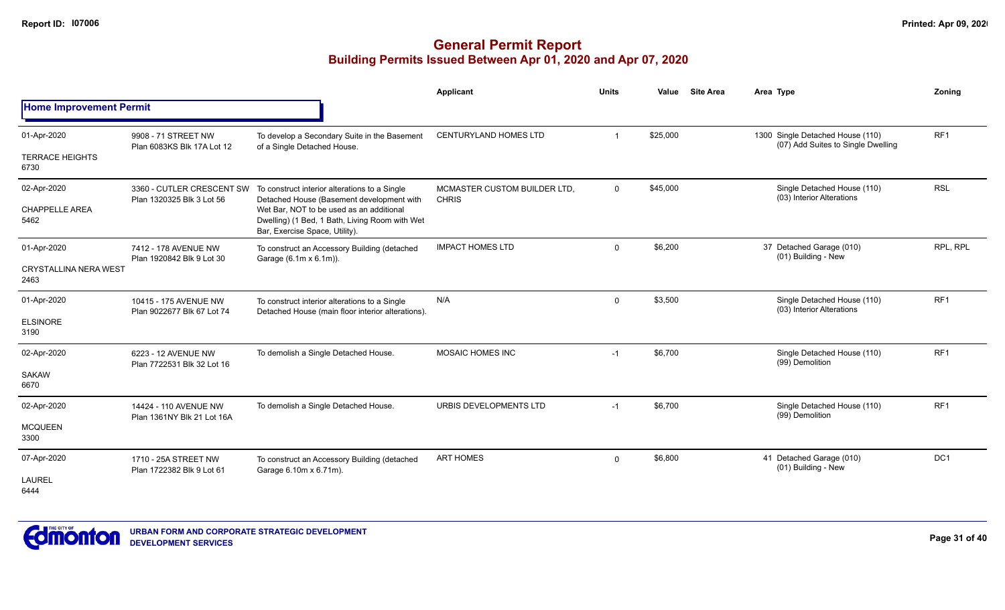|                                      |                                                        |                                                                                                                              | <b>Applicant</b>                             | <b>Units</b> | Value    | <b>Site Area</b> | Area Type                                                              | Zoning          |
|--------------------------------------|--------------------------------------------------------|------------------------------------------------------------------------------------------------------------------------------|----------------------------------------------|--------------|----------|------------------|------------------------------------------------------------------------|-----------------|
| <b>Home Improvement Permit</b>       |                                                        |                                                                                                                              |                                              |              |          |                  |                                                                        |                 |
| 01-Apr-2020                          | 9908 - 71 STREET NW<br>Plan 6083KS Blk 17A Lot 12      | To develop a Secondary Suite in the Basement<br>of a Single Detached House.                                                  | <b>CENTURYLAND HOMES LTD</b>                 |              | \$25,000 |                  | 1300 Single Detached House (110)<br>(07) Add Suites to Single Dwelling | RF <sub>1</sub> |
| <b>TERRACE HEIGHTS</b><br>6730       |                                                        |                                                                                                                              |                                              |              |          |                  |                                                                        |                 |
| 02-Apr-2020                          | 3360 - CUTLER CRESCENT SW<br>Plan 1320325 Blk 3 Lot 56 | To construct interior alterations to a Single<br>Detached House (Basement development with                                   | MCMASTER CUSTOM BUILDER LTD.<br><b>CHRIS</b> | $\mathbf{0}$ | \$45,000 |                  | Single Detached House (110)<br>(03) Interior Alterations               | <b>RSL</b>      |
| <b>CHAPPELLE AREA</b><br>5462        |                                                        | Wet Bar, NOT to be used as an additional<br>Dwelling) (1 Bed, 1 Bath, Living Room with Wet<br>Bar, Exercise Space, Utility). |                                              |              |          |                  |                                                                        |                 |
| 01-Apr-2020                          | 7412 - 178 AVENUE NW<br>Plan 1920842 Blk 9 Lot 30      | To construct an Accessory Building (detached<br>Garage (6.1m x 6.1m)).                                                       | <b>IMPACT HOMES LTD</b>                      | $\mathbf{0}$ | \$6,200  |                  | 37 Detached Garage (010)<br>(01) Building - New                        | RPL. RPL        |
| <b>CRYSTALLINA NERA WEST</b><br>2463 |                                                        |                                                                                                                              |                                              |              |          |                  |                                                                        |                 |
| 01-Apr-2020                          | 10415 - 175 AVENUE NW<br>Plan 9022677 Blk 67 Lot 74    | To construct interior alterations to a Single<br>Detached House (main floor interior alterations).                           | N/A                                          | $\mathbf{0}$ | \$3,500  |                  | Single Detached House (110)<br>(03) Interior Alterations               | RF <sub>1</sub> |
| <b>ELSINORE</b><br>3190              |                                                        |                                                                                                                              |                                              |              |          |                  |                                                                        |                 |
| 02-Apr-2020                          | 6223 - 12 AVENUE NW<br>Plan 7722531 Blk 32 Lot 16      | To demolish a Single Detached House.                                                                                         | <b>MOSAIC HOMES INC</b>                      | $-1$         | \$6,700  |                  | Single Detached House (110)<br>(99) Demolition                         | RF <sub>1</sub> |
| <b>SAKAW</b><br>6670                 |                                                        |                                                                                                                              |                                              |              |          |                  |                                                                        |                 |
| 02-Apr-2020                          | 14424 - 110 AVENUE NW<br>Plan 1361NY Blk 21 Lot 16A    | To demolish a Single Detached House.                                                                                         | URBIS DEVELOPMENTS LTD                       | $-1$         | \$6,700  |                  | Single Detached House (110)<br>(99) Demolition                         | RF <sub>1</sub> |
| <b>MCQUEEN</b><br>3300               |                                                        |                                                                                                                              |                                              |              |          |                  |                                                                        |                 |
| 07-Apr-2020                          | 1710 - 25A STREET NW<br>Plan 1722382 Blk 9 Lot 61      | To construct an Accessory Building (detached<br>Garage 6.10m x 6.71m).                                                       | <b>ART HOMES</b>                             | $\mathbf{0}$ | \$6,800  |                  | 41 Detached Garage (010)<br>(01) Building - New                        | DC1             |
| <b>LAUREL</b><br>6444                |                                                        |                                                                                                                              |                                              |              |          |                  |                                                                        |                 |

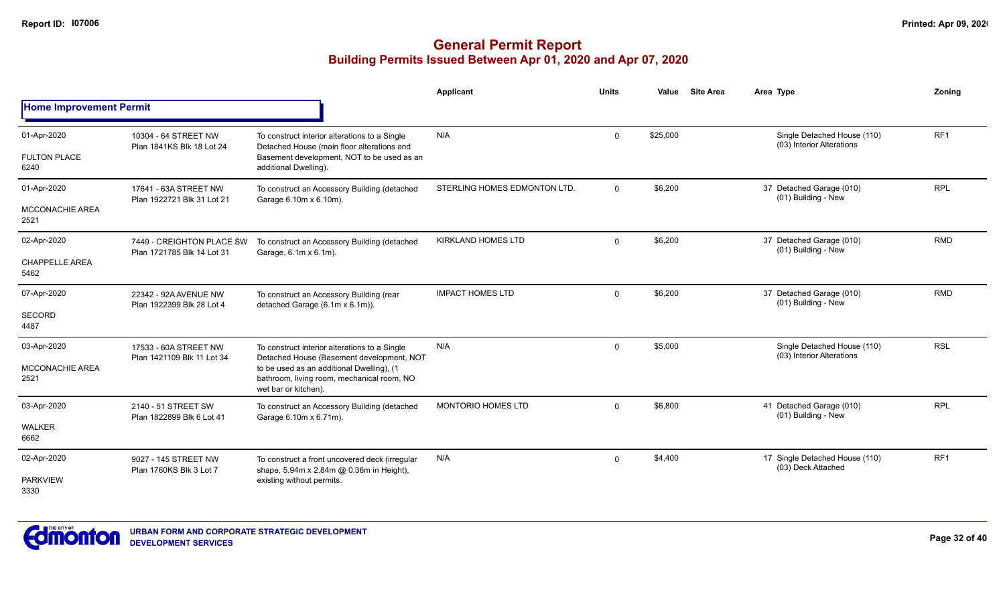# **General Permit Report Building Permits Issued Between Apr 01, 2020 and Apr 07, 2020**

|                                |                                                         |                                                                                                                 | Applicant                    | <b>Units</b> | Value    | <b>Site Area</b> | Area Type                                                | Zonina          |
|--------------------------------|---------------------------------------------------------|-----------------------------------------------------------------------------------------------------------------|------------------------------|--------------|----------|------------------|----------------------------------------------------------|-----------------|
| <b>Home Improvement Permit</b> |                                                         |                                                                                                                 |                              |              |          |                  |                                                          |                 |
| 01-Apr-2020                    | 10304 - 64 STREET NW<br>Plan 1841KS Blk 18 Lot 24       | To construct interior alterations to a Single<br>Detached House (main floor alterations and                     | N/A                          | $\mathbf{0}$ | \$25,000 |                  | Single Detached House (110)<br>(03) Interior Alterations | RF <sub>1</sub> |
| <b>FULTON PLACE</b><br>6240    |                                                         | Basement development, NOT to be used as an<br>additional Dwelling).                                             |                              |              |          |                  |                                                          |                 |
| 01-Apr-2020                    | 17641 - 63A STREET NW<br>Plan 1922721 Blk 31 Lot 21     | To construct an Accessory Building (detached<br>Garage 6.10m x 6.10m).                                          | STERLING HOMES EDMONTON LTD. | $\mathbf{0}$ | \$6,200  |                  | 37 Detached Garage (010)<br>(01) Building - New          | <b>RPL</b>      |
| <b>MCCONACHIE AREA</b><br>2521 |                                                         |                                                                                                                 |                              |              |          |                  |                                                          |                 |
| 02-Apr-2020                    | 7449 - CREIGHTON PLACE SW<br>Plan 1721785 Blk 14 Lot 31 | To construct an Accessory Building (detached<br>Garage, 6.1m x 6.1m).                                           | <b>KIRKLAND HOMES LTD</b>    | $\mathbf{0}$ | \$6,200  |                  | 37 Detached Garage (010)<br>(01) Building - New          | <b>RMD</b>      |
| <b>CHAPPELLE AREA</b><br>5462  |                                                         |                                                                                                                 |                              |              |          |                  |                                                          |                 |
| 07-Apr-2020                    | 22342 - 92A AVENUE NW<br>Plan 1922399 Blk 28 Lot 4      | To construct an Accessory Building (rear<br>detached Garage (6.1m x 6.1m)).                                     | <b>IMPACT HOMES LTD</b>      | $\Omega$     | \$6,200  |                  | 37 Detached Garage (010)<br>(01) Building - New          | <b>RMD</b>      |
| <b>SECORD</b><br>4487          |                                                         |                                                                                                                 |                              |              |          |                  |                                                          |                 |
| 03-Apr-2020                    | 17533 - 60A STREET NW<br>Plan 1421109 Blk 11 Lot 34     | To construct interior alterations to a Single<br>Detached House (Basement development, NOT                      | N/A                          | $\mathbf{0}$ | \$5,000  |                  | Single Detached House (110)<br>(03) Interior Alterations | <b>RSL</b>      |
| MCCONACHIE AREA<br>2521        |                                                         | to be used as an additional Dwelling), (1<br>bathroom, living room, mechanical room, NO<br>wet bar or kitchen). |                              |              |          |                  |                                                          |                 |
| 03-Apr-2020                    | 2140 - 51 STREET SW<br>Plan 1822899 Blk 6 Lot 41        | To construct an Accessory Building (detached<br>Garage 6.10m x 6.71m).                                          | <b>MONTORIO HOMES LTD</b>    | $\Omega$     | \$6.800  |                  | 41 Detached Garage (010)<br>(01) Building - New          | <b>RPL</b>      |
| <b>WALKER</b><br>6662          |                                                         |                                                                                                                 |                              |              |          |                  |                                                          |                 |
| 02-Apr-2020                    | 9027 - 145 STREET NW<br>Plan 1760KS Blk 3 Lot 7         | To construct a front uncovered deck (irregular<br>shape, 5.94m x 2.84m @ 0.36m in Height),                      | N/A                          | $\mathbf{0}$ | \$4,400  |                  | 17 Single Detached House (110)<br>(03) Deck Attached     | RF <sub>1</sub> |
| <b>PARKVIEW</b><br>3330        |                                                         | existing without permits.                                                                                       |                              |              |          |                  |                                                          |                 |



**Page 32 of 40**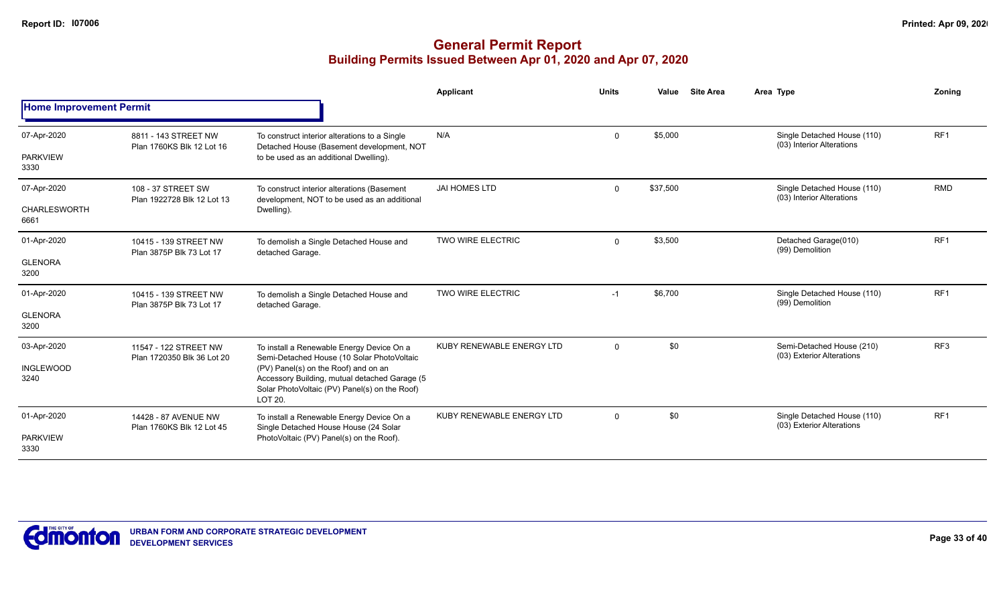|                                |                                                     |                                                                                                                                                   | Applicant                 | <b>Units</b> | Value    | <b>Site Area</b> | Area Type |                                                          | Zoning          |
|--------------------------------|-----------------------------------------------------|---------------------------------------------------------------------------------------------------------------------------------------------------|---------------------------|--------------|----------|------------------|-----------|----------------------------------------------------------|-----------------|
| <b>Home Improvement Permit</b> |                                                     |                                                                                                                                                   |                           |              |          |                  |           |                                                          |                 |
| 07-Apr-2020                    | 8811 - 143 STREET NW<br>Plan 1760KS Blk 12 Lot 16   | To construct interior alterations to a Single<br>Detached House (Basement development, NOT                                                        | N/A                       | $\mathbf 0$  | \$5,000  |                  |           | Single Detached House (110)<br>(03) Interior Alterations | RF <sub>1</sub> |
| <b>PARKVIEW</b><br>3330        |                                                     | to be used as an additional Dwelling).                                                                                                            |                           |              |          |                  |           |                                                          |                 |
| 07-Apr-2020                    | 108 - 37 STREET SW<br>Plan 1922728 Blk 12 Lot 13    | To construct interior alterations (Basement<br>development, NOT to be used as an additional                                                       | <b>JAI HOMES LTD</b>      | $\mathbf 0$  | \$37,500 |                  |           | Single Detached House (110)<br>(03) Interior Alterations | <b>RMD</b>      |
| <b>CHARLESWORTH</b><br>6661    |                                                     | Dwelling).                                                                                                                                        |                           |              |          |                  |           |                                                          |                 |
| 01-Apr-2020                    | 10415 - 139 STREET NW<br>Plan 3875P Blk 73 Lot 17   | To demolish a Single Detached House and<br>detached Garage.                                                                                       | TWO WIRE ELECTRIC         | $\mathbf 0$  | \$3,500  |                  |           | Detached Garage(010)<br>(99) Demolition                  | RF <sub>1</sub> |
| <b>GLENORA</b><br>3200         |                                                     |                                                                                                                                                   |                           |              |          |                  |           |                                                          |                 |
| 01-Apr-2020                    | 10415 - 139 STREET NW<br>Plan 3875P Blk 73 Lot 17   | To demolish a Single Detached House and<br>detached Garage.                                                                                       | TWO WIRE ELECTRIC         | $-1$         | \$6,700  |                  |           | Single Detached House (110)<br>(99) Demolition           | RF <sub>1</sub> |
| <b>GLENORA</b><br>3200         |                                                     |                                                                                                                                                   |                           |              |          |                  |           |                                                          |                 |
| 03-Apr-2020                    | 11547 - 122 STREET NW<br>Plan 1720350 Blk 36 Lot 20 | To install a Renewable Energy Device On a<br>Semi-Detached House (10 Solar PhotoVoltaic                                                           | KUBY RENEWABLE ENERGY LTD | $\mathbf 0$  | \$0      |                  |           | Semi-Detached House (210)<br>(03) Exterior Alterations   | RF <sub>3</sub> |
| <b>INGLEWOOD</b><br>3240       |                                                     | (PV) Panel(s) on the Roof) and on an<br>Accessory Building, mutual detached Garage (5<br>Solar PhotoVoltaic (PV) Panel(s) on the Roof)<br>LOT 20. |                           |              |          |                  |           |                                                          |                 |
| 01-Apr-2020                    | 14428 - 87 AVENUE NW<br>Plan 1760KS Blk 12 Lot 45   | To install a Renewable Energy Device On a<br>Single Detached House House (24 Solar                                                                | KUBY RENEWABLE ENERGY LTD | $\mathbf 0$  | \$0      |                  |           | Single Detached House (110)<br>(03) Exterior Alterations | RF <sub>1</sub> |
| <b>PARKVIEW</b><br>3330        |                                                     | PhotoVoltaic (PV) Panel(s) on the Roof).                                                                                                          |                           |              |          |                  |           |                                                          |                 |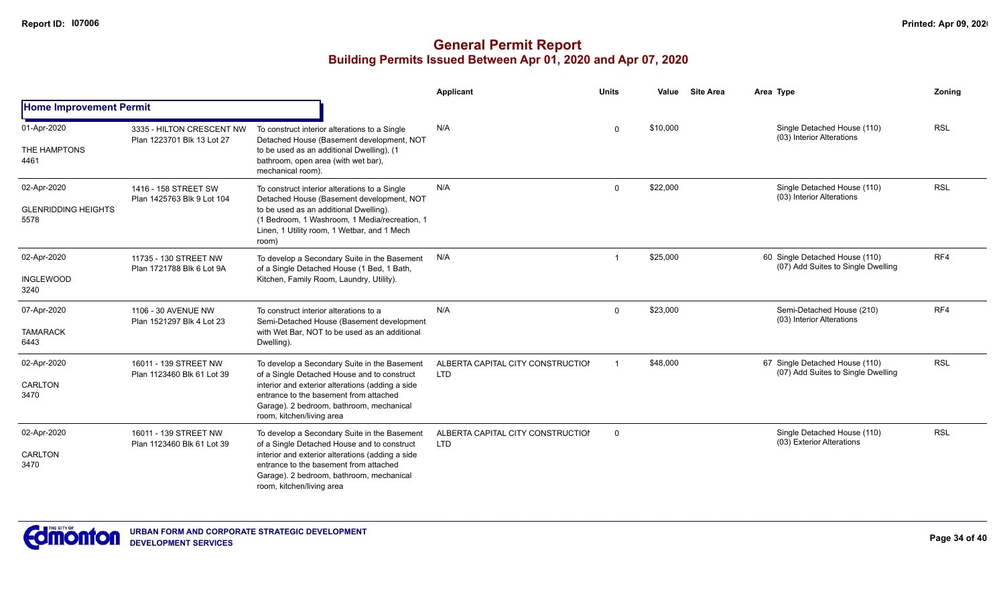|                                                   |                                                         |                                                                                                                                                                                                                                                                    | Applicant                                       | <b>Units</b> | Value    | <b>Site Area</b> | Area Type                                                            | Zoning     |
|---------------------------------------------------|---------------------------------------------------------|--------------------------------------------------------------------------------------------------------------------------------------------------------------------------------------------------------------------------------------------------------------------|-------------------------------------------------|--------------|----------|------------------|----------------------------------------------------------------------|------------|
| <b>Home Improvement Permit</b>                    |                                                         |                                                                                                                                                                                                                                                                    |                                                 |              |          |                  |                                                                      |            |
| 01-Apr-2020<br>THE HAMPTONS<br>4461               | 3335 - HILTON CRESCENT NW<br>Plan 1223701 Blk 13 Lot 27 | To construct interior alterations to a Single<br>Detached House (Basement development, NOT<br>to be used as an additional Dwelling), (1<br>bathroom, open area (with wet bar),<br>mechanical room).                                                                | N/A                                             | $\Omega$     | \$10,000 |                  | Single Detached House (110)<br>(03) Interior Alterations             | <b>RSL</b> |
| 02-Apr-2020<br><b>GLENRIDDING HEIGHTS</b><br>5578 | 1416 - 158 STREET SW<br>Plan 1425763 Blk 9 Lot 104      | To construct interior alterations to a Single<br>Detached House (Basement development, NOT<br>to be used as an additional Dwelling).<br>(1 Bedroom, 1 Washroom, 1 Media/recreation, 1<br>Linen, 1 Utility room, 1 Wetbar, and 1 Mech<br>room)                      | N/A                                             | $\mathbf 0$  | \$22,000 |                  | Single Detached House (110)<br>(03) Interior Alterations             | <b>RSL</b> |
| 02-Apr-2020<br><b>INGLEWOOD</b><br>3240           | 11735 - 130 STREET NW<br>Plan 1721788 Blk 6 Lot 9A      | To develop a Secondary Suite in the Basement<br>of a Single Detached House (1 Bed, 1 Bath,<br>Kitchen, Family Room, Laundry, Utility).                                                                                                                             | N/A                                             | -1           | \$25,000 |                  | 60 Single Detached House (110)<br>(07) Add Suites to Single Dwelling | RF4        |
| 07-Apr-2020<br><b>TAMARACK</b><br>6443            | 1106 - 30 AVENUE NW<br>Plan 1521297 Blk 4 Lot 23        | To construct interior alterations to a<br>Semi-Detached House (Basement development<br>with Wet Bar, NOT to be used as an additional<br>Dwelling).                                                                                                                 | N/A                                             | $\mathbf 0$  | \$23,000 |                  | Semi-Detached House (210)<br>(03) Interior Alterations               | RF4        |
| 02-Apr-2020<br>CARLTON<br>3470                    | 16011 - 139 STREET NW<br>Plan 1123460 Blk 61 Lot 39     | To develop a Secondary Suite in the Basement<br>of a Single Detached House and to construct<br>interior and exterior alterations (adding a side<br>entrance to the basement from attached<br>Garage). 2 bedroom, bathroom, mechanical<br>room, kitchen/living area | ALBERTA CAPITAL CITY CONSTRUCTION<br><b>LTD</b> |              | \$48,000 |                  | 67 Single Detached House (110)<br>(07) Add Suites to Single Dwelling | <b>RSL</b> |
| 02-Apr-2020<br>CARLTON<br>3470                    | 16011 - 139 STREET NW<br>Plan 1123460 Blk 61 Lot 39     | To develop a Secondary Suite in the Basement<br>of a Single Detached House and to construct<br>interior and exterior alterations (adding a side<br>entrance to the basement from attached<br>Garage). 2 bedroom, bathroom, mechanical<br>room, kitchen/living area | ALBERTA CAPITAL CITY CONSTRUCTION<br><b>LTD</b> | $\Omega$     |          |                  | Single Detached House (110)<br>(03) Exterior Alterations             | <b>RSL</b> |

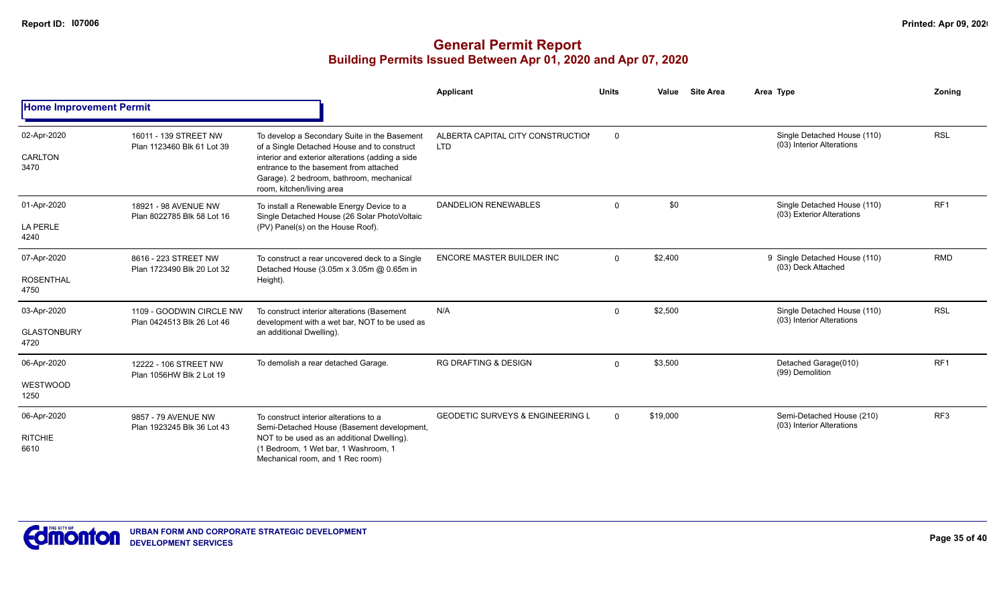|                                           |                                                        |                                                                                                                                                                                                                                                                    | Applicant                                       | <b>Units</b> | Value    | <b>Site Area</b><br>Area Type                            | Zonina          |
|-------------------------------------------|--------------------------------------------------------|--------------------------------------------------------------------------------------------------------------------------------------------------------------------------------------------------------------------------------------------------------------------|-------------------------------------------------|--------------|----------|----------------------------------------------------------|-----------------|
| <b>Home Improvement Permit</b>            |                                                        |                                                                                                                                                                                                                                                                    |                                                 |              |          |                                                          |                 |
| 02-Apr-2020<br>CARLTON<br>3470            | 16011 - 139 STREET NW<br>Plan 1123460 Blk 61 Lot 39    | To develop a Secondary Suite in the Basement<br>of a Single Detached House and to construct<br>interior and exterior alterations (adding a side<br>entrance to the basement from attached<br>Garage). 2 bedroom, bathroom, mechanical<br>room, kitchen/living area | ALBERTA CAPITAL CITY CONSTRUCTION<br><b>LTD</b> | $\mathsf{O}$ |          | Single Detached House (110)<br>(03) Interior Alterations | <b>RSL</b>      |
| 01-Apr-2020<br><b>LA PERLE</b><br>4240    | 18921 - 98 AVENUE NW<br>Plan 8022785 Blk 58 Lot 16     | To install a Renewable Energy Device to a<br>Single Detached House (26 Solar PhotoVoltaic<br>(PV) Panel(s) on the House Roof).                                                                                                                                     | DANDELION RENEWABLES                            | 0            | \$0      | Single Detached House (110)<br>(03) Exterior Alterations | RF <sub>1</sub> |
| 07-Apr-2020<br><b>ROSENTHAL</b><br>4750   | 8616 - 223 STREET NW<br>Plan 1723490 Blk 20 Lot 32     | To construct a rear uncovered deck to a Single<br>Detached House (3.05m x 3.05m @ 0.65m in<br>Height).                                                                                                                                                             | ENCORE MASTER BUILDER INC                       | $\mathbf{0}$ | \$2,400  | 9 Single Detached House (110)<br>(03) Deck Attached      | <b>RMD</b>      |
| 03-Apr-2020<br><b>GLASTONBURY</b><br>4720 | 1109 - GOODWIN CIRCLE NW<br>Plan 0424513 Blk 26 Lot 46 | To construct interior alterations (Basement<br>development with a wet bar, NOT to be used as<br>an additional Dwelling).                                                                                                                                           | N/A                                             | $\mathbf 0$  | \$2,500  | Single Detached House (110)<br>(03) Interior Alterations | <b>RSL</b>      |
| 06-Apr-2020<br>WESTWOOD<br>1250           | 12222 - 106 STREET NW<br>Plan 1056HW Blk 2 Lot 19      | To demolish a rear detached Garage.                                                                                                                                                                                                                                | <b>RG DRAFTING &amp; DESIGN</b>                 | $\mathbf 0$  | \$3,500  | Detached Garage(010)<br>(99) Demolition                  | RF <sub>1</sub> |
| 06-Apr-2020<br><b>RITCHIE</b><br>6610     | 9857 - 79 AVENUE NW<br>Plan 1923245 Blk 36 Lot 43      | To construct interior alterations to a<br>Semi-Detached House (Basement development,<br>NOT to be used as an additional Dwelling).<br>(1 Bedroom, 1 Wet bar, 1 Washroom, 1<br>Mechanical room, and 1 Rec room)                                                     | <b>GEODETIC SURVEYS &amp; ENGINEERING L</b>     | $\Omega$     | \$19,000 | Semi-Detached House (210)<br>(03) Interior Alterations   | RF <sub>3</sub> |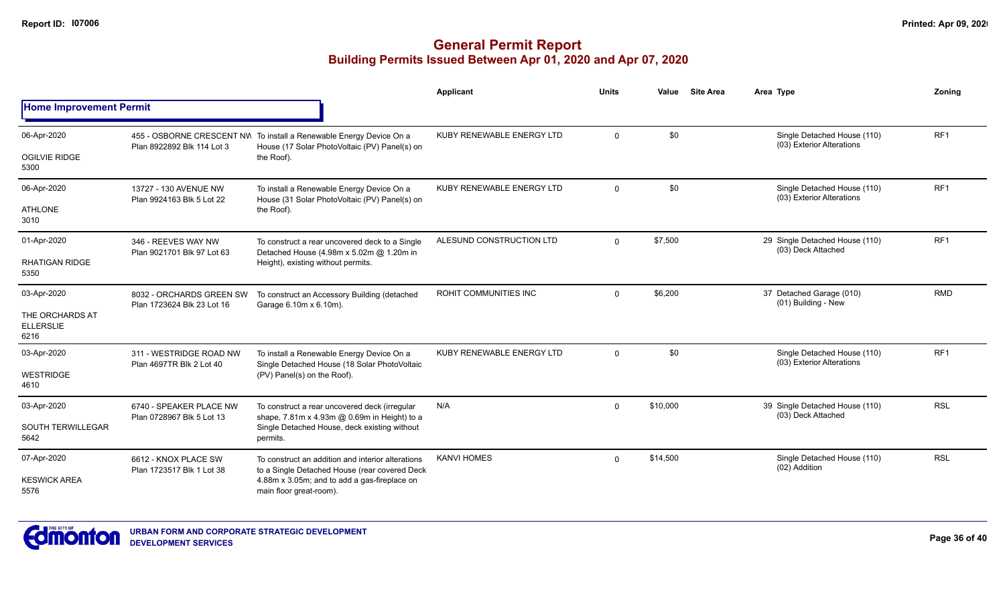|                                             |                                                                         |                                                                                                                      | <b>Applicant</b>             | <b>Units</b>        | Value    | <b>Site Area</b>                                     | Area Type                                                | Zoning          |
|---------------------------------------------|-------------------------------------------------------------------------|----------------------------------------------------------------------------------------------------------------------|------------------------------|---------------------|----------|------------------------------------------------------|----------------------------------------------------------|-----------------|
| <b>Home Improvement Permit</b>              |                                                                         |                                                                                                                      |                              |                     |          |                                                      |                                                          |                 |
| 06-Apr-2020                                 | Plan 8922892 Blk 114 Lot 3                                              | 455 - OSBORNE CRESCENT NW To install a Renewable Energy Device On a<br>House (17 Solar PhotoVoltaic (PV) Panel(s) on | KUBY RENEWABLE ENERGY LTD    | $\Omega$            | \$0      |                                                      | Single Detached House (110)<br>(03) Exterior Alterations | RF <sub>1</sub> |
| <b>OGILVIE RIDGE</b><br>5300                |                                                                         | the Roof).                                                                                                           |                              |                     |          |                                                      |                                                          |                 |
| 06-Apr-2020                                 | 13727 - 130 AVENUE NW<br>Plan 9924163 Blk 5 Lot 22                      | To install a Renewable Energy Device On a<br>House (31 Solar PhotoVoltaic (PV) Panel(s) on                           | KUBY RENEWABLE ENERGY LTD    | $\mathbf 0$         | \$0      |                                                      | Single Detached House (110)<br>(03) Exterior Alterations | RF <sub>1</sub> |
| <b>ATHLONE</b><br>3010                      |                                                                         | the Roof).                                                                                                           |                              |                     |          |                                                      |                                                          |                 |
| 01-Apr-2020                                 | 346 - REEVES WAY NW<br>Plan 9021701 Blk 97 Lot 63                       | To construct a rear uncovered deck to a Single<br>Detached House (4.98m x 5.02m @ 1.20m in                           | ALESUND CONSTRUCTION LTD     | \$7,500<br>$\Omega$ |          | 29 Single Detached House (110)<br>(03) Deck Attached | RF <sub>1</sub>                                          |                 |
| <b>RHATIGAN RIDGE</b><br>5350               |                                                                         | Height), existing without permits.                                                                                   |                              |                     |          |                                                      |                                                          |                 |
| 03-Apr-2020                                 | 8032 - ORCHARDS GREEN SW<br>Plan 1723624 Blk 23 Lot 16                  | To construct an Accessory Building (detached<br>Garage 6.10m x 6.10m).                                               | <b>ROHIT COMMUNITIES INC</b> | $\Omega$            | \$6,200  |                                                      | 37 Detached Garage (010)<br>(01) Building - New          | <b>RMD</b>      |
| THE ORCHARDS AT<br><b>ELLERSLIE</b><br>6216 |                                                                         |                                                                                                                      |                              |                     |          |                                                      |                                                          |                 |
| 03-Apr-2020                                 | 311 - WESTRIDGE ROAD NW<br>Plan 4697TR Blk 2 Lot 40                     | To install a Renewable Energy Device On a<br>Single Detached House (18 Solar PhotoVoltaic                            | KUBY RENEWABLE ENERGY LTD    | $\mathbf 0$         | \$0      |                                                      | Single Detached House (110)<br>(03) Exterior Alterations | RF <sub>1</sub> |
| <b>WESTRIDGE</b><br>4610                    |                                                                         | (PV) Panel(s) on the Roof).                                                                                          |                              |                     |          |                                                      |                                                          |                 |
| 03-Apr-2020                                 | 6740 - SPEAKER PLACE NW<br>Plan 0728967 Blk 5 Lot 13                    | To construct a rear uncovered deck (irregular<br>shape, 7.81m x 4.93m @ 0.69m in Height) to a                        | N/A                          | $\mathbf 0$         | \$10,000 |                                                      | 39 Single Detached House (110)<br>(03) Deck Attached     | <b>RSL</b>      |
| <b>SOUTH TERWILLEGAR</b><br>5642            |                                                                         | Single Detached House, deck existing without<br>permits.                                                             |                              |                     |          |                                                      |                                                          |                 |
| 07-Apr-2020                                 | 6612 - KNOX PLACE SW<br>Plan 1723517 Blk 1 Lot 38                       | To construct an addition and interior alterations<br>to a Single Detached House (rear covered Deck                   | <b>KANVI HOMES</b>           | $\Omega$            | \$14,500 |                                                      | Single Detached House (110)<br>(02) Addition             | <b>RSL</b>      |
| <b>KESWICK AREA</b><br>5576                 | 4.88m x 3.05m; and to add a gas-fireplace on<br>main floor great-room). |                                                                                                                      |                              |                     |          |                                                      |                                                          |                 |

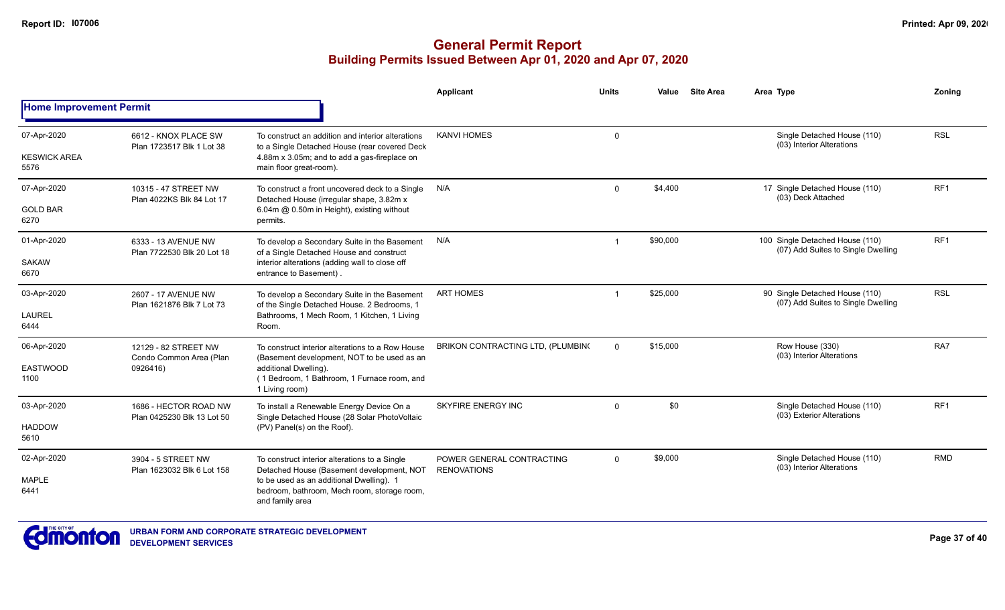|                                    |                                                             |                                                                                                                                                    | <b>Applicant</b>                                | <b>Units</b> | Value    | <b>Site Area</b> | Area Type                                                             | Zonina          |  |
|------------------------------------|-------------------------------------------------------------|----------------------------------------------------------------------------------------------------------------------------------------------------|-------------------------------------------------|--------------|----------|------------------|-----------------------------------------------------------------------|-----------------|--|
| <b>Home Improvement Permit</b>     |                                                             |                                                                                                                                                    |                                                 |              |          |                  |                                                                       |                 |  |
| 07-Apr-2020<br><b>KESWICK AREA</b> | 6612 - KNOX PLACE SW<br>Plan 1723517 Blk 1 Lot 38           | To construct an addition and interior alterations<br>to a Single Detached House (rear covered Deck<br>4.88m x 3.05m; and to add a gas-fireplace on | <b>KANVI HOMES</b>                              | 0            |          |                  | Single Detached House (110)<br>(03) Interior Alterations              | <b>RSL</b>      |  |
| 5576                               |                                                             | main floor great-room).                                                                                                                            |                                                 |              |          |                  |                                                                       |                 |  |
| 07-Apr-2020                        | 10315 - 47 STREET NW<br>Plan 4022KS Blk 84 Lot 17           | To construct a front uncovered deck to a Single<br>Detached House (irregular shape, 3.82m x                                                        | N/A                                             | $\Omega$     | \$4,400  |                  | 17 Single Detached House (110)<br>(03) Deck Attached                  | RF <sub>1</sub> |  |
| <b>GOLD BAR</b><br>6270            |                                                             | 6.04m @ 0.50m in Height), existing without<br>permits.                                                                                             |                                                 |              |          |                  |                                                                       |                 |  |
| 01-Apr-2020                        | 6333 - 13 AVENUE NW<br>Plan 7722530 Blk 20 Lot 18           | To develop a Secondary Suite in the Basement<br>of a Single Detached House and construct                                                           | N/A                                             | -1           | \$90,000 |                  | 100 Single Detached House (110)<br>(07) Add Suites to Single Dwelling | RF <sub>1</sub> |  |
| <b>SAKAW</b><br>6670               |                                                             | interior alterations (adding wall to close off<br>entrance to Basement).                                                                           |                                                 |              |          |                  |                                                                       |                 |  |
| 03-Apr-2020                        | 2607 - 17 AVENUE NW<br>Plan 1621876 Blk 7 Lot 73            | To develop a Secondary Suite in the Basement<br>of the Single Detached House. 2 Bedrooms, 1                                                        | <b>ART HOMES</b>                                | -1           | \$25,000 |                  | 90 Single Detached House (110)<br>(07) Add Suites to Single Dwelling  | <b>RSL</b>      |  |
| <b>LAUREL</b><br>6444              |                                                             | Bathrooms, 1 Mech Room, 1 Kitchen, 1 Living<br>Room.                                                                                               |                                                 |              |          |                  |                                                                       |                 |  |
| 06-Apr-2020                        | 12129 - 82 STREET NW<br>Condo Common Area (Plan<br>0926416) | To construct interior alterations to a Row House<br>(Basement development, NOT to be used as an                                                    | BRIKON CONTRACTING LTD, (PLUMBING               | $\Omega$     | \$15,000 |                  | Row House (330)<br>(03) Interior Alterations                          | RA7             |  |
| <b>EASTWOOD</b><br>1100            |                                                             | additional Dwelling).<br>(1 Bedroom, 1 Bathroom, 1 Furnace room, and<br>1 Living room)                                                             |                                                 |              |          |                  |                                                                       |                 |  |
| 03-Apr-2020                        | 1686 - HECTOR ROAD NW<br>Plan 0425230 Blk 13 Lot 50         | To install a Renewable Energy Device On a<br>Single Detached House (28 Solar PhotoVoltaic<br>(PV) Panel(s) on the Roof).                           | SKYFIRE ENERGY INC                              | $\mathbf 0$  | \$0      |                  | Single Detached House (110)<br>(03) Exterior Alterations              | RF <sub>1</sub> |  |
| <b>HADDOW</b><br>5610              |                                                             |                                                                                                                                                    |                                                 |              |          |                  |                                                                       |                 |  |
| 02-Apr-2020                        | 3904 - 5 STREET NW<br>Plan 1623032 Blk 6 Lot 158            | To construct interior alterations to a Single<br>Detached House (Basement development, NOT                                                         | POWER GENERAL CONTRACTING<br><b>RENOVATIONS</b> | $\mathbf 0$  | \$9,000  |                  | Single Detached House (110)<br>(03) Interior Alterations              | <b>RMD</b>      |  |
| <b>MAPLE</b><br>6441               |                                                             | to be used as an additional Dwelling). 1<br>bedroom, bathroom, Mech room, storage room,<br>and family area                                         |                                                 |              |          |                  |                                                                       |                 |  |

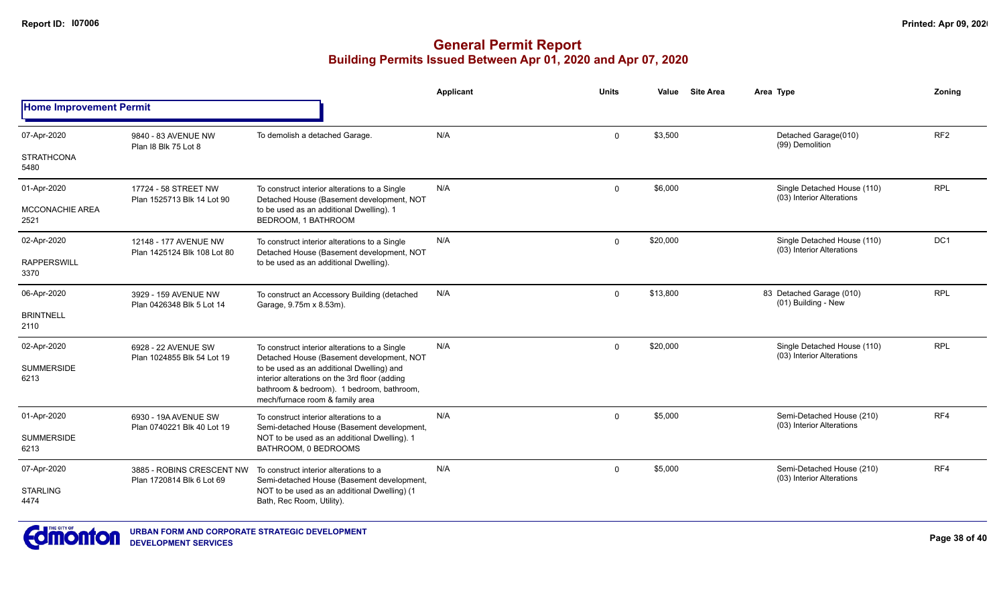|                                |                                                        |                                                                                                                                                                            | Applicant | <b>Units</b> | Value    | <b>Site Area</b> | Area Type                                                | Zonina          |
|--------------------------------|--------------------------------------------------------|----------------------------------------------------------------------------------------------------------------------------------------------------------------------------|-----------|--------------|----------|------------------|----------------------------------------------------------|-----------------|
| <b>Home Improvement Permit</b> |                                                        |                                                                                                                                                                            |           |              |          |                  |                                                          |                 |
| 07-Apr-2020                    | 9840 - 83 AVENUE NW<br>Plan I8 Blk 75 Lot 8            | To demolish a detached Garage.                                                                                                                                             | N/A       | $\mathbf 0$  | \$3,500  |                  | Detached Garage(010)<br>(99) Demolition                  | RF <sub>2</sub> |
| <b>STRATHCONA</b><br>5480      |                                                        |                                                                                                                                                                            |           |              |          |                  |                                                          |                 |
| 01-Apr-2020                    | 17724 - 58 STREET NW<br>Plan 1525713 Blk 14 Lot 90     | To construct interior alterations to a Single<br>Detached House (Basement development, NOT<br>to be used as an additional Dwelling). 1<br>BEDROOM, 1 BATHROOM              | N/A       | $\Omega$     | \$6,000  |                  | Single Detached House (110)<br>(03) Interior Alterations | <b>RPL</b>      |
| <b>MCCONACHIE AREA</b><br>2521 |                                                        |                                                                                                                                                                            |           |              |          |                  |                                                          |                 |
| 02-Apr-2020                    | 12148 - 177 AVENUE NW<br>Plan 1425124 Blk 108 Lot 80   | To construct interior alterations to a Single<br>Detached House (Basement development, NOT<br>to be used as an additional Dwelling).                                       | N/A       | $\mathbf 0$  | \$20,000 |                  | Single Detached House (110)<br>(03) Interior Alterations | DC1             |
| <b>RAPPERSWILL</b><br>3370     |                                                        |                                                                                                                                                                            |           |              |          |                  |                                                          |                 |
| 06-Apr-2020                    | 3929 - 159 AVENUE NW<br>Plan 0426348 Blk 5 Lot 14      | To construct an Accessory Building (detached<br>Garage, 9.75m x 8.53m).                                                                                                    | N/A       | $\mathbf 0$  | \$13,800 |                  | 83 Detached Garage (010)<br>(01) Building - New          | <b>RPL</b>      |
| <b>BRINTNELL</b><br>2110       |                                                        |                                                                                                                                                                            |           |              |          |                  |                                                          |                 |
| 02-Apr-2020                    | 6928 - 22 AVENUE SW<br>Plan 1024855 Blk 54 Lot 19      | To construct interior alterations to a Single<br>Detached House (Basement development, NOT                                                                                 | N/A       | $\Omega$     | \$20,000 |                  | Single Detached House (110)<br>(03) Interior Alterations | <b>RPL</b>      |
| <b>SUMMERSIDE</b><br>6213      |                                                        | to be used as an additional Dwelling) and<br>interior alterations on the 3rd floor (adding<br>bathroom & bedroom). 1 bedroom, bathroom,<br>mech/furnace room & family area |           |              |          |                  |                                                          |                 |
| 01-Apr-2020                    | 6930 - 19A AVENUE SW<br>Plan 0740221 Blk 40 Lot 19     | To construct interior alterations to a<br>Semi-detached House (Basement development,                                                                                       | N/A       | $\Omega$     | \$5,000  |                  | Semi-Detached House (210)<br>(03) Interior Alterations   | RF4             |
| <b>SUMMERSIDE</b><br>6213      |                                                        | NOT to be used as an additional Dwelling). 1<br>BATHROOM, 0 BEDROOMS                                                                                                       |           |              |          |                  |                                                          |                 |
| 07-Apr-2020                    | 3885 - ROBINS CRESCENT NW<br>Plan 1720814 Blk 6 Lot 69 | To construct interior alterations to a<br>Semi-detached House (Basement development,<br>NOT to be used as an additional Dwelling) (1<br>Bath, Rec Room, Utility).          | N/A       | $\mathbf 0$  | \$5,000  |                  | Semi-Detached House (210)<br>(03) Interior Alterations   | RF4             |
| <b>STARLING</b><br>4474        |                                                        |                                                                                                                                                                            |           |              |          |                  |                                                          |                 |

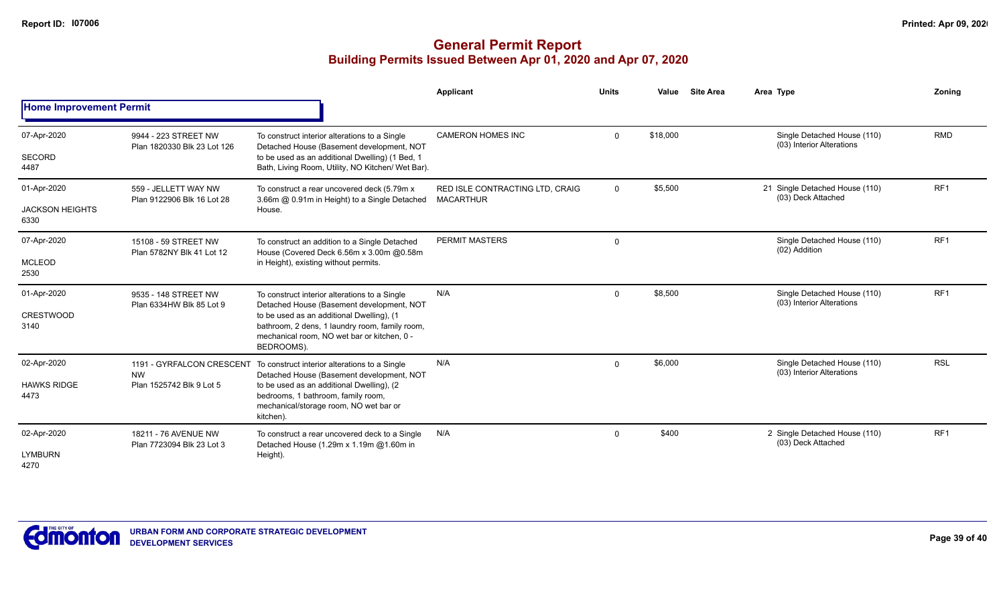|                                               |                                                                    |                                                                                                                                                                                                                                                        | Applicant                                           | <b>Units</b> | Value    | <b>Site Area</b> | Area Type                                                | Zoning          |  |
|-----------------------------------------------|--------------------------------------------------------------------|--------------------------------------------------------------------------------------------------------------------------------------------------------------------------------------------------------------------------------------------------------|-----------------------------------------------------|--------------|----------|------------------|----------------------------------------------------------|-----------------|--|
| <b>Home Improvement Permit</b>                |                                                                    |                                                                                                                                                                                                                                                        |                                                     |              |          |                  |                                                          |                 |  |
| 07-Apr-2020<br><b>SECORD</b><br>4487          | 9944 - 223 STREET NW<br>Plan 1820330 Blk 23 Lot 126                | To construct interior alterations to a Single<br>Detached House (Basement development, NOT<br>to be used as an additional Dwelling) (1 Bed, 1<br>Bath, Living Room, Utility, NO Kitchen/ Wet Bar).                                                     | <b>CAMERON HOMES INC</b>                            | $\mathbf{0}$ | \$18,000 |                  | Single Detached House (110)<br>(03) Interior Alterations | <b>RMD</b>      |  |
| 01-Apr-2020<br><b>JACKSON HEIGHTS</b><br>6330 | 559 - JELLETT WAY NW<br>Plan 9122906 Blk 16 Lot 28                 | To construct a rear uncovered deck (5.79m x<br>3.66m @ 0.91m in Height) to a Single Detached<br>House.                                                                                                                                                 | RED ISLE CONTRACTING LTD, CRAIG<br><b>MACARTHUR</b> | $\mathbf{0}$ | \$5,500  |                  | 21 Single Detached House (110)<br>(03) Deck Attached     | RF <sub>1</sub> |  |
| 07-Apr-2020<br><b>MCLEOD</b><br>2530          | 15108 - 59 STREET NW<br>Plan 5782NY Blk 41 Lot 12                  | To construct an addition to a Single Detached<br>House (Covered Deck 6.56m x 3.00m @0.58m<br>in Height), existing without permits.                                                                                                                     | <b>PERMIT MASTERS</b>                               | $\mathbf{0}$ |          |                  | Single Detached House (110)<br>(02) Addition             | RF <sub>1</sub> |  |
| 01-Apr-2020<br>CRESTWOOD<br>3140              | 9535 - 148 STREET NW<br>Plan 6334HW Blk 85 Lot 9                   | To construct interior alterations to a Single<br>Detached House (Basement development, NOT<br>to be used as an additional Dwelling), (1<br>bathroom, 2 dens, 1 laundry room, family room,<br>mechanical room, NO wet bar or kitchen, 0 -<br>BEDROOMS). | N/A                                                 | 0            | \$8,500  |                  | Single Detached House (110)<br>(03) Interior Alterations | RF <sub>1</sub> |  |
| 02-Apr-2020<br><b>HAWKS RIDGE</b><br>4473     | 1191 - GYRFALCON CRESCENT<br><b>NW</b><br>Plan 1525742 Blk 9 Lot 5 | To construct interior alterations to a Single<br>Detached House (Basement development, NOT<br>to be used as an additional Dwelling), (2<br>bedrooms, 1 bathroom, family room,<br>mechanical/storage room, NO wet bar or<br>kitchen).                   | N/A                                                 | $\mathbf{0}$ | \$6,000  |                  | Single Detached House (110)<br>(03) Interior Alterations | <b>RSL</b>      |  |
| 02-Apr-2020<br><b>LYMBURN</b><br>4270         | 18211 - 76 AVENUE NW<br>Plan 7723094 Blk 23 Lot 3                  | To construct a rear uncovered deck to a Single<br>Detached House (1.29m x 1.19m @1.60m in<br>Height).                                                                                                                                                  | N/A                                                 | $\mathbf{0}$ | \$400    |                  | 2 Single Detached House (110)<br>(03) Deck Attached      | RF <sub>1</sub> |  |